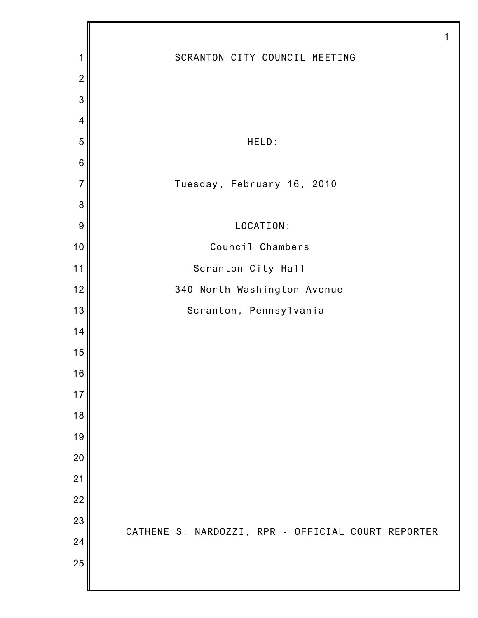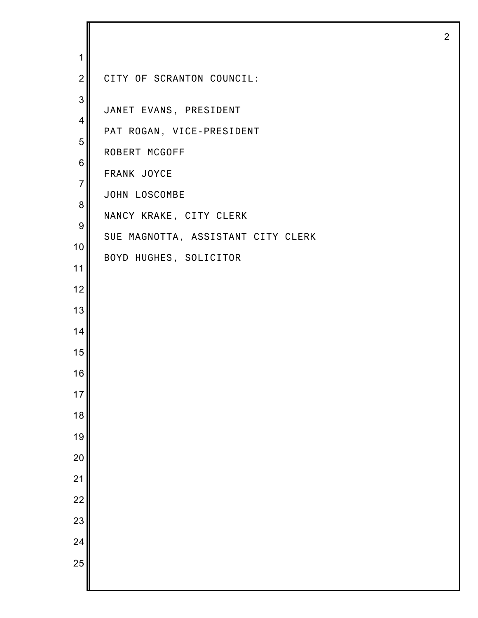| 1                                                                             |                                                                                                                                                                                                 |
|-------------------------------------------------------------------------------|-------------------------------------------------------------------------------------------------------------------------------------------------------------------------------------------------|
| $\overline{2}$                                                                | CITY OF SCRANTON COUNCIL:                                                                                                                                                                       |
| 3<br>4<br>5<br>6<br>$\overline{7}$<br>8<br>$\boldsymbol{9}$<br>10<br>11<br>12 | JANET EVANS, PRESIDENT<br>PAT ROGAN, VICE-PRESIDENT<br>ROBERT MCGOFF<br>FRANK JOYCE<br>JOHN LOSCOMBE<br>NANCY KRAKE, CITY CLERK<br>SUE MAGNOTTA, ASSISTANT CITY CLERK<br>BOYD HUGHES, SOLICITOR |
| 13<br>14                                                                      |                                                                                                                                                                                                 |
| 15                                                                            |                                                                                                                                                                                                 |
| 16                                                                            |                                                                                                                                                                                                 |
| 17                                                                            |                                                                                                                                                                                                 |
| 18                                                                            |                                                                                                                                                                                                 |
| 19                                                                            |                                                                                                                                                                                                 |
| 20                                                                            |                                                                                                                                                                                                 |
| 21                                                                            |                                                                                                                                                                                                 |
| $\overline{22}$                                                               |                                                                                                                                                                                                 |
| 23<br>24                                                                      |                                                                                                                                                                                                 |
| 25                                                                            |                                                                                                                                                                                                 |
|                                                                               |                                                                                                                                                                                                 |

I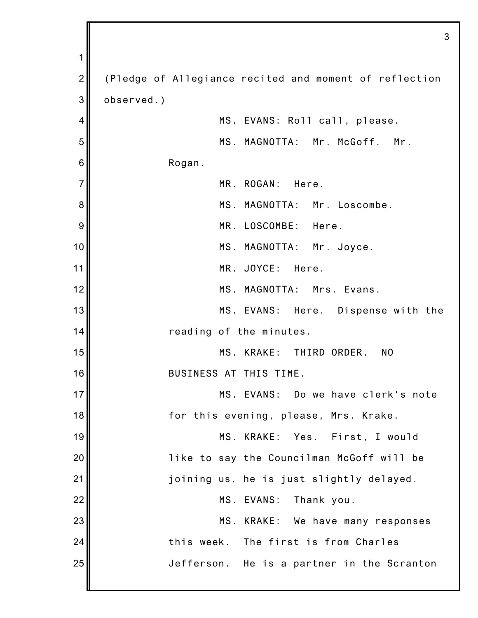1 2 3 4 5 6 7 8 9 10 11 12 13 14 15 16 17 18 19 20 21 22 23 24 25 3 (Pledge of Allegiance recited and moment of reflection observed.) MS. EVANS: Roll call, please. MS. MAGNOTTA: Mr. McGoff. Mr. Rogan. MR. ROGAN: Here. MS. MAGNOTTA: Mr. Loscombe. MR. LOSCOMBE: Here. MS. MAGNOTTA: Mr. Joyce. MR. JOYCE: Here. MS. MAGNOTTA: Mrs. Evans. MS. EVANS: Here. Dispense with the reading of the minutes. MS. KRAKE: THIRD ORDER. NO BUSINESS AT THIS TIME. MS. EVANS: Do we have clerk's note for this evening, please, Mrs. Krake. MS. KRAKE: Yes. First, I would like to say the Councilman McGoff will be joining us, he is just slightly delayed. MS. EVANS: Thank you. MS. KRAKE: We have many responses this week. The first is from Charles Jefferson. He is a partner in the Scranton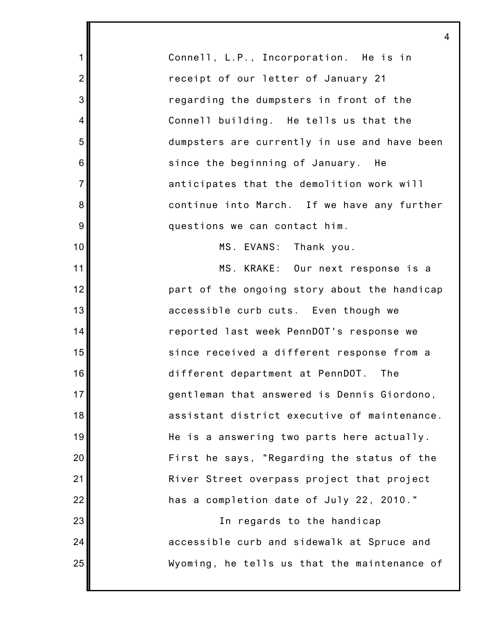Connell, L.P., Incorporation. He is in receipt of our letter of January 21 regarding the dumpsters in front of the Connell building. He tells us that the dumpsters are currently in use and have been since the beginning of January. He anticipates that the demolition work will continue into March. If we have any further questions we can contact him.

4

1

2

3

4

5

6

7

8

9

10

11

12

13

14

15

16

17

18

19

20

21

22

23

24

25

MS. EVANS: Thank you.

MS. KRAKE: Our next response is a part of the ongoing story about the handicap accessible curb cuts. Even though we reported last week PennDOT's response we since received a different response from a different department at PennDOT. The gentleman that answered is Dennis Giordono, assistant district executive of maintenance. He is a answering two parts here actually. First he says, "Regarding the status of the River Street overpass project that project has a completion date of July 22, 2010."

> In regards to the handicap accessible curb and sidewalk at Spruce and Wyoming, he tells us that the maintenance of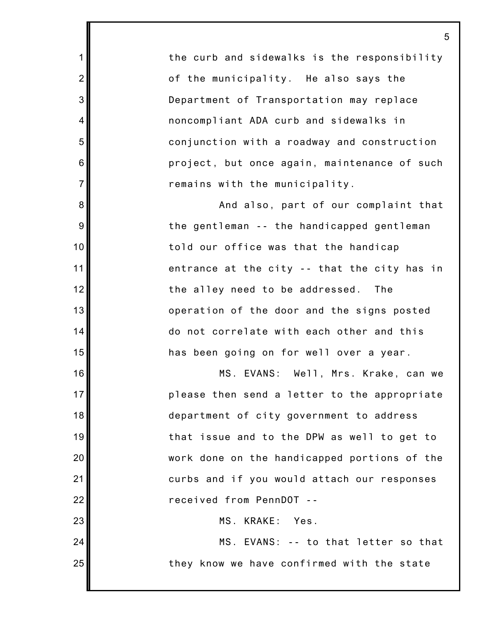the curb and sidewalks is the responsibility of the municipality. He also says the Department of Transportation may replace noncompliant ADA curb and sidewalks in conjunction with a roadway and construction project, but once again, maintenance of such remains with the municipality.

1

2

3

4

5

6

7

8

9

10

11

12

13

14

15

16

17

18

19

20

21

22

23

24

25

And also, part of our complaint that the gentleman -- the handicapped gentleman told our office was that the handicap entrance at the city -- that the city has in the alley need to be addressed. The operation of the door and the signs posted do not correlate with each other and this has been going on for well over a year.

MS. EVANS: Well, Mrs. Krake, can we please then send a letter to the appropriate department of city government to address that issue and to the DPW as well to get to work done on the handicapped portions of the curbs and if you would attach our responses received from PennDOT --

MS. KRAKE: Yes.

MS. EVANS: -- to that letter so that they know we have confirmed with the state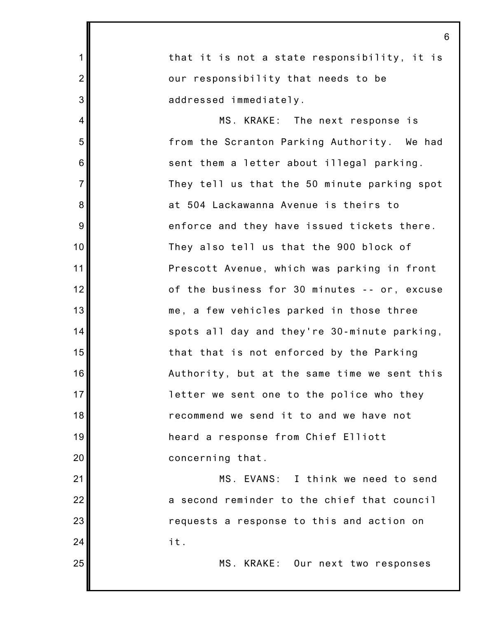1 2 3 4 5 6 7 8 9 10 11 12 13 14 15 16 17 18 19 20 21 22 23 24 25 that it is not a state responsibility, it is our responsibility that needs to be addressed immediately. MS. KRAKE: The next response is from the Scranton Parking Authority. We had sent them a letter about illegal parking. They tell us that the 50 minute parking spot at 504 Lackawanna Avenue is theirs to enforce and they have issued tickets there. They also tell us that the 900 block of Prescott Avenue, which was parking in front of the business for 30 minutes -- or, excuse me, a few vehicles parked in those three spots all day and they're 30-minute parking, that that is not enforced by the Parking Authority, but at the same time we sent this letter we sent one to the police who they recommend we send it to and we have not heard a response from Chief Elliott concerning that. MS. EVANS: I think we need to send a second reminder to the chief that council requests a response to this and action on it. MS. KRAKE: Our next two responses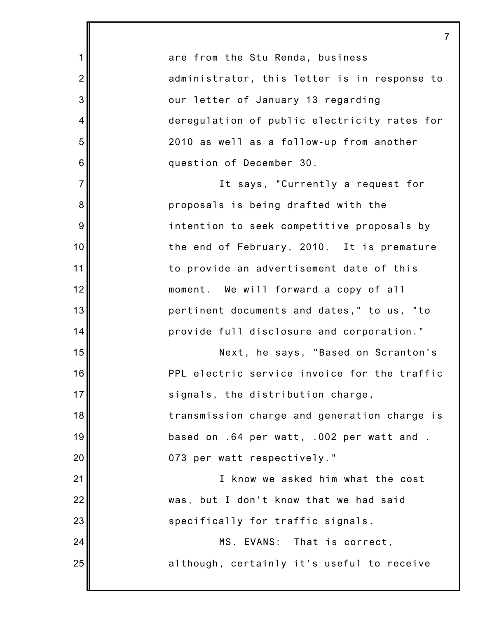are from the Stu Renda, business administrator, this letter is in response to our letter of January 13 regarding deregulation of public electricity rates for 2010 as well as a follow-up from another question of December 30.

1

2

3

4

5

6

7

8

9

10

11

12

13

14

15

16

17

18

19

20

21

22

23

24

25

It says, "Currently a request for proposals is being drafted with the intention to seek competitive proposals by the end of February, 2010. It is premature to provide an advertisement date of this moment. We will forward a copy of all pertinent documents and dates," to us, "to provide full disclosure and corporation."

Next, he says, "Based on Scranton's PPL electric service invoice for the traffic signals, the distribution charge,

transmission charge and generation charge is based on .64 per watt, .002 per watt and . 073 per watt respectively."

I know we asked him what the cost was, but I don't know that we had said specifically for traffic signals.

> MS. EVANS: That is correct, although, certainly it's useful to receive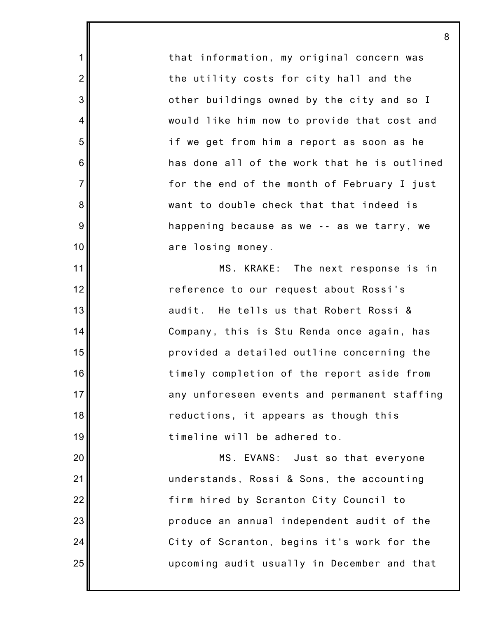that information, my original concern was the utility costs for city hall and the other buildings owned by the city and so I would like him now to provide that cost and if we get from him a report as soon as he has done all of the work that he is outlined for the end of the month of February I just want to double check that that indeed is happening because as we -- as we tarry, we are losing money.

1

2

3

4

5

6

7

8

9

10

11

12

13

14

15

16

17

18

19

20

21

22

23

24

25

MS. KRAKE: The next response is in reference to our request about Rossi's audit. He tells us that Robert Rossi & Company, this is Stu Renda once again, has provided a detailed outline concerning the timely completion of the report aside from any unforeseen events and permanent staffing reductions, it appears as though this timeline will be adhered to.

MS. EVANS: Just so that everyone understands, Rossi & Sons, the accounting firm hired by Scranton City Council to produce an annual independent audit of the City of Scranton, begins it's work for the upcoming audit usually in December and that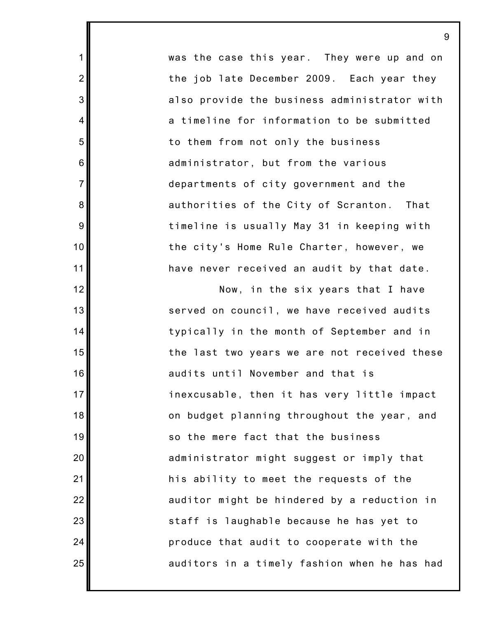was the case this year. They were up and on the job late December 2009. Each year they also provide the business administrator with a timeline for information to be submitted to them from not only the business administrator, but from the various departments of city government and the authorities of the City of Scranton. That timeline is usually May 31 in keeping with the city's Home Rule Charter, however, we have never received an audit by that date.

1

2

3

4

5

6

7

8

9

10

11

12

13

14

15

16

17

18

19

20

21

22

23

24

25

Now, in the six years that I have served on council, we have received audits typically in the month of September and in the last two years we are not received these audits until November and that is inexcusable, then it has very little impact on budget planning throughout the year, and so the mere fact that the business administrator might suggest or imply that his ability to meet the requests of the auditor might be hindered by a reduction in staff is laughable because he has yet to produce that audit to cooperate with the auditors in a timely fashion when he has had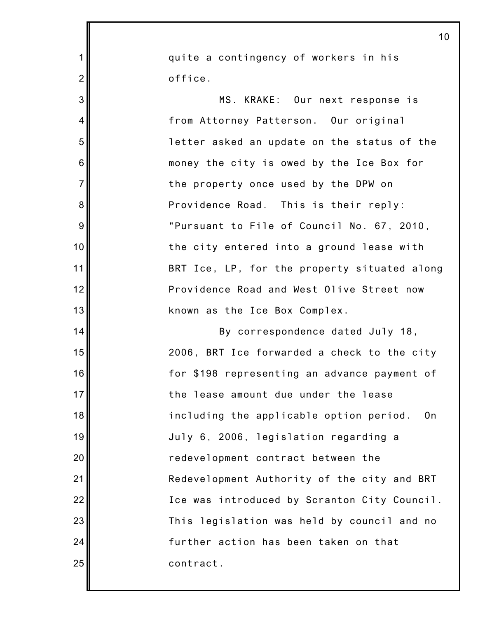|                | 10                                                        |
|----------------|-----------------------------------------------------------|
| $\mathbf 1$    | quite a contingency of workers in his                     |
| $\overline{2}$ | office.                                                   |
| 3              | MS. KRAKE: Our next response is                           |
| $\overline{4}$ | from Attorney Patterson. Our original                     |
| 5              | letter asked an update on the status of the               |
| 6              | money the city is owed by the Ice Box for                 |
| $\overline{7}$ | the property once used by the DPW on                      |
| 8              | Providence Road. This is their reply:                     |
| 9              | "Pursuant to File of Council No. 67, 2010,                |
| 10             | the city entered into a ground lease with                 |
| 11             | BRT Ice, LP, for the property situated along              |
| 12             | Providence Road and West Olive Street now                 |
| 13             | known as the Ice Box Complex.                             |
| 14             | By correspondence dated July 18,                          |
| 15             | 2006, BRT Ice forwarded a check to the city               |
| 16             | for \$198 representing an advance payment of              |
| 17             | the lease amount due under the lease                      |
| 18             | including the applicable option period.<br>0 <sub>n</sub> |
| 19             | July 6, 2006, legislation regarding a                     |
| 20             | redevelopment contract between the                        |
| 21             | Redevelopment Authority of the city and BRT               |
| 22             | Ice was introduced by Scranton City Council.              |
| 23             | This legislation was held by council and no               |
| 24             | further action has been taken on that                     |
| 25             | contract.                                                 |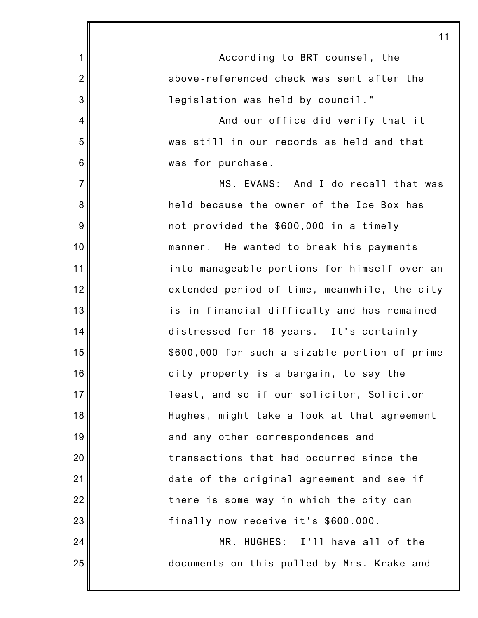| 1               | According to BRT counsel, the                 |
|-----------------|-----------------------------------------------|
| $\overline{2}$  | above-referenced check was sent after the     |
| 3               | legislation was held by council."             |
| 4               | And our office did verify that it             |
| 5               | was still in our records as held and that     |
| $6\phantom{1}6$ | was for purchase.                             |
| $\overline{7}$  | MS. EVANS: And I do recall that was           |
| 8               | held because the owner of the Ice Box has     |
| 9               | not provided the \$600,000 in a timely        |
| 10              | manner. He wanted to break his payments       |
| 11              | into manageable portions for himself over an  |
| 12              | extended period of time, meanwhile, the city  |
| 13              | is in financial difficulty and has remained   |
| 14              | distressed for 18 years. It's certainly       |
| 15              | \$600,000 for such a sizable portion of prime |
| 16              | city property is a bargain, to say the        |
| 17              | least, and so if our solicitor, Solicitor     |
| 18              | Hughes, might take a look at that agreement   |
| 19              | and any other correspondences and             |
| 20              | transactions that had occurred since the      |
| 21              | date of the original agreement and see if     |
| 22              | there is some way in which the city can       |
| 23              | finally now receive it's \$600.000.           |
| 24              | MR. HUGHES: I'll have all of the              |
| 25              | documents on this pulled by Mrs. Krake and    |
|                 |                                               |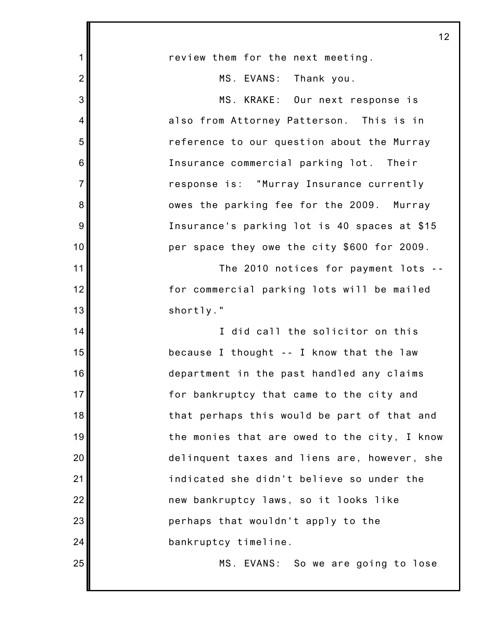|                  | 12                                           |
|------------------|----------------------------------------------|
| 1                | review them for the next meeting.            |
| $\overline{2}$   | MS. EVANS: Thank you.                        |
| 3                | MS. KRAKE: Our next response is              |
| $\overline{4}$   | also from Attorney Patterson. This is in     |
| 5                | reference to our question about the Murray   |
| $6\phantom{1}6$  | Insurance commercial parking lot. Their      |
| $\overline{7}$   | response is: "Murray Insurance currently     |
| 8                | owes the parking fee for the 2009. Murray    |
| $\boldsymbol{9}$ | Insurance's parking lot is 40 spaces at \$15 |
| 10               | per space they owe the city \$600 for 2009.  |
| 11               | The 2010 notices for payment lots --         |
| 12               | for commercial parking lots will be mailed   |
| 13               | shortly."                                    |
| 14               | I did call the solicitor on this             |
| 15               | because I thought -- I know that the law     |
| 16               | department in the past handled any claims    |
| 17               | for bankruptcy that came to the city and     |
| 18               | that perhaps this would be part of that and  |
| 19               | the monies that are owed to the city, I know |
| 20               | delinquent taxes and liens are, however, she |
| 21               | indicated she didn't believe so under the    |
| 22               | new bankruptcy laws, so it looks like        |
| 23               | perhaps that wouldn't apply to the           |
| 24               | bankruptcy timeline.                         |
| 25               | MS. EVANS: So we are going to lose           |
|                  |                                              |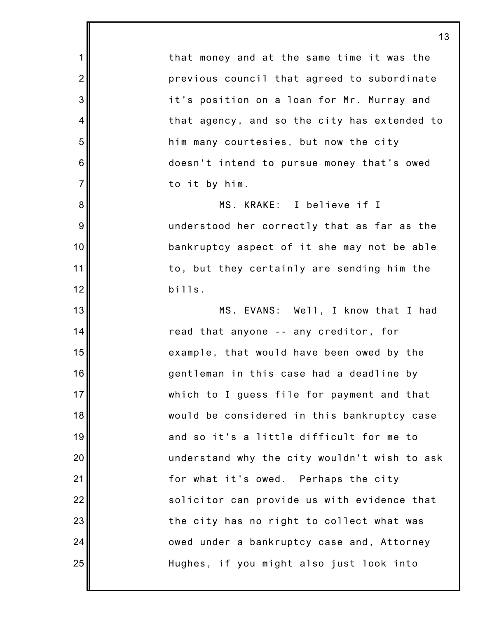that money and at the same time it was the previous council that agreed to subordinate it's position on a loan for Mr. Murray and that agency, and so the city has extended to him many courtesies, but now the city doesn't intend to pursue money that's owed to it by him. MS. KRAKE: I believe if I understood her correctly that as far as the bankruptcy aspect of it she may not be able to, but they certainly are sending him the bills. MS. EVANS: Well, I know that I had read that anyone -- any creditor, for

1

2

3

4

5

6

7

8

9

10

11

12

13

14

15

16

17

18

19

20

21

22

23

24

25

example, that would have been owed by the gentleman in this case had a deadline by which to I guess file for payment and that would be considered in this bankruptcy case and so it's a little difficult for me to understand why the city wouldn't wish to ask for what it's owed. Perhaps the city solicitor can provide us with evidence that the city has no right to collect what was owed under a bankruptcy case and, Attorney Hughes, if you might also just look into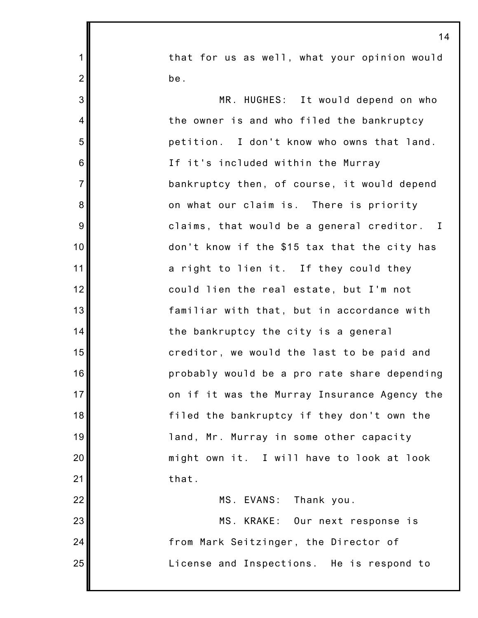that for us as well, what your opinion would be.

1

2

3

4

5

6

7

8

9

10

11

12

13

14

15

16

17

18

19

20

21

MR. HUGHES: It would depend on who the owner is and who filed the bankruptcy petition. I don't know who owns that land. If it's included within the Murray bankruptcy then, of course, it would depend on what our claim is. There is priority claims, that would be a general creditor. I don't know if the \$15 tax that the city has a right to lien it. If they could they could lien the real estate, but I'm not familiar with that, but in accordance with the bankruptcy the city is a general creditor, we would the last to be paid and probably would be a pro rate share depending on if it was the Murray Insurance Agency the filed the bankruptcy if they don't own the land, Mr. Murray in some other capacity might own it. I will have to look at look that.

22 23 24 25 MS. EVANS: Thank you. MS. KRAKE: Our next response is from Mark Seitzinger, the Director of License and Inspections. He is respond to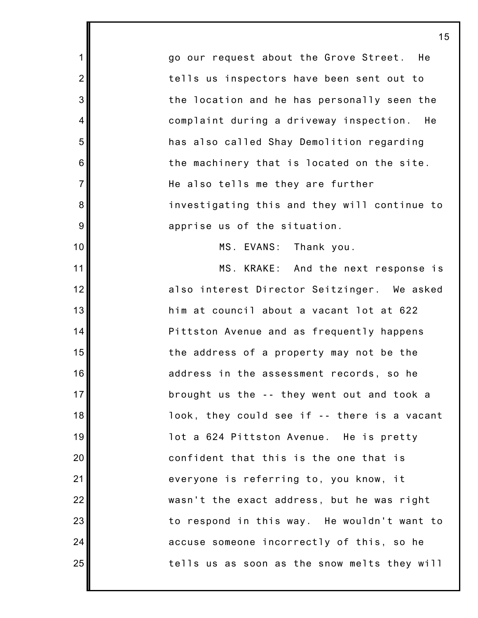go our request about the Grove Street. He tells us inspectors have been sent out to the location and he has personally seen the complaint during a driveway inspection. He has also called Shay Demolition regarding the machinery that is located on the site. He also tells me they are further investigating this and they will continue to apprise us of the situation.

1

2

3

4

5

6

7

8

9

10

11

12

13

14

15

16

17

18

19

20

21

22

23

24

25

MS. EVANS: Thank you.

MS. KRAKE: And the next response is also interest Director Seitzinger. We asked him at council about a vacant lot at 622 Pittston Avenue and as frequently happens the address of a property may not be the address in the assessment records, so he brought us the -- they went out and took a look, they could see if -- there is a vacant lot a 624 Pittston Avenue. He is pretty confident that this is the one that is everyone is referring to, you know, it wasn't the exact address, but he was right to respond in this way. He wouldn't want to accuse someone incorrectly of this, so he tells us as soon as the snow melts they will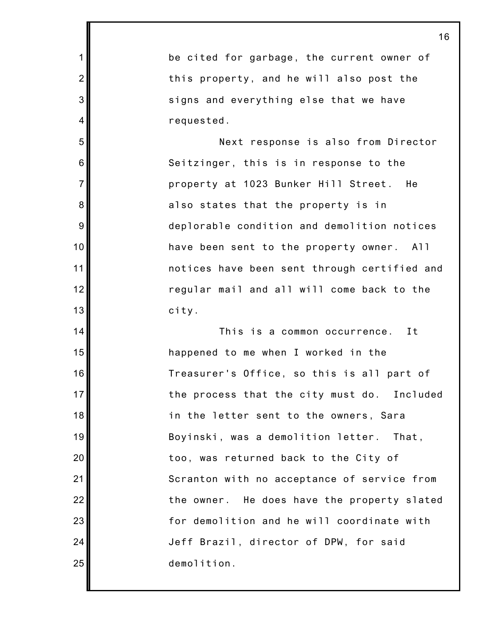be cited for garbage, the current owner of this property, and he will also post the signs and everything else that we have requested.

1

2

3

4

5

6

7

8

9

10

11

12

13

14

15

16

17

18

19

20

21

22

23

24

25

Next response is also from Director Seitzinger, this is in response to the property at 1023 Bunker Hill Street. He also states that the property is in deplorable condition and demolition notices have been sent to the property owner. All notices have been sent through certified and regular mail and all will come back to the city.

This is a common occurrence. It happened to me when I worked in the Treasurer's Office, so this is all part of the process that the city must do. Included in the letter sent to the owners, Sara Boyinski, was a demolition letter. That, too, was returned back to the City of Scranton with no acceptance of service from the owner. He does have the property slated for demolition and he will coordinate with Jeff Brazil, director of DPW, for said demolition.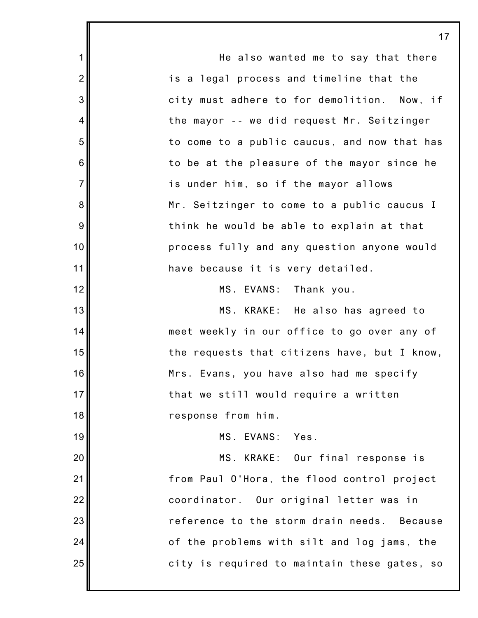|                | 17                                             |
|----------------|------------------------------------------------|
| $\mathbf{1}$   | He also wanted me to say that there            |
| $\overline{2}$ | is a legal process and timeline that the       |
| 3              | city must adhere to for demolition. Now, if    |
| $\overline{4}$ | the mayor -- we did request Mr. Seitzinger     |
| 5              | to come to a public caucus, and now that has   |
| 6              | to be at the pleasure of the mayor since he    |
| $\overline{7}$ | is under him, so if the mayor allows           |
| 8              | Mr. Seitzinger to come to a public caucus I    |
| $9$            | think he would be able to explain at that      |
| 10             | process fully and any question anyone would    |
| 11             | have because it is very detailed.              |
| 12             | MS. EVANS: Thank you.                          |
| 13             | MS. KRAKE: He also has agreed to               |
| 14             | meet weekly in our office to go over any of    |
| 15             | the requests that citizens have, but I know,   |
| 16             | Mrs. Evans, you have also had me specify       |
| 17             | that we still would require a written          |
| 18             | response from him.                             |
| 19             | MS. EVANS:<br>Yes.                             |
| 20             | MS. KRAKE: Our final response is               |
| 21             | from Paul O'Hora, the flood control project    |
| 22             | coordinator. Our original letter was in        |
| 23             | reference to the storm drain needs.<br>Because |
| 24             | of the problems with silt and log jams, the    |
| 25             | city is required to maintain these gates, so   |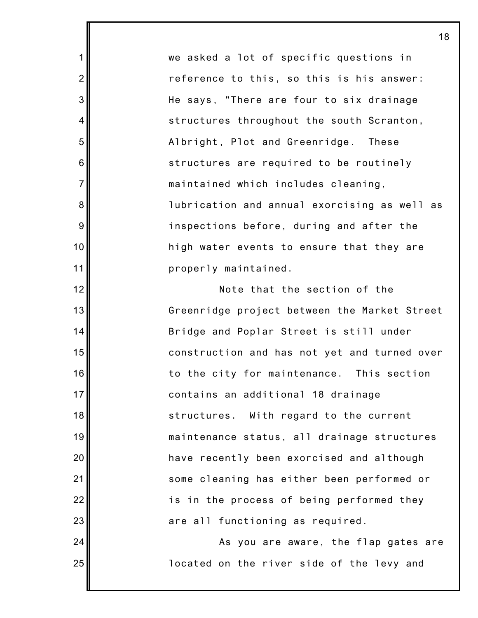we asked a lot of specific questions in reference to this, so this is his answer: He says, "There are four to six drainage structures throughout the south Scranton, Albright, Plot and Greenridge. These structures are required to be routinely maintained which includes cleaning, lubrication and annual exorcising as well as inspections before, during and after the high water events to ensure that they are properly maintained.

1

2

3

4

5

6

7

8

9

10

11

12

13

14

15

16

17

18

19

20

21

22

23

24

25

Note that the section of the Greenridge project between the Market Street Bridge and Poplar Street is still under construction and has not yet and turned over to the city for maintenance. This section contains an additional 18 drainage structures. With regard to the current maintenance status, all drainage structures have recently been exorcised and although some cleaning has either been performed or is in the process of being performed they are all functioning as required.

As you are aware, the flap gates are located on the river side of the levy and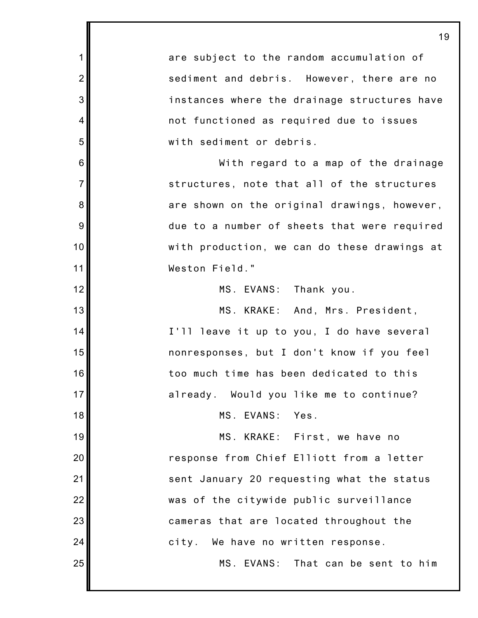1 2 3 4 5 6 7 8 9 10 11 12 13 14 15 16 17 18 19 20 21 22 23 24 25 are subject to the random accumulation of sediment and debris. However, there are no instances where the drainage structures have not functioned as required due to issues with sediment or debris. With regard to a map of the drainage structures, note that all of the structures are shown on the original drawings, however, due to a number of sheets that were required with production, we can do these drawings at Weston Field." MS. EVANS: Thank you. MS. KRAKE: And, Mrs. President, I'll leave it up to you, I do have several nonresponses, but I don't know if you feel too much time has been dedicated to this already. Would you like me to continue? MS. EVANS: Yes. MS. KRAKE: First, we have no response from Chief Elliott from a letter sent January 20 requesting what the status was of the citywide public surveillance cameras that are located throughout the city. We have no written response. MS. EVANS: That can be sent to him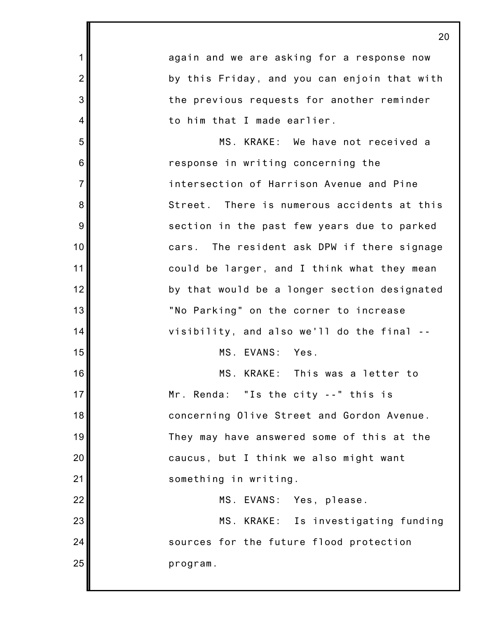1 2 3 4 5 6 7 8 9 10 11 12 13 14 15 16 17 18 19 20 21 22 23 24 25 20 again and we are asking for a response now by this Friday, and you can enjoin that with the previous requests for another reminder to him that I made earlier. MS. KRAKE: We have not received a response in writing concerning the intersection of Harrison Avenue and Pine Street. There is numerous accidents at this section in the past few years due to parked cars. The resident ask DPW if there signage could be larger, and I think what they mean by that would be a longer section designated "No Parking" on the corner to increase visibility, and also we'll do the final -- MS. EVANS: Yes. MS. KRAKE: This was a letter to Mr. Renda: "Is the city --" this is concerning Olive Street and Gordon Avenue. They may have answered some of this at the caucus, but I think we also might want something in writing. MS. EVANS: Yes, please. MS. KRAKE: Is investigating funding sources for the future flood protection program.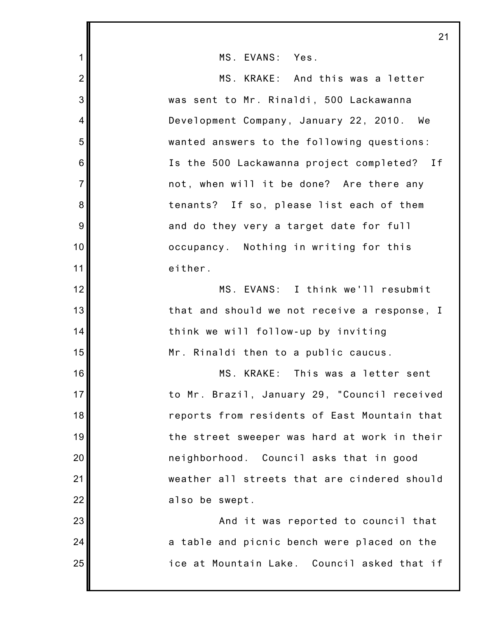|                 | 21                                           |
|-----------------|----------------------------------------------|
| $\mathbf 1$     | MS. EVANS: Yes.                              |
| $\overline{2}$  | MS. KRAKE: And this was a letter             |
| 3               | was sent to Mr. Rinaldi, 500 Lackawanna      |
| $\overline{4}$  | Development Company, January 22, 2010. We    |
| 5               | wanted answers to the following questions:   |
| $6\phantom{1}6$ | Is the 500 Lackawanna project completed? If  |
| $\overline{7}$  | not, when will it be done? Are there any     |
| 8               | tenants? If so, please list each of them     |
| 9               | and do they very a target date for full      |
| 10              | occupancy. Nothing in writing for this       |
| 11              | either.                                      |
| 12              | MS. EVANS: I think we'll resubmit            |
| 13              | that and should we not receive a response, I |
| 14              | think we will follow-up by inviting          |
| 15              | Mr. Rinaldi then to a public caucus.         |
| 16              | MS. KRAKE: This was a letter sent            |
| 17              | to Mr. Brazil, January 29, "Council received |
| 18              | reports from residents of East Mountain that |
| 19              | the street sweeper was hard at work in their |
| 20              | neighborhood. Council asks that in good      |
| 21              | weather all streets that are cindered should |
| 22              | also be swept.                               |
| 23              | And it was reported to council that          |
| 24              | a table and picnic bench were placed on the  |
| 25              | ice at Mountain Lake. Council asked that if  |
|                 |                                              |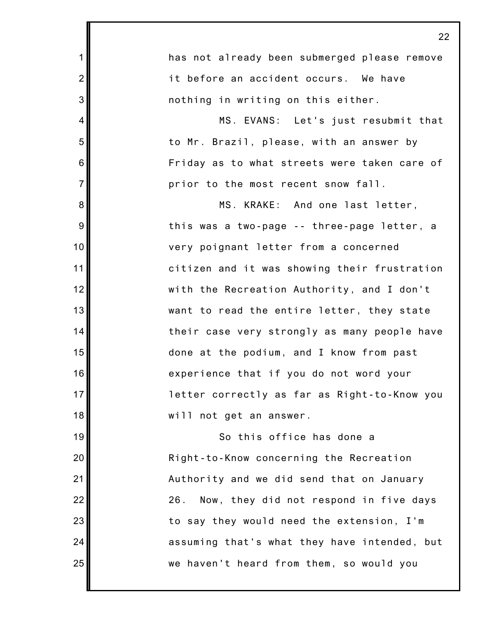|                | 24                                           |
|----------------|----------------------------------------------|
| $\mathbf{1}$   | has not already been submerged please remove |
| $\overline{2}$ | it before an accident occurs. We have        |
| 3              | nothing in writing on this either.           |
| 4              | MS. EVANS: Let's just resubmit that          |
| 5              | to Mr. Brazil, please, with an answer by     |
| $6\,$          | Friday as to what streets were taken care of |
| $\overline{7}$ | prior to the most recent snow fall.          |
| 8              | MS. KRAKE: And one last letter,              |
| $9\,$          | this was a two-page -- three-page letter, a  |
| 10             | very poignant letter from a concerned        |
| 11             | citizen and it was showing their frustration |
| 12             | with the Recreation Authority, and I don't   |
| 13             | want to read the entire letter, they state   |
| 14             | their case very strongly as many people have |
| 15             | done at the podium, and I know from past     |
| 16             | experience that if you do not word your      |
| 17             | letter correctly as far as Right-to-Know you |
| 18             | will not get an answer.                      |
| 19             | So this office has done a                    |
| 20             | Right-to-Know concerning the Recreation      |
| 21             | Authority and we did send that on January    |
| 22             | 26. Now, they did not respond in five days   |
| 23             | to say they would need the extension, I'm    |
| 24             | assuming that's what they have intended, but |
| 25             | we haven't heard from them, so would you     |
|                |                                              |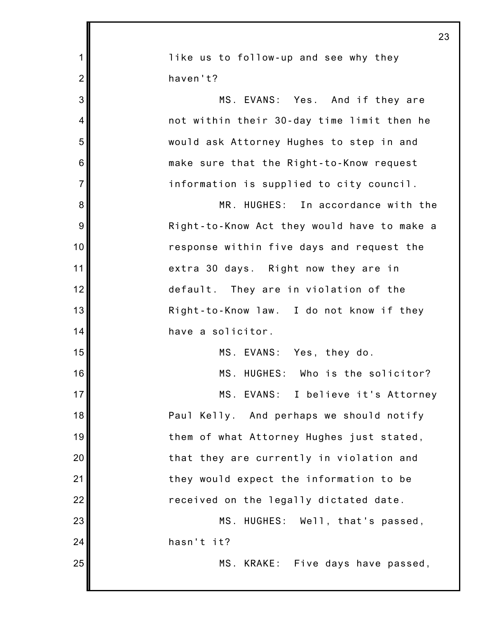|                | 23                                          |
|----------------|---------------------------------------------|
| $\mathbf 1$    | like us to follow-up and see why they       |
| $\overline{2}$ | haven't?                                    |
| 3              | MS. EVANS: Yes. And if they are             |
| 4              | not within their 30-day time limit then he  |
| 5              | would ask Attorney Hughes to step in and    |
| 6              | make sure that the Right-to-Know request    |
| $\overline{7}$ | information is supplied to city council.    |
| 8              | MR. HUGHES: In accordance with the          |
| 9              | Right-to-Know Act they would have to make a |
| 10             | response within five days and request the   |
| 11             | extra 30 days. Right now they are in        |
| 12             | default. They are in violation of the       |
| 13             | Right-to-Know law. I do not know if they    |
| 14             | have a solicitor.                           |
| 15             | MS. EVANS: Yes, they do.                    |
| 16             | MS. HUGHES: Who is the solicitor?           |
| 17             | MS. EVANS: I believe it's Attorney          |
| 18             | Paul Kelly. And perhaps we should notify    |
| 19             | them of what Attorney Hughes just stated,   |
| 20             | that they are currently in violation and    |
| 21             | they would expect the information to be     |
| 22             | received on the legally dictated date.      |
| 23             | MS. HUGHES: Well, that's passed,            |
| 24             | hasn't it?                                  |
| 25             | MS. KRAKE: Five days have passed,           |
|                |                                             |

Ш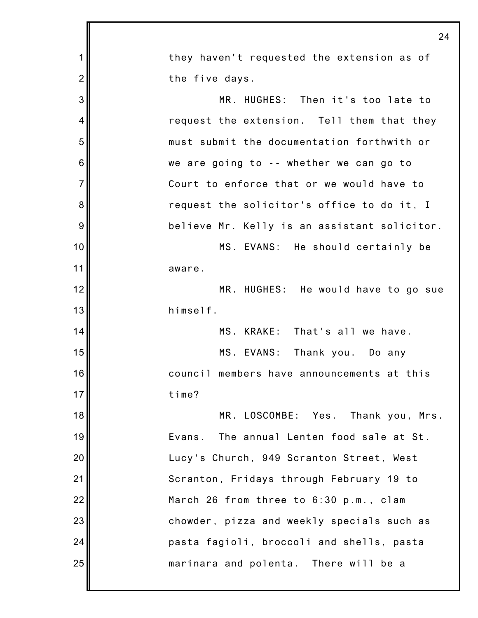|                | 24                                           |
|----------------|----------------------------------------------|
| 1              | they haven't requested the extension as of   |
| $\overline{2}$ | the five days.                               |
| 3              | MR. HUGHES: Then it's too late to            |
| $\overline{4}$ | request the extension. Tell them that they   |
| 5              | must submit the documentation forthwith or   |
| 6              | we are going to -- whether we can go to      |
| $\overline{7}$ | Court to enforce that or we would have to    |
| 8              | request the solicitor's office to do it, I   |
| 9              | believe Mr. Kelly is an assistant solicitor. |
| 10             | MS. EVANS: He should certainly be            |
| 11             | aware.                                       |
| 12             | MR. HUGHES: He would have to go sue          |
| 13             | himself.                                     |
| 14             | MS. KRAKE: That's all we have.               |
| 15             | MS. EVANS:<br>Thank you. Do any              |
| 16             | council members have announcements at this   |
| 17             | time?                                        |
| 18             | MR. LOSCOMBE: Yes. Thank you, Mrs.           |
| 19             | The annual Lenten food sale at St.<br>Evans. |
| 20             | Lucy's Church, 949 Scranton Street, West     |
| 21             | Scranton, Fridays through February 19 to     |
| 22             | March 26 from three to 6:30 p.m., clam       |
| 23             | chowder, pizza and weekly specials such as   |
| 24             | pasta fagioli, broccoli and shells, pasta    |
| 25             | marinara and polenta. There will be a        |
|                |                                              |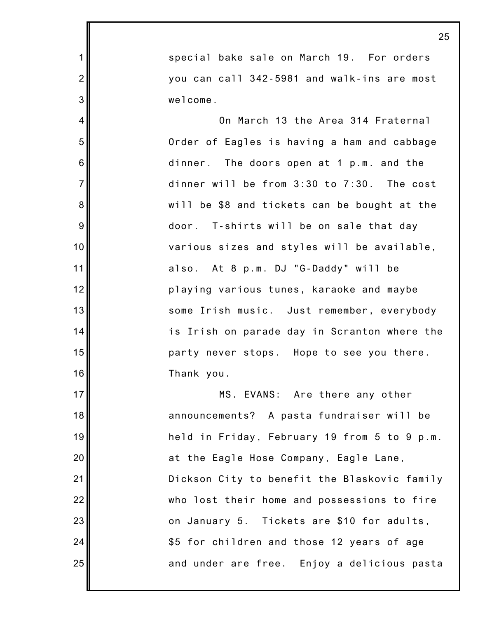special bake sale on March 19. For orders you can call 342-5981 and walk-ins are most welcome.

1

2

3

4

5

6

7

8

9

10

11

12

13

14

15

16

17

18

19

20

21

22

23

24

25

On March 13 the Area 314 Fraternal Order of Eagles is having a ham and cabbage dinner. The doors open at 1 p.m. and the dinner will be from 3:30 to 7:30. The cost will be \$8 and tickets can be bought at the door. T-shirts will be on sale that day various sizes and styles will be available, also. At 8 p.m. DJ "G-Daddy" will be playing various tunes, karaoke and maybe some Irish music. Just remember, everybody is Irish on parade day in Scranton where the party never stops. Hope to see you there. Thank you.

MS. EVANS: Are there any other announcements? A pasta fundraiser will be held in Friday, February 19 from 5 to 9 p.m. at the Eagle Hose Company, Eagle Lane, Dickson City to benefit the Blaskovic family who lost their home and possessions to fire on January 5. Tickets are \$10 for adults, \$5 for children and those 12 years of age and under are free. Enjoy a delicious pasta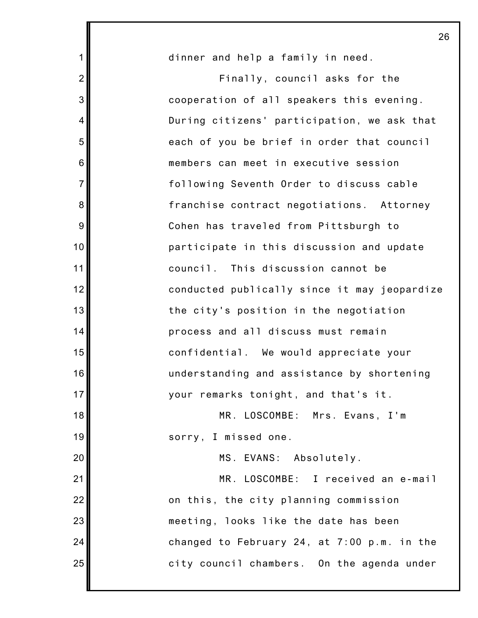|                | 26                                           |
|----------------|----------------------------------------------|
| $\mathbf 1$    | dinner and help a family in need.            |
| $\overline{2}$ | Finally, council asks for the                |
| 3              | cooperation of all speakers this evening.    |
| 4              | During citizens' participation, we ask that  |
| 5              | each of you be brief in order that council   |
| 6              | members can meet in executive session        |
| $\overline{7}$ | following Seventh Order to discuss cable     |
| 8              | franchise contract negotiations. Attorney    |
| 9              | Cohen has traveled from Pittsburgh to        |
| 10             | participate in this discussion and update    |
| 11             | council. This discussion cannot be           |
| 12             | conducted publically since it may jeopardize |
| 13             | the city's position in the negotiation       |
| 14             | process and all discuss must remain          |
| 15             | confidential. We would appreciate your       |
| 16             | understanding and assistance by shortening   |
| 17             | your remarks tonight, and that's it.         |
| 18             | MR. LOSCOMBE: Mrs. Evans, I'm                |
| 19             | sorry, I missed one.                         |
| 20             | MS. EVANS: Absolutely.                       |
| 21             | MR. LOSCOMBE: I received an e-mail           |
| 22             | on this, the city planning commission        |
| 23             | meeting, looks like the date has been        |
| 24             | changed to February 24, at 7:00 p.m. in the  |
| 25             | city council chambers. On the agenda under   |
|                |                                              |

 $\overline{\phantom{a}}$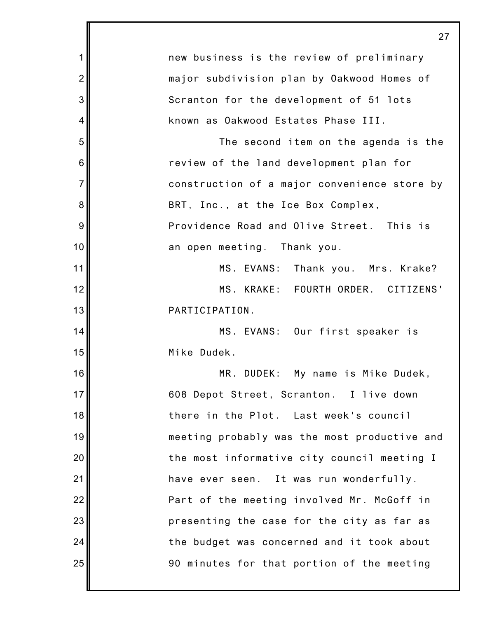|                | 27                                           |
|----------------|----------------------------------------------|
| 1              | new business is the review of preliminary    |
| $\overline{2}$ | major subdivision plan by Oakwood Homes of   |
| 3              | Scranton for the development of 51 lots      |
| 4              | known as Oakwood Estates Phase III.          |
| 5              | The second item on the agenda is the         |
| 6              | review of the land development plan for      |
| $\overline{7}$ | construction of a major convenience store by |
| 8              | BRT, Inc., at the Ice Box Complex,           |
| 9              | Providence Road and Olive Street. This is    |
| 10             | an open meeting. Thank you.                  |
| 11             | MS. EVANS:<br>Thank you. Mrs. Krake?         |
| 12             | MS. KRAKE: FOURTH ORDER. CITIZENS'           |
| 13             | PARTICIPATION.                               |
| 14             | MS. EVANS: Our first speaker is              |
| 15             | Mike Dudek.                                  |
| 16             | MR. DUDEK:<br>My name is Mike Dudek,         |
| 17             | 608 Depot Street, Scranton. I live down      |
| 18             | there in the Plot. Last week's council       |
| 19             | meeting probably was the most productive and |
| 20             | the most informative city council meeting I  |
| 21             | have ever seen. It was run wonderfully.      |
| 22             | Part of the meeting involved Mr. McGoff in   |
| 23             | presenting the case for the city as far as   |
| 24             | the budget was concerned and it took about   |
| 25             | 90 minutes for that portion of the meeting   |
|                |                                              |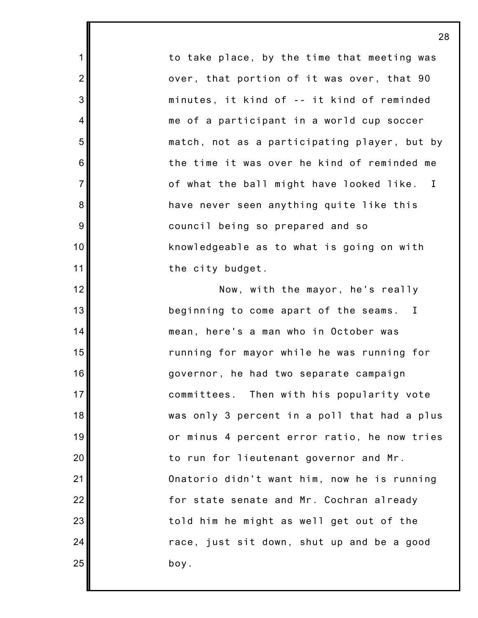to take place, by the time that meeting was over, that portion of it was over, that 90 minutes, it kind of -- it kind of reminded me of a participant in a world cup soccer match, not as a participating player, but by the time it was over he kind of reminded me of what the ball might have looked like. I have never seen anything quite like this council being so prepared and so knowledgeable as to what is going on with the city budget.

1

2

3

4

5

6

7

8

9

10

11

12

13

14

15

16

17

18

19

20

21

22

23

24

25

Now, with the mayor, he's really beginning to come apart of the seams. I mean, here's a man who in October was running for mayor while he was running for governor, he had two separate campaign committees. Then with his popularity vote was only 3 percent in a poll that had a plus or minus 4 percent error ratio, he now tries to run for lieutenant governor and Mr. Onatorio didn't want him, now he is running for state senate and Mr. Cochran already told him he might as well get out of the race, just sit down, shut up and be a good boy.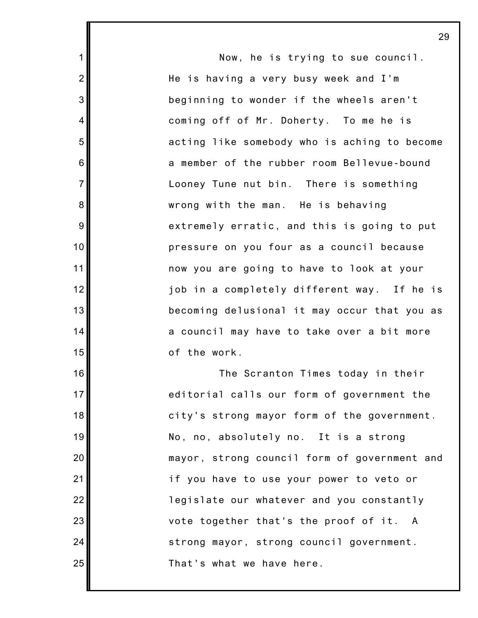Now, he is trying to sue council. He is having a very busy week and I'm beginning to wonder if the wheels aren't coming off of Mr. Doherty. To me he is acting like somebody who is aching to become a member of the rubber room Bellevue-bound Looney Tune nut bin. There is something wrong with the man. He is behaving extremely erratic, and this is going to put pressure on you four as a council because now you are going to have to look at your job in a completely different way. If he is becoming delusional it may occur that you as a council may have to take over a bit more of the work. The Scranton Times today in their editorial calls our form of government the city's strong mayor form of the government. No, no, absolutely no. It is a strong mayor, strong council form of government and if you have to use your power to veto or legislate our whatever and you constantly vote together that's the proof of it. A strong mayor, strong council government. That's what we have here.

1

2

3

4

5

6

7

8

9

10

11

12

13

14

15

16

17

18

19

20

21

22

23

24

25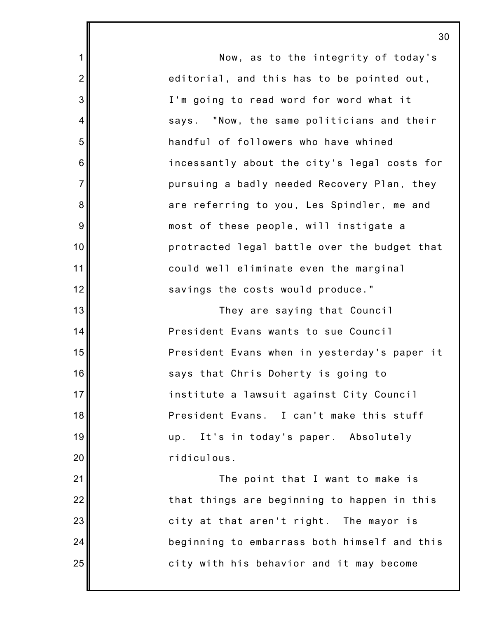Now, as to the integrity of today's editorial, and this has to be pointed out, I'm going to read word for word what it says. "Now, the same politicians and their handful of followers who have whined incessantly about the city's legal costs for pursuing a badly needed Recovery Plan, they are referring to you, Les Spindler, me and most of these people, will instigate a protracted legal battle over the budget that could well eliminate even the marginal savings the costs would produce." They are saying that Council President Evans wants to sue Council President Evans when in yesterday's paper it says that Chris Doherty is going to institute a lawsuit against City Council President Evans. I can't make this stuff up. It's in today's paper. Absolutely ridiculous. The point that I want to make is that things are beginning to happen in this city at that aren't right. The mayor is beginning to embarrass both himself and this city with his behavior and it may become

1

2

3

4

5

6

7

8

9

10

11

12

13

14

15

16

17

18

19

20

21

22

23

24

25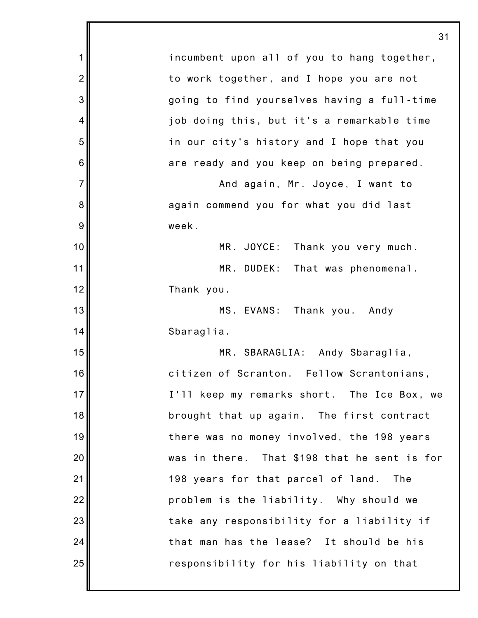1 2 3 4 5 6 7 8 9 10 11 12 13 14 15 16 17 18 19 20 21 22 23 24 25 31 incumbent upon all of you to hang together, to work together, and I hope you are not going to find yourselves having a full-time job doing this, but it's a remarkable time in our city's history and I hope that you are ready and you keep on being prepared. And again, Mr. Joyce, I want to again commend you for what you did last week. MR. JOYCE: Thank you very much. MR. DUDEK: That was phenomenal. Thank you. MS. EVANS: Thank you. Andy Sbaraglia. MR. SBARAGLIA: Andy Sbaraglia, citizen of Scranton. Fellow Scrantonians, I'll keep my remarks short. The Ice Box, we brought that up again. The first contract there was no money involved, the 198 years was in there. That \$198 that he sent is for 198 years for that parcel of land. The problem is the liability. Why should we take any responsibility for a liability if that man has the lease? It should be his responsibility for his liability on that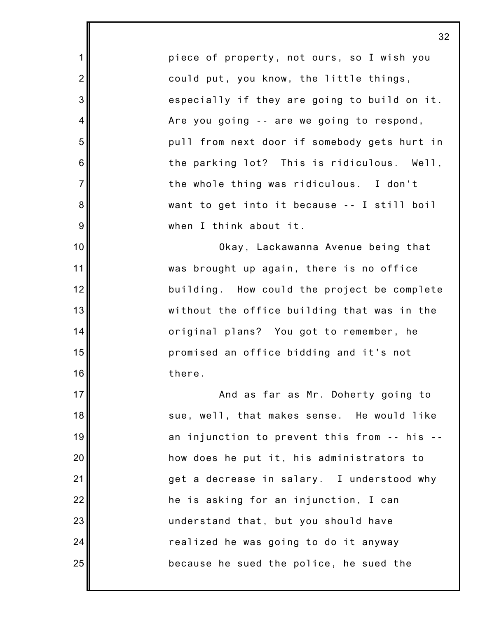piece of property, not ours, so I wish you could put, you know, the little things, especially if they are going to build on it. Are you going -- are we going to respond, pull from next door if somebody gets hurt in the parking lot? This is ridiculous. Well, the whole thing was ridiculous. I don't want to get into it because -- I still boil when I think about it.

1

2

3

4

5

6

7

8

9

10

11

12

13

14

15

16

17

18

19

20

21

22

23

24

25

Okay, Lackawanna Avenue being that was brought up again, there is no office building. How could the project be complete without the office building that was in the original plans? You got to remember, he promised an office bidding and it's not there.

And as far as Mr. Doherty going to sue, well, that makes sense. He would like an injunction to prevent this from -- his - how does he put it, his administrators to get a decrease in salary. I understood why he is asking for an injunction, I can understand that, but you should have realized he was going to do it anyway because he sued the police, he sued the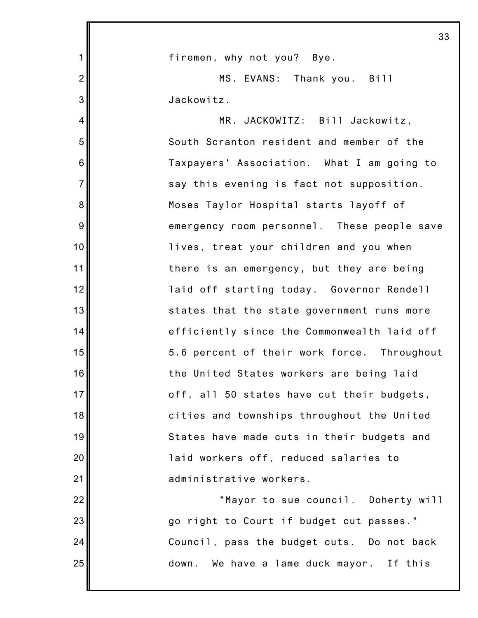|                | 33                                          |
|----------------|---------------------------------------------|
| 1              | firemen, why not you? Bye.                  |
| $\overline{2}$ | MS. EVANS: Thank you. Bill                  |
| 3              | Jackowitz.                                  |
| 4              | MR. JACKOWITZ: Bill Jackowitz,              |
| 5              | South Scranton resident and member of the   |
| 6              | Taxpayers' Association. What I am going to  |
| $\overline{7}$ | say this evening is fact not supposition.   |
| 8              | Moses Taylor Hospital starts layoff of      |
| 9              | emergency room personnel. These people save |
| 10             | lives, treat your children and you when     |
| 11             | there is an emergency, but they are being   |
| 12             | laid off starting today. Governor Rendell   |
| 13             | states that the state government runs more  |
| 14             | efficiently since the Commonwealth laid off |
| 15             | 5.6 percent of their work force. Throughout |
| 16             | the United States workers are being laid    |
| 17             | off, all 50 states have cut their budgets,  |
| 18             | cities and townships throughout the United  |
| 19             | States have made cuts in their budgets and  |
| 20             | laid workers off, reduced salaries to       |
| 21             | administrative workers.                     |
| 22             | "Mayor to sue council. Doherty will         |
| 23             | go right to Court if budget cut passes."    |
| 24             | Council, pass the budget cuts. Do not back  |
| 25             | down.<br>We have a lame duck mayor. If this |
|                |                                             |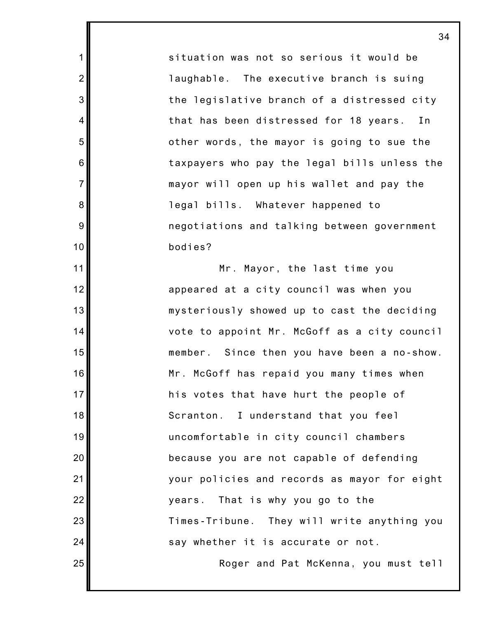situation was not so serious it would be laughable. The executive branch is suing the legislative branch of a distressed city that has been distressed for 18 years. In other words, the mayor is going to sue the taxpayers who pay the legal bills unless the mayor will open up his wallet and pay the legal bills. Whatever happened to negotiations and talking between government bodies?

1

2

3

4

5

6

7

8

9

10

11

12

13

14

15

16

17

18

19

20

21

22

23

24

25

Mr. Mayor, the last time you appeared at a city council was when you mysteriously showed up to cast the deciding vote to appoint Mr. McGoff as a city council member. Since then you have been a no-show. Mr. McGoff has repaid you many times when his votes that have hurt the people of Scranton. I understand that you feel uncomfortable in city council chambers because you are not capable of defending your policies and records as mayor for eight years. That is why you go to the Times-Tribune. They will write anything you say whether it is accurate or not.

Roger and Pat McKenna, you must tell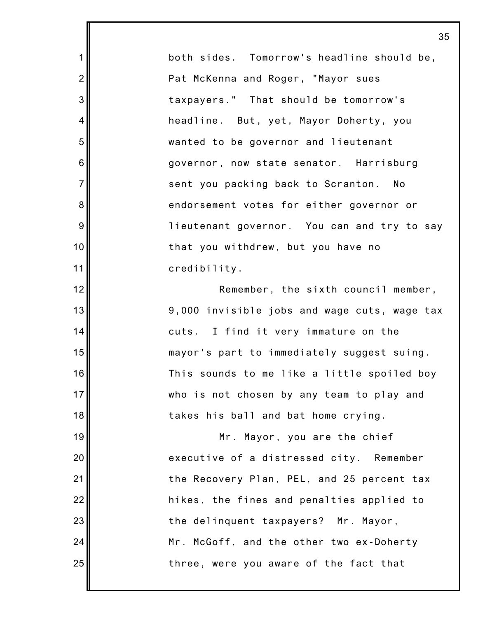both sides. Tomorrow's headline should be, Pat McKenna and Roger, "Mayor sues taxpayers." That should be tomorrow's headline. But, yet, Mayor Doherty, you wanted to be governor and lieutenant governor, now state senator. Harrisburg sent you packing back to Scranton. No endorsement votes for either governor or lieutenant governor. You can and try to say that you withdrew, but you have no credibility.

1

2

3

4

5

6

7

8

9

10

11

12

13

14

15

16

17

18

19

20

21

22

23

24

25

Remember, the sixth council member, 9,000 invisible jobs and wage cuts, wage tax cuts. I find it very immature on the mayor's part to immediately suggest suing. This sounds to me like a little spoiled boy who is not chosen by any team to play and takes his ball and bat home crying.

Mr. Mayor, you are the chief executive of a distressed city. Remember the Recovery Plan, PEL, and 25 percent tax hikes, the fines and penalties applied to the delinquent taxpayers? Mr. Mayor, Mr. McGoff, and the other two ex-Doherty three, were you aware of the fact that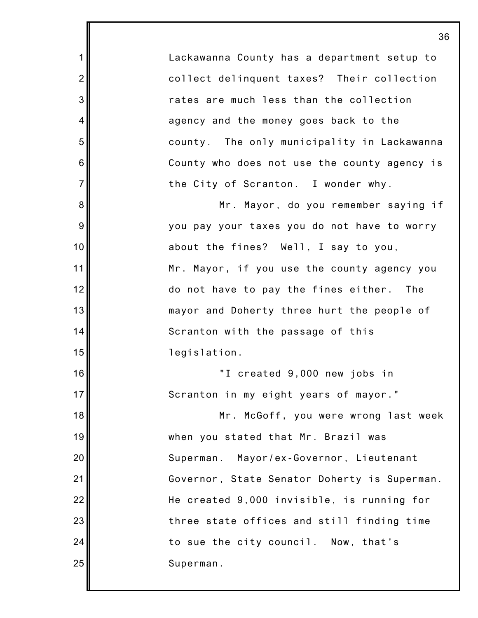Lackawanna County has a department setup to collect delinquent taxes? Their collection rates are much less than the collection agency and the money goes back to the county. The only municipality in Lackawanna County who does not use the county agency is the City of Scranton. I wonder why.

1

2

3

4

5

6

7

8

9

10

11

12

13

14

15

16

17

18

19

20

21

22

23

24

25

Mr. Mayor, do you remember saying if you pay your taxes you do not have to worry about the fines? Well, I say to you, Mr. Mayor, if you use the county agency you do not have to pay the fines either. The mayor and Doherty three hurt the people of Scranton with the passage of this legislation.

"I created 9,000 new jobs in Scranton in my eight years of mayor."

Mr. McGoff, you were wrong last week when you stated that Mr. Brazil was Superman. Mayor/ex-Governor, Lieutenant Governor, State Senator Doherty is Superman. He created 9,000 invisible, is running for three state offices and still finding time to sue the city council. Now, that's Superman.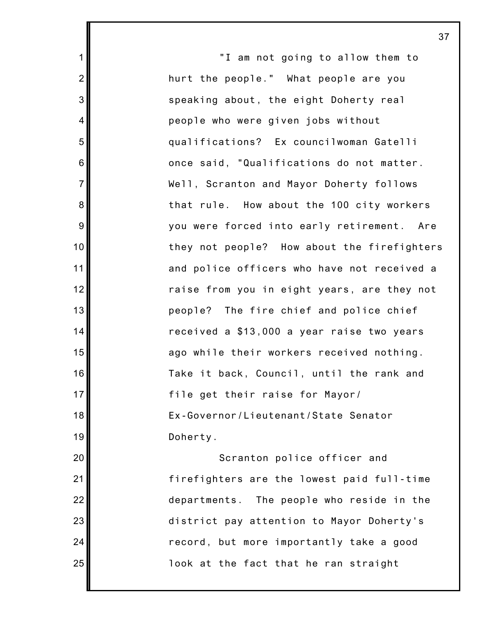"I am not going to allow them to hurt the people." What people are you speaking about, the eight Doherty real people who were given jobs without qualifications? Ex councilwoman Gatelli once said, "Qualifications do not matter. Well, Scranton and Mayor Doherty follows that rule. How about the 100 city workers you were forced into early retirement. Are they not people? How about the firefighters and police officers who have not received a raise from you in eight years, are they not people? The fire chief and police chief received a \$13,000 a year raise two years ago while their workers received nothing. Take it back, Council, until the rank and file get their raise for Mayor/ Ex-Governor/Lieutenant/State Senator Doherty.

1

2

3

4

5

6

7

8

9

10

11

12

13

14

15

16

17

18

19

20

21

22

23

24

25

Scranton police officer and firefighters are the lowest paid full-time departments. The people who reside in the district pay attention to Mayor Doherty's record, but more importantly take a good look at the fact that he ran straight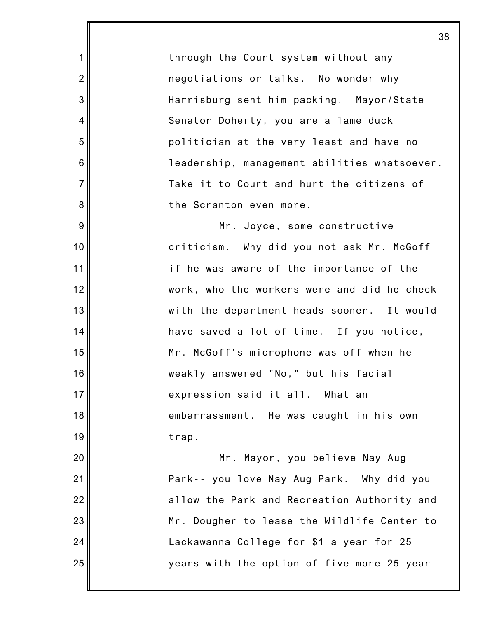through the Court system without any negotiations or talks. No wonder why Harrisburg sent him packing. Mayor/State Senator Doherty, you are a lame duck politician at the very least and have no leadership, management abilities whatsoever. Take it to Court and hurt the citizens of the Scranton even more.

1

2

3

4

5

6

7

8

9

10

11

12

13

14

15

16

17

18

19

20

21

22

23

24

25

Mr. Joyce, some constructive criticism. Why did you not ask Mr. McGoff if he was aware of the importance of the work, who the workers were and did he check with the department heads sooner. It would have saved a lot of time. If you notice, Mr. McGoff's microphone was off when he weakly answered "No," but his facial expression said it all. What an embarrassment. He was caught in his own trap.

Mr. Mayor, you believe Nay Aug Park-- you love Nay Aug Park. Why did you allow the Park and Recreation Authority and Mr. Dougher to lease the Wildlife Center to Lackawanna College for \$1 a year for 25 years with the option of five more 25 year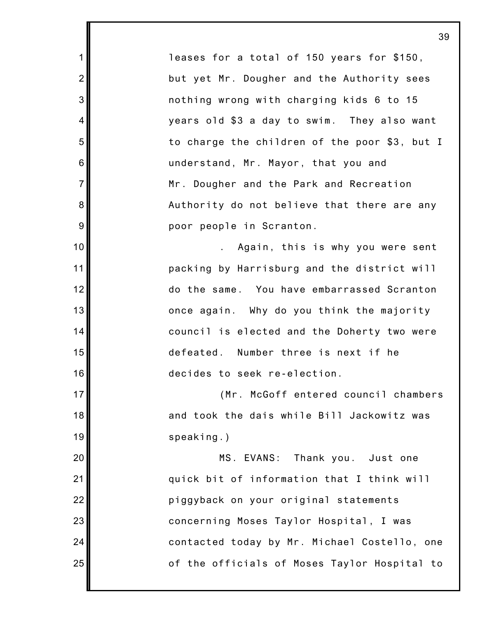leases for a total of 150 years for \$150, but yet Mr. Dougher and the Authority sees nothing wrong with charging kids 6 to 15 years old \$3 a day to swim. They also want to charge the children of the poor \$3, but I understand, Mr. Mayor, that you and Mr. Dougher and the Park and Recreation Authority do not believe that there are any poor people in Scranton.

1

2

3

4

5

6

7

8

9

10

11

12

13

14

15

16

17

18

19

20

21

22

23

24

25

. Again, this is why you were sent packing by Harrisburg and the district will do the same. You have embarrassed Scranton once again. Why do you think the majority council is elected and the Doherty two were defeated. Number three is next if he decides to seek re-election.

(Mr. McGoff entered council chambers and took the dais while Bill Jackowitz was speaking.)

MS. EVANS: Thank you. Just one quick bit of information that I think will piggyback on your original statements concerning Moses Taylor Hospital, I was contacted today by Mr. Michael Costello, one of the officials of Moses Taylor Hospital to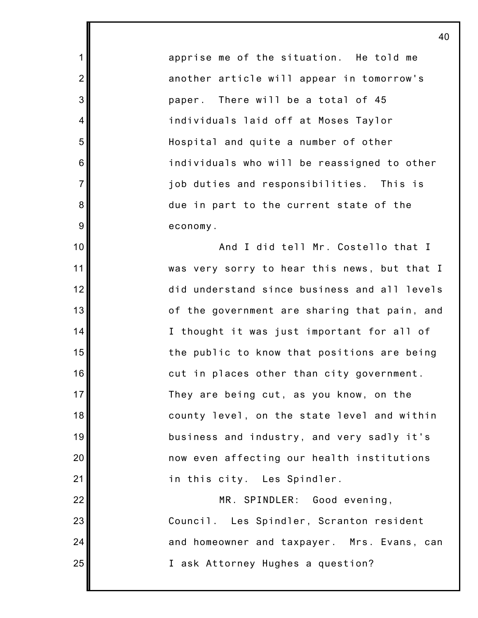apprise me of the situation. He told me another article will appear in tomorrow's paper. There will be a total of 45 individuals laid off at Moses Taylor Hospital and quite a number of other individuals who will be reassigned to other job duties and responsibilities. This is due in part to the current state of the economy.

1

2

3

4

5

6

7

8

9

10

11

12

13

14

15

16

17

18

19

20

21

And I did tell Mr. Costello that I was very sorry to hear this news, but that I did understand since business and all levels of the government are sharing that pain, and I thought it was just important for all of the public to know that positions are being cut in places other than city government. They are being cut, as you know, on the county level, on the state level and within business and industry, and very sadly it's now even affecting our health institutions in this city. Les Spindler.

22 23 24 25 MR. SPINDLER: Good evening, Council. Les Spindler, Scranton resident and homeowner and taxpayer. Mrs. Evans, can I ask Attorney Hughes a question?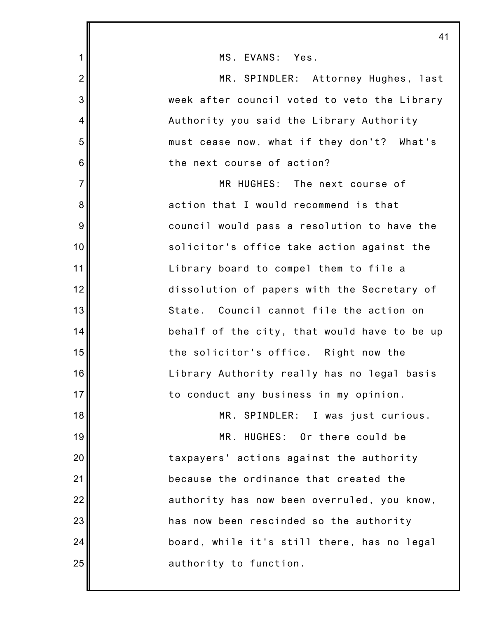|                | 41                                           |
|----------------|----------------------------------------------|
| $\mathbf 1$    | MS. EVANS: Yes.                              |
| $\overline{2}$ | MR. SPINDLER: Attorney Hughes, last          |
| 3              | week after council voted to veto the Library |
| $\overline{4}$ | Authority you said the Library Authority     |
| 5              | must cease now, what if they don't? What's   |
| 6              | the next course of action?                   |
| $\overline{7}$ | MR HUGHES: The next course of                |
| $\bf 8$        | action that I would recommend is that        |
| $\overline{9}$ | council would pass a resolution to have the  |
| 10             | solicitor's office take action against the   |
| 11             | Library board to compel them to file a       |
| 12             | dissolution of papers with the Secretary of  |
| 13             | State. Council cannot file the action on     |
| 14             | behalf of the city, that would have to be up |
| 15             | the solicitor's office. Right now the        |
| 16             | Library Authority really has no legal basis  |
| 17             | to conduct any business in my opinion.       |
| 18             | MR. SPINDLER: I was just curious.            |
| 19             | MR. HUGHES: Or there could be                |
| 20             | taxpayers' actions against the authority     |
| 21             | because the ordinance that created the       |
| 22             | authority has now been overruled, you know,  |
| 23             | has now been rescinded so the authority      |
| 24             | board, while it's still there, has no legal  |
| 25             | authority to function.                       |
|                |                                              |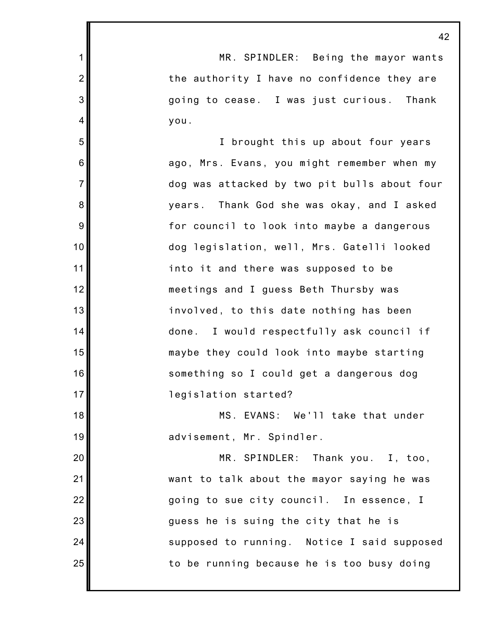1 2 3 4 5 6 7 8 9 10 11 12 13 14 15 16 17 18 19 20 21 22 23 24 25 42 MR. SPINDLER: Being the mayor wants the authority I have no confidence they are going to cease. I was just curious. Thank you. I brought this up about four years ago, Mrs. Evans, you might remember when my dog was attacked by two pit bulls about four years. Thank God she was okay, and I asked for council to look into maybe a dangerous dog legislation, well, Mrs. Gatelli looked into it and there was supposed to be meetings and I guess Beth Thursby was involved, to this date nothing has been done. I would respectfully ask council if maybe they could look into maybe starting something so I could get a dangerous dog legislation started? MS. EVANS: We'll take that under advisement, Mr. Spindler. MR. SPINDLER: Thank you. I, too, want to talk about the mayor saying he was going to sue city council. In essence, I guess he is suing the city that he is supposed to running. Notice I said supposed to be running because he is too busy doing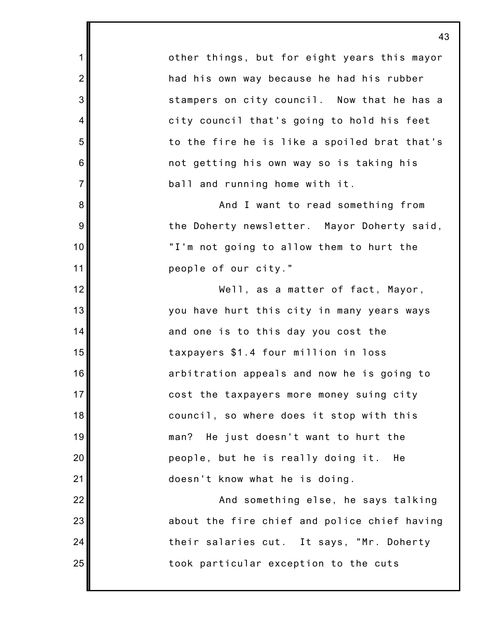other things, but for eight years this mayor had his own way because he had his rubber stampers on city council. Now that he has a city council that's going to hold his feet to the fire he is like a spoiled brat that's not getting his own way so is taking his ball and running home with it.

1

2

3

4

5

6

7

8

9

10

11

12

13

14

15

16

17

18

19

20

21

22

23

24

25

And I want to read something from the Doherty newsletter. Mayor Doherty said, "I'm not going to allow them to hurt the people of our city."

Well, as a matter of fact, Mayor, you have hurt this city in many years ways and one is to this day you cost the taxpayers \$1.4 four million in loss arbitration appeals and now he is going to cost the taxpayers more money suing city council, so where does it stop with this man? He just doesn't want to hurt the people, but he is really doing it. He doesn't know what he is doing.

And something else, he says talking about the fire chief and police chief having their salaries cut. It says, "Mr. Doherty took particular exception to the cuts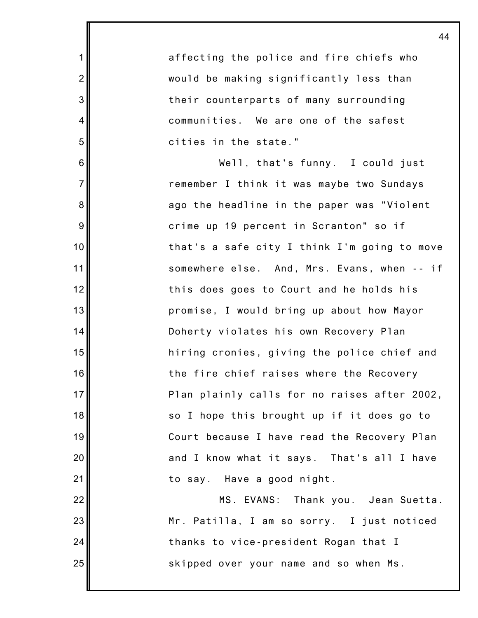affecting the police and fire chiefs who would be making significantly less than their counterparts of many surrounding communities. We are one of the safest cities in the state." Well, that's funny. I could just remember I think it was maybe two Sundays ago the headline in the paper was "Violent crime up 19 percent in Scranton" so if that's a safe city I think I'm going to move somewhere else. And, Mrs. Evans, when -- if this does goes to Court and he holds his promise, I would bring up about how Mayor Doherty violates his own Recovery Plan

1

2

3

4

5

6

7

8

9

10

11

12

13

14

15

16

17

18

19

20

21

22

23

24

25

hiring cronies, giving the police chief and the fire chief raises where the Recovery Plan plainly calls for no raises after 2002, so I hope this brought up if it does go to Court because I have read the Recovery Plan and I know what it says. That's all I have to say. Have a good night.

MS. EVANS: Thank you. Jean Suetta. Mr. Patilla, I am so sorry. I just noticed thanks to vice-president Rogan that I skipped over your name and so when Ms.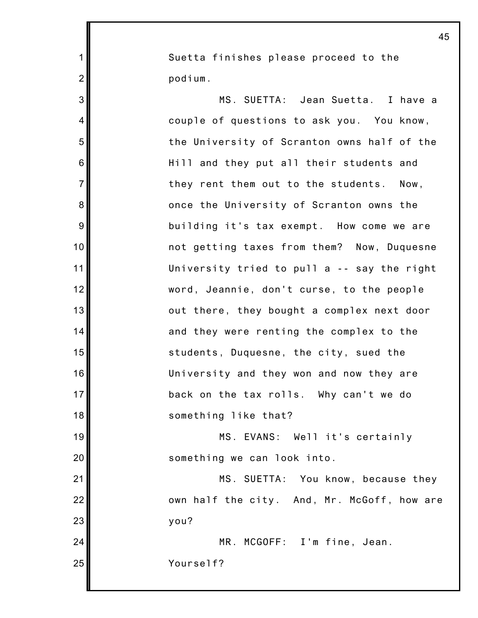Suetta finishes please proceed to the podium.

1

2

3

4

5

6

7

8

9

10

11

12

13

14

15

16

17

18

19

20

21

22

23

MS. SUETTA: Jean Suetta. I have a couple of questions to ask you. You know, the University of Scranton owns half of the Hill and they put all their students and they rent them out to the students. Now, once the University of Scranton owns the building it's tax exempt. How come we are not getting taxes from them? Now, Duquesne University tried to pull a -- say the right word, Jeannie, don't curse, to the people out there, they bought a complex next door and they were renting the complex to the students, Duquesne, the city, sued the University and they won and now they are back on the tax rolls. Why can't we do something like that?

MS. EVANS: Well it's certainly something we can look into.

MS. SUETTA: You know, because they own half the city. And, Mr. McGoff, how are you?

24 25 MR. MCGOFF: I'm fine, Jean. Yourself?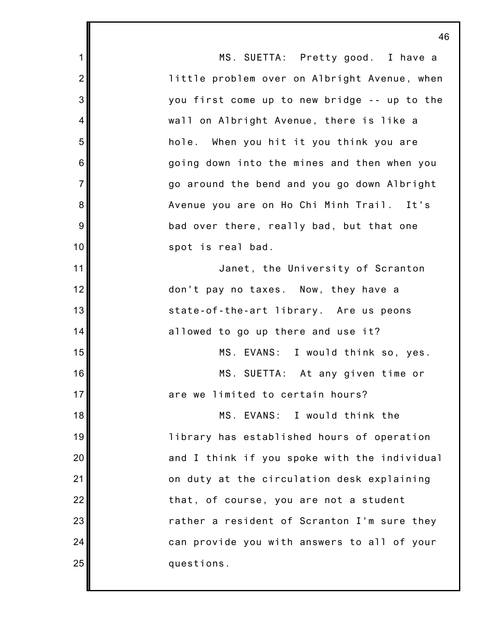1 2 3 4 5 6 7 8 9 10 11 12 13 14 15 16 17 18 19 20 21 22 23 24 25 46 MS. SUETTA: Pretty good. I have a little problem over on Albright Avenue, when you first come up to new bridge -- up to the wall on Albright Avenue, there is like a hole. When you hit it you think you are going down into the mines and then when you go around the bend and you go down Albright Avenue you are on Ho Chi Minh Trail. It's bad over there, really bad, but that one spot is real bad. Janet, the University of Scranton don't pay no taxes. Now, they have a state-of-the-art library. Are us peons allowed to go up there and use it? MS. EVANS: I would think so, yes. MS. SUETTA: At any given time or are we limited to certain hours? MS. EVANS: I would think the library has established hours of operation and I think if you spoke with the individual on duty at the circulation desk explaining that, of course, you are not a student rather a resident of Scranton I'm sure they can provide you with answers to all of your questions.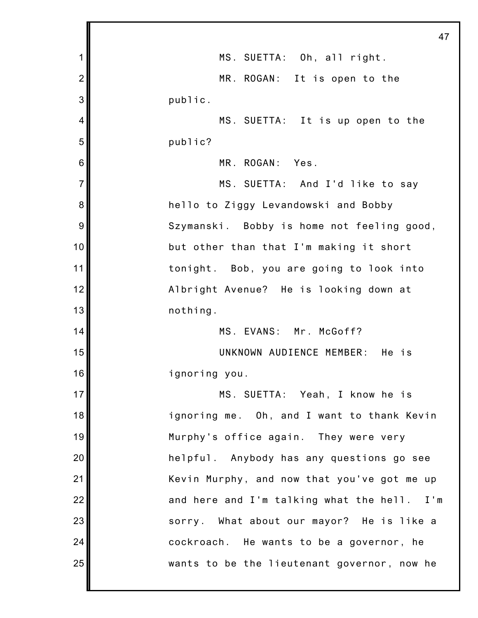|                | 47                                          |
|----------------|---------------------------------------------|
| 1              | MS. SUETTA: Oh, all right.                  |
| $\overline{2}$ | MR. ROGAN: It is open to the                |
| 3              | public.                                     |
| 4              | MS. SUETTA: It is up open to the            |
| 5              | public?                                     |
| 6              | MR. ROGAN: Yes.                             |
| $\overline{7}$ | MS. SUETTA: And I'd like to say             |
| 8              | hello to Ziggy Levandowski and Bobby        |
| 9              | Szymanski. Bobby is home not feeling good,  |
| 10             | but other than that I'm making it short     |
| 11             | tonight. Bob, you are going to look into    |
| 12             | Albright Avenue? He is looking down at      |
| 13             | nothing.                                    |
| 14             | MS. EVANS: Mr. McGoff?                      |
| 15             | UNKNOWN AUDIENCE MEMBER: He is              |
| 16             | ignoring you.                               |
| 17             | MS. SUETTA: Yeah, I know he is              |
| 18             | ignoring me. Oh, and I want to thank Kevin  |
| 19             | Murphy's office again. They were very       |
| 20             | helpful. Anybody has any questions go see   |
| 21             | Kevin Murphy, and now that you've got me up |
| 22             | and here and I'm talking what the hell. I'm |
| 23             | sorry. What about our mayor? He is like a   |
| 24             | cockroach. He wants to be a governor, he    |
| 25             | wants to be the lieutenant governor, now he |
|                |                                             |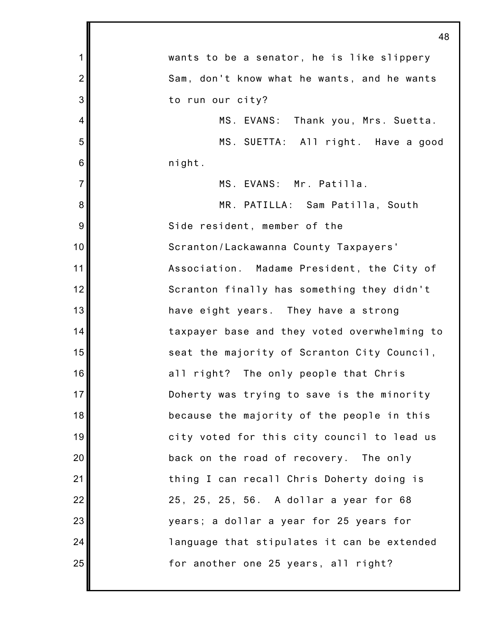|                | 48                                           |
|----------------|----------------------------------------------|
| 1              | wants to be a senator, he is like slippery   |
| $\overline{2}$ | Sam, don't know what he wants, and he wants  |
| 3              | to run our city?                             |
| 4              | MS. EVANS: Thank you, Mrs. Suetta.           |
| 5              | MS. SUETTA: All right. Have a good           |
| $\,$ 6 $\,$    | night.                                       |
| $\overline{7}$ | MS. EVANS: Mr. Patilla.                      |
| 8              | MR. PATILLA: Sam Patilla, South              |
| 9              | Side resident, member of the                 |
| 10             | Scranton/Lackawanna County Taxpayers'        |
| 11             | Association. Madame President, the City of   |
| 12             | Scranton finally has something they didn't   |
| 13             | have eight years. They have a strong         |
| 14             | taxpayer base and they voted overwhelming to |
| 15             | seat the majority of Scranton City Council,  |
| 16             | all right? The only people that Chris        |
| 17             | Doherty was trying to save is the minority   |
| 18             | because the majority of the people in this   |
| 19             | city voted for this city council to lead us  |
| 20             | back on the road of recovery. The only       |
| 21             | thing I can recall Chris Doherty doing is    |
| 22             | 25, 25, 25, 56. A dollar a year for 68       |
| 23             | years; a dollar a year for 25 years for      |
| 24             | language that stipulates it can be extended  |
| 25             | for another one 25 years, all right?         |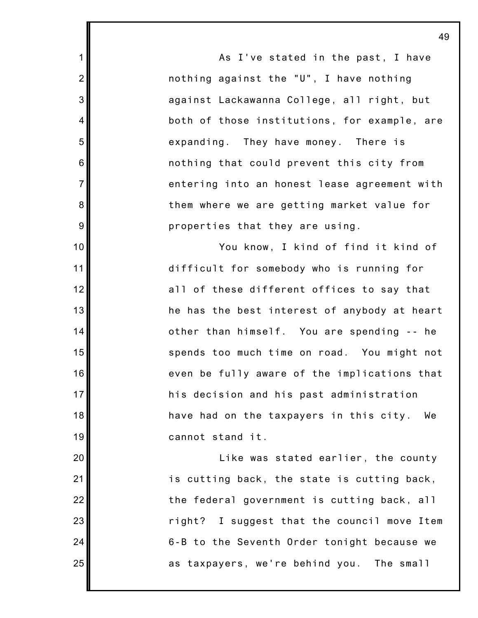As I've stated in the past, I have nothing against the "U", I have nothing against Lackawanna College, all right, but both of those institutions, for example, are expanding. They have money. There is nothing that could prevent this city from entering into an honest lease agreement with them where we are getting market value for properties that they are using.

1

2

3

4

5

6

7

8

9

10

11

12

13

14

15

16

17

18

19

20

21

22

23

24

25

You know, I kind of find it kind of difficult for somebody who is running for all of these different offices to say that he has the best interest of anybody at heart other than himself. You are spending -- he spends too much time on road. You might not even be fully aware of the implications that his decision and his past administration have had on the taxpayers in this city. We cannot stand it.

Like was stated earlier, the county is cutting back, the state is cutting back, the federal government is cutting back, all right? I suggest that the council move Item 6-B to the Seventh Order tonight because we as taxpayers, we're behind you. The small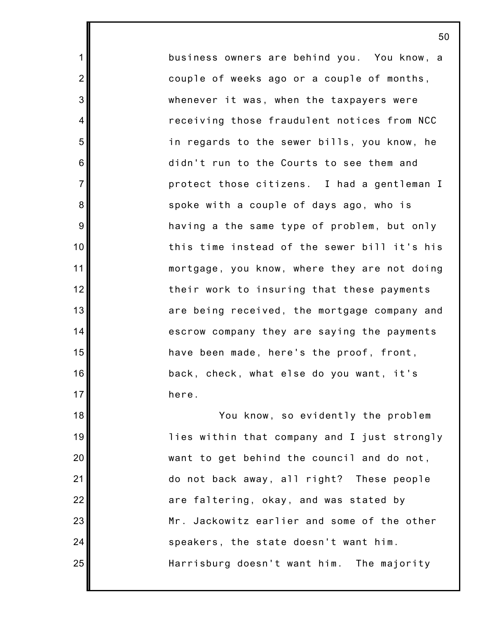business owners are behind you. You know, a couple of weeks ago or a couple of months, whenever it was, when the taxpayers were receiving those fraudulent notices from NCC in regards to the sewer bills, you know, he didn't run to the Courts to see them and protect those citizens. I had a gentleman I spoke with a couple of days ago, who is having a the same type of problem, but only this time instead of the sewer bill it's his mortgage, you know, where they are not doing their work to insuring that these payments are being received, the mortgage company and escrow company they are saying the payments have been made, here's the proof, front, back, check, what else do you want, it's here.

1

2

3

4

5

6

7

8

9

10

11

12

13

14

15

16

17

18

19

20

21

22

23

24

25

You know, so evidently the problem lies within that company and I just strongly want to get behind the council and do not, do not back away, all right? These people are faltering, okay, and was stated by Mr. Jackowitz earlier and some of the other speakers, the state doesn't want him. Harrisburg doesn't want him. The majority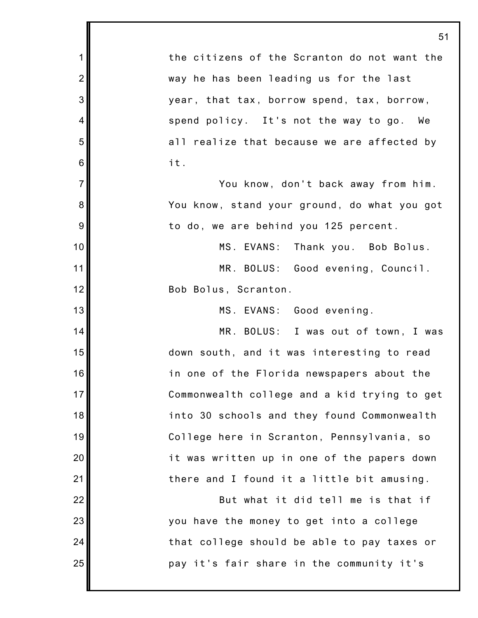|                | 51                                           |
|----------------|----------------------------------------------|
| 1              | the citizens of the Scranton do not want the |
| $\overline{2}$ | way he has been leading us for the last      |
| 3              | year, that tax, borrow spend, tax, borrow,   |
| $\overline{4}$ | spend policy. It's not the way to go. We     |
| 5              | all realize that because we are affected by  |
| 6              | it.                                          |
| $\overline{7}$ | You know, don't back away from him.          |
| 8              | You know, stand your ground, do what you got |
| 9              | to do, we are behind you 125 percent.        |
| 10             | MS. EVANS: Thank you. Bob Bolus.             |
| 11             | MR. BOLUS: Good evening, Council.            |
| 12             | Bob Bolus, Scranton.                         |
| 13             | MS. EVANS: Good evening.                     |
| 14             | MR. BOLUS: I was out of town, I was          |
| 15             | down south, and it was interesting to read   |
| 16             | in one of the Florida newspapers about the   |
| 17             | Commonwealth college and a kid trying to get |
| 18             | into 30 schools and they found Commonwealth  |
| 19             | College here in Scranton, Pennsylvania, so   |
| 20             | it was written up in one of the papers down  |
| 21             | there and I found it a little bit amusing.   |
| 22             | But what it did tell me is that if           |
| 23             | you have the money to get into a college     |
| 24             | that college should be able to pay taxes or  |
| 25             | pay it's fair share in the community it's    |
|                |                                              |

Ш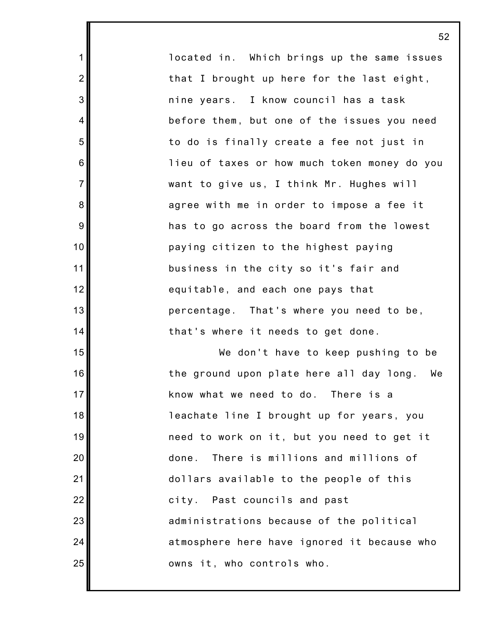located in. Which brings up the same issues that I brought up here for the last eight, nine years. I know council has a task before them, but one of the issues you need to do is finally create a fee not just in lieu of taxes or how much token money do you want to give us, I think Mr. Hughes will agree with me in order to impose a fee it has to go across the board from the lowest paying citizen to the highest paying business in the city so it's fair and equitable, and each one pays that percentage. That's where you need to be, that's where it needs to get done.

1

2

3

4

5

6

7

8

9

10

11

12

13

14

15

16

17

18

19

20

21

22

23

24

25

We don't have to keep pushing to be the ground upon plate here all day long. We know what we need to do. There is a leachate line I brought up for years, you need to work on it, but you need to get it done. There is millions and millions of dollars available to the people of this city. Past councils and past administrations because of the political atmosphere here have ignored it because who owns it, who controls who.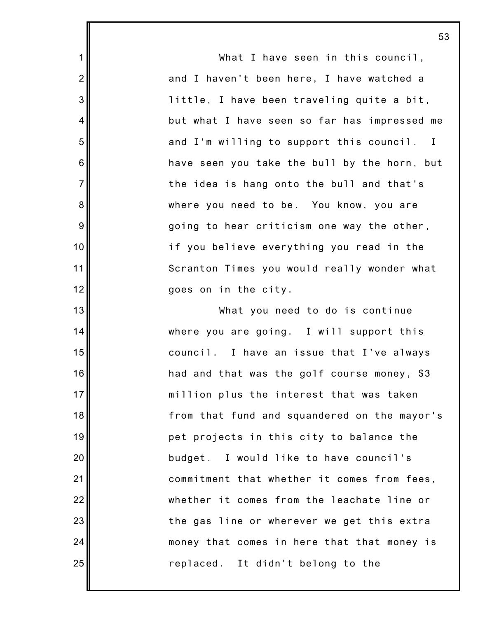What I have seen in this council, and I haven't been here, I have watched a little, I have been traveling quite a bit, but what I have seen so far has impressed me and I'm willing to support this council. I have seen you take the bull by the horn, but the idea is hang onto the bull and that's where you need to be. You know, you are going to hear criticism one way the other, if you believe everything you read in the Scranton Times you would really wonder what goes on in the city.

1

2

3

4

5

6

7

8

9

10

11

12

13

14

15

16

17

18

19

20

21

22

23

24

25

What you need to do is continue where you are going. I will support this council. I have an issue that I've always had and that was the golf course money, \$3 million plus the interest that was taken from that fund and squandered on the mayor's pet projects in this city to balance the budget. I would like to have council's commitment that whether it comes from fees, whether it comes from the leachate line or the gas line or wherever we get this extra money that comes in here that that money is replaced. It didn't belong to the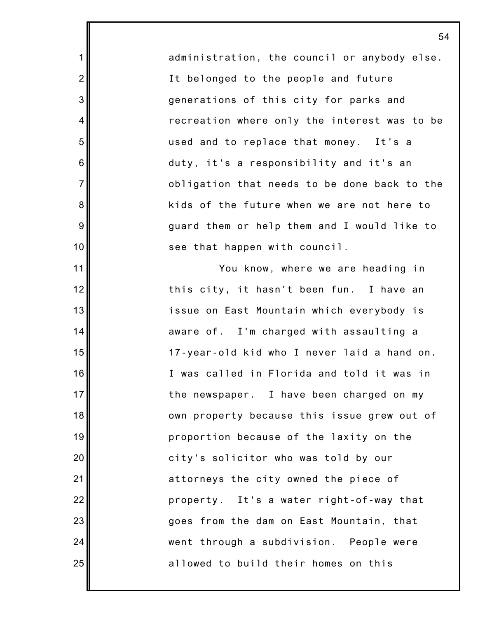administration, the council or anybody else. It belonged to the people and future generations of this city for parks and recreation where only the interest was to be used and to replace that money. It's a duty, it's a responsibility and it's an obligation that needs to be done back to the kids of the future when we are not here to guard them or help them and I would like to see that happen with council.

1

2

3

4

5

6

7

8

9

10

11

12

13

14

15

16

17

18

19

20

21

22

23

24

25

You know, where we are heading in this city, it hasn't been fun. I have an issue on East Mountain which everybody is aware of. I'm charged with assaulting a 17-year-old kid who I never laid a hand on. I was called in Florida and told it was in the newspaper. I have been charged on my own property because this issue grew out of proportion because of the laxity on the city's solicitor who was told by our attorneys the city owned the piece of property. It's a water right-of-way that goes from the dam on East Mountain, that went through a subdivision. People were allowed to build their homes on this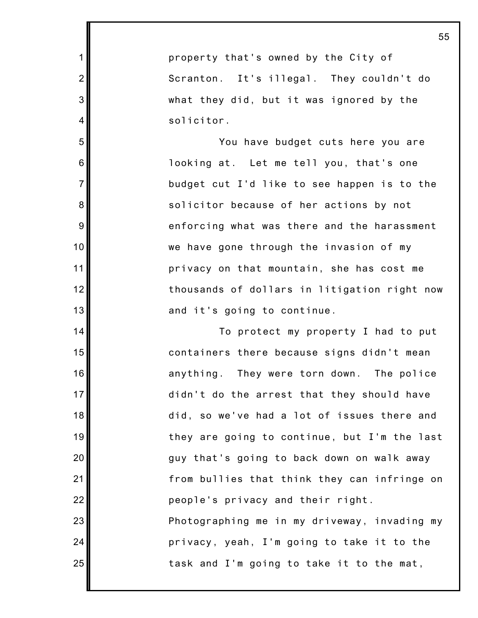property that's owned by the City of Scranton. It's illegal. They couldn't do what they did, but it was ignored by the solicitor.

1

2

3

4

5

6

7

8

9

10

11

12

13

14

15

16

17

18

19

20

21

22

23

24

25

You have budget cuts here you are looking at. Let me tell you, that's one budget cut I'd like to see happen is to the solicitor because of her actions by not enforcing what was there and the harassment we have gone through the invasion of my privacy on that mountain, she has cost me thousands of dollars in litigation right now and it's going to continue.

To protect my property I had to put containers there because signs didn't mean anything. They were torn down. The police didn't do the arrest that they should have did, so we've had a lot of issues there and they are going to continue, but I'm the last guy that's going to back down on walk away from bullies that think they can infringe on people's privacy and their right. Photographing me in my driveway, invading my privacy, yeah, I'm going to take it to the task and I'm going to take it to the mat,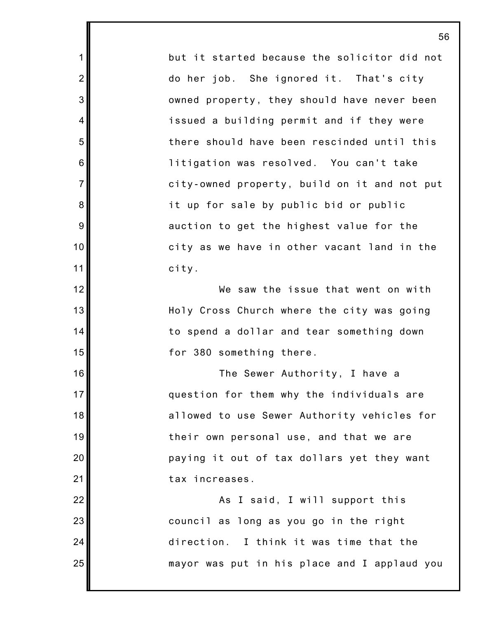but it started because the solicitor did not do her job. She ignored it. That's city owned property, they should have never been issued a building permit and if they were there should have been rescinded until this litigation was resolved. You can't take city-owned property, build on it and not put it up for sale by public bid or public auction to get the highest value for the city as we have in other vacant land in the city.

1

2

3

4

5

6

7

8

9

10

11

12

13

14

15

16

17

18

19

20

21

22

23

24

25

We saw the issue that went on with Holy Cross Church where the city was going to spend a dollar and tear something down for 380 something there.

The Sewer Authority, I have a question for them why the individuals are allowed to use Sewer Authority vehicles for their own personal use, and that we are paying it out of tax dollars yet they want tax increases.

As I said, I will support this council as long as you go in the right direction. I think it was time that the mayor was put in his place and I applaud you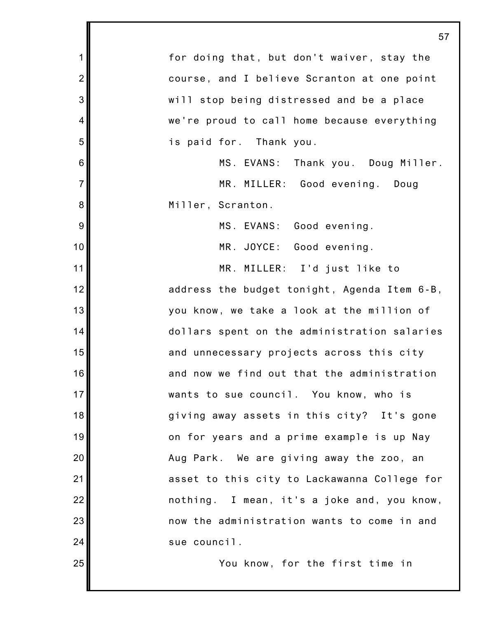|                  | 57                                           |
|------------------|----------------------------------------------|
| $\mathbf 1$      | for doing that, but don't waiver, stay the   |
| $\overline{2}$   | course, and I believe Scranton at one point  |
| 3                | will stop being distressed and be a place    |
| 4                | we're proud to call home because everything  |
| 5                | is paid for. Thank you.                      |
| $6\phantom{1}6$  | MS. EVANS: Thank you. Doug Miller.           |
| $\overline{7}$   | MR. MILLER: Good evening. Doug               |
| $\bf 8$          | Miller, Scranton.                            |
| $\boldsymbol{9}$ | MS. EVANS: Good evening.                     |
| 10               | MR. JOYCE: Good evening.                     |
| 11               | MR. MILLER: I'd just like to                 |
| 12               | address the budget tonight, Agenda Item 6-B, |
| 13               | you know, we take a look at the million of   |
| 14               | dollars spent on the administration salaries |
| 15               | and unnecessary projects across this city    |
| 16               | and now we find out that the administration  |
| 17               | wants to sue council. You know, who is       |
| 18               | giving away assets in this city? It's gone   |
| 19               | on for years and a prime example is up Nay   |
| 20               | Aug Park. We are giving away the zoo, an     |
| 21               | asset to this city to Lackawanna College for |
| 22               | nothing. I mean, it's a joke and, you know,  |
| 23               | now the administration wants to come in and  |
| 24               | sue council.                                 |
| 25               | You know, for the first time in              |

Ш

┃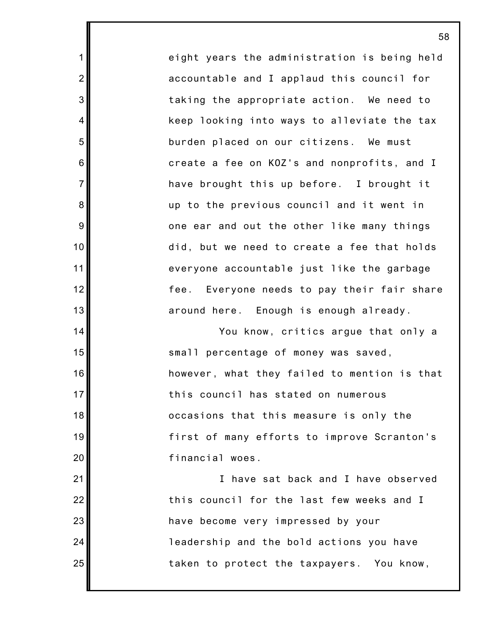eight years the administration is being held accountable and I applaud this council for taking the appropriate action. We need to keep looking into ways to alleviate the tax burden placed on our citizens. We must create a fee on KOZ's and nonprofits, and I have brought this up before. I brought it up to the previous council and it went in one ear and out the other like many things did, but we need to create a fee that holds everyone accountable just like the garbage fee. Everyone needs to pay their fair share around here. Enough is enough already.

1

2

3

4

5

6

7

8

9

10

11

12

13

14

15

16

17

18

19

20

21

22

23

24

25

You know, critics argue that only a small percentage of money was saved, however, what they failed to mention is that this council has stated on numerous occasions that this measure is only the first of many efforts to improve Scranton's financial woes.

I have sat back and I have observed this council for the last few weeks and I have become very impressed by your leadership and the bold actions you have taken to protect the taxpayers. You know,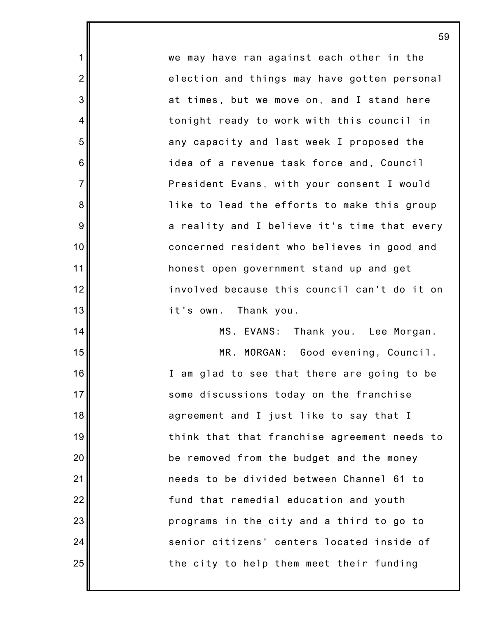we may have ran against each other in the election and things may have gotten personal at times, but we move on, and I stand here tonight ready to work with this council in any capacity and last week I proposed the idea of a revenue task force and, Council President Evans, with your consent I would like to lead the efforts to make this group a reality and I believe it's time that every concerned resident who believes in good and honest open government stand up and get involved because this council can't do it on it's own. Thank you.

1

2

3

4

5

6

7

8

9

10

11

12

13

14

15

16

17

18

19

20

21

22

23

24

25

MS. EVANS: Thank you. Lee Morgan. MR. MORGAN: Good evening, Council. I am glad to see that there are going to be some discussions today on the franchise agreement and I just like to say that I think that that franchise agreement needs to be removed from the budget and the money needs to be divided between Channel 61 to fund that remedial education and youth programs in the city and a third to go to senior citizens' centers located inside of the city to help them meet their funding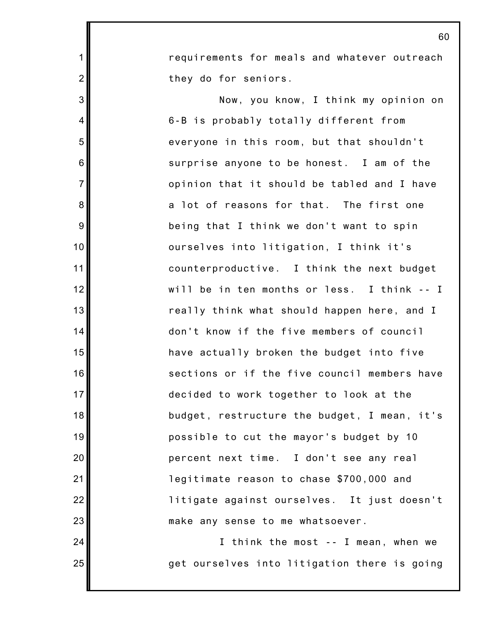requirements for meals and whatever outreach they do for seniors.

1

2

3

4

5

6

7

8

9

10

11

12

13

14

15

16

17

18

19

20

21

22

23

24

25

Now, you know, I think my opinion on 6-B is probably totally different from everyone in this room, but that shouldn't surprise anyone to be honest. I am of the opinion that it should be tabled and I have a lot of reasons for that. The first one being that I think we don't want to spin ourselves into litigation, I think it's counterproductive. I think the next budget will be in ten months or less. I think -- I really think what should happen here, and I don't know if the five members of council have actually broken the budget into five sections or if the five council members have decided to work together to look at the budget, restructure the budget, I mean, it's possible to cut the mayor's budget by 10 percent next time. I don't see any real legitimate reason to chase \$700,000 and litigate against ourselves. It just doesn't make any sense to me whatsoever.

I think the most -- I mean, when we get ourselves into litigation there is going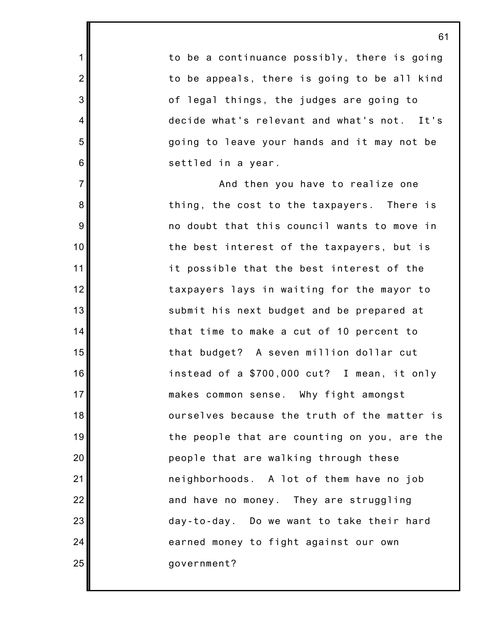to be a continuance possibly, there is going to be appeals, there is going to be all kind of legal things, the judges are going to decide what's relevant and what's not. It's going to leave your hands and it may not be settled in a year.

1

2

3

4

5

6

7

8

9

10

11

12

13

14

15

16

17

18

19

20

21

22

23

24

25

And then you have to realize one thing, the cost to the taxpayers. There is no doubt that this council wants to move in the best interest of the taxpayers, but is it possible that the best interest of the taxpayers lays in waiting for the mayor to submit his next budget and be prepared at that time to make a cut of 10 percent to that budget? A seven million dollar cut instead of a \$700,000 cut? I mean, it only makes common sense. Why fight amongst ourselves because the truth of the matter is the people that are counting on you, are the people that are walking through these neighborhoods. A lot of them have no job and have no money. They are struggling day-to-day. Do we want to take their hard earned money to fight against our own government?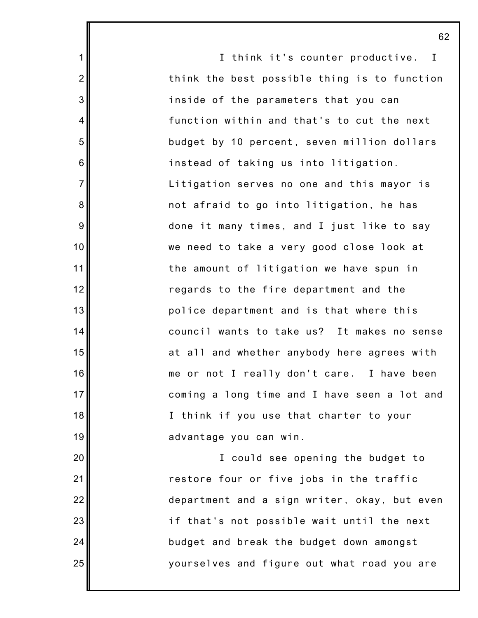I think it's counter productive. I think the best possible thing is to function inside of the parameters that you can function within and that's to cut the next budget by 10 percent, seven million dollars instead of taking us into litigation. Litigation serves no one and this mayor is not afraid to go into litigation, he has done it many times, and I just like to say we need to take a very good close look at the amount of litigation we have spun in regards to the fire department and the police department and is that where this council wants to take us? It makes no sense at all and whether anybody here agrees with me or not I really don't care. I have been coming a long time and I have seen a lot and I think if you use that charter to your advantage you can win.

1

2

3

4

5

6

7

8

9

10

11

12

13

14

15

16

17

18

19

20

21

22

23

24

25

I could see opening the budget to restore four or five jobs in the traffic department and a sign writer, okay, but even if that's not possible wait until the next budget and break the budget down amongst yourselves and figure out what road you are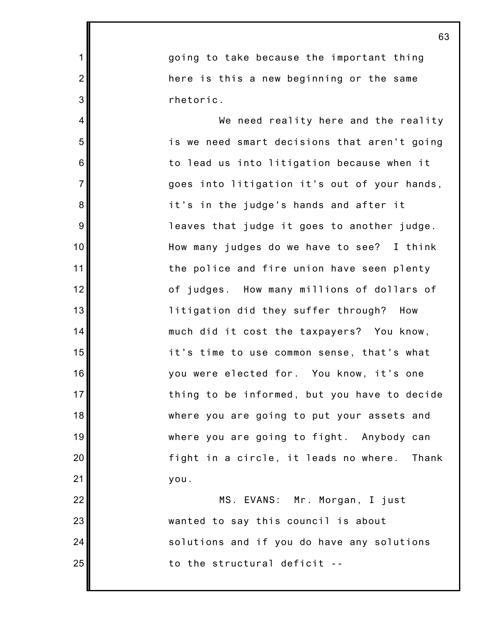going to take because the important thing here is this a new beginning or the same rhetoric.

1

2

3

4

5

6

7

8

9

10

11

12

13

14

15

16

17

18

19

20

21

22

23

24

25

We need reality here and the reality is we need smart decisions that aren't going to lead us into litigation because when it goes into litigation it's out of your hands, it's in the judge's hands and after it leaves that judge it goes to another judge. How many judges do we have to see? I think the police and fire union have seen plenty of judges. How many millions of dollars of litigation did they suffer through? How much did it cost the taxpayers? You know, it's time to use common sense, that's what you were elected for. You know, it's one thing to be informed, but you have to decide where you are going to put your assets and where you are going to fight. Anybody can fight in a circle, it leads no where. Thank you.

MS. EVANS: Mr. Morgan, I just wanted to say this council is about solutions and if you do have any solutions to the structural deficit --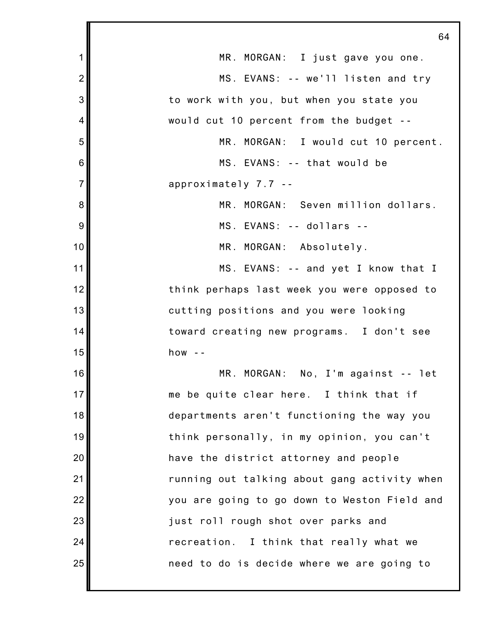|                | 64                                           |
|----------------|----------------------------------------------|
| 1              | MR. MORGAN: I just gave you one.             |
| $\overline{2}$ | MS. EVANS: -- we'll listen and try           |
| 3              | to work with you, but when you state you     |
| 4              | would cut 10 percent from the budget --      |
| 5              | MR. MORGAN: I would cut 10 percent.          |
| 6              | MS. EVANS: -- that would be                  |
| $\overline{7}$ | approximately $7.7 -$                        |
| 8              | MR. MORGAN: Seven million dollars.           |
| 9              | MS. EVANS: -- dollars --                     |
| 10             | MR. MORGAN: Absolutely.                      |
| 11             | MS. EVANS: -- and yet I know that I          |
| 12             | think perhaps last week you were opposed to  |
| 13             | cutting positions and you were looking       |
| 14             | toward creating new programs. I don't see    |
| 15             | how $-$                                      |
| 16             | MR. MORGAN: No, I'm against -- let           |
| 17             | me be quite clear here. I think that if      |
| 18             | departments aren't functioning the way you   |
| 19             | think personally, in my opinion, you can't   |
| 20             | have the district attorney and people        |
| 21             | running out talking about gang activity when |
| 22             | you are going to go down to Weston Field and |
| 23             | just roll rough shot over parks and          |
| 24             | recreation. I think that really what we      |
| 25             | need to do is decide where we are going to   |
|                |                                              |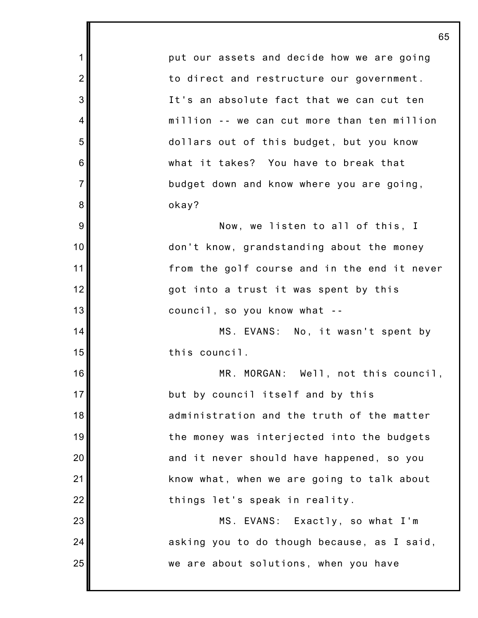1 2 3 4 5 6 7 8 9 10 11 12 13 14 15 16 17 18 19 20 21 22 23 24 25 65 put our assets and decide how we are going to direct and restructure our government. It's an absolute fact that we can cut ten million -- we can cut more than ten million dollars out of this budget, but you know what it takes? You have to break that budget down and know where you are going, okay? Now, we listen to all of this, I don't know, grandstanding about the money from the golf course and in the end it never got into a trust it was spent by this council, so you know what -- MS. EVANS: No, it wasn't spent by this council. MR. MORGAN: Well, not this council, but by council itself and by this administration and the truth of the matter the money was interjected into the budgets and it never should have happened, so you know what, when we are going to talk about things let's speak in reality. MS. EVANS: Exactly, so what I'm asking you to do though because, as I said, we are about solutions, when you have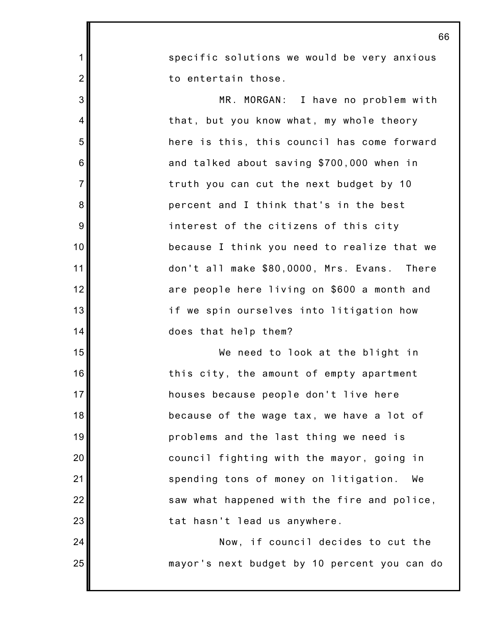specific solutions we would be very anxious to entertain those.

1

2

3

4

5

6

7

8

9

10

11

12

13

14

15

16

17

18

19

20

21

22

23

24

25

MR. MORGAN: I have no problem with that, but you know what, my whole theory here is this, this council has come forward and talked about saving \$700,000 when in truth you can cut the next budget by 10 percent and I think that's in the best interest of the citizens of this city because I think you need to realize that we don't all make \$80,0000, Mrs. Evans. There are people here living on \$600 a month and if we spin ourselves into litigation how does that help them?

We need to look at the blight in this city, the amount of empty apartment houses because people don't live here because of the wage tax, we have a lot of problems and the last thing we need is council fighting with the mayor, going in spending tons of money on litigation. We saw what happened with the fire and police, tat hasn't lead us anywhere.

Now, if council decides to cut the mayor's next budget by 10 percent you can do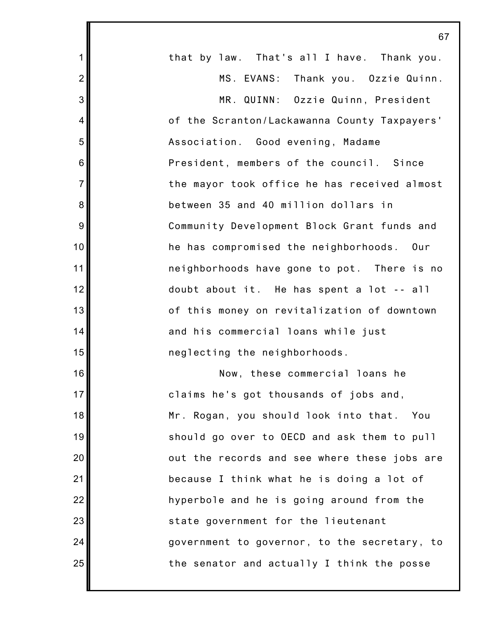|                | 67                                           |
|----------------|----------------------------------------------|
| $\mathbf 1$    | that by law. That's all I have. Thank you.   |
| $\overline{2}$ | MS. EVANS: Thank you. Ozzie Quinn.           |
| 3              | MR. QUINN: Ozzie Quinn, President            |
| $\overline{4}$ | of the Scranton/Lackawanna County Taxpayers' |
| 5              | Association. Good evening, Madame            |
| 6              | President, members of the council. Since     |
| $\overline{7}$ | the mayor took office he has received almost |
| 8              | between 35 and 40 million dollars in         |
| 9              | Community Development Block Grant funds and  |
| 10             | he has compromised the neighborhoods. Our    |
| 11             | neighborhoods have gone to pot. There is no  |
| 12             | doubt about it. He has spent a lot -- all    |
| 13             | of this money on revitalization of downtown  |
| 14             | and his commercial loans while just          |
| 15             | neglecting the neighborhoods.                |
| 16             | Now, these commercial loans he               |
| 17             | claims he's got thousands of jobs and,       |
| 18             | Mr. Rogan, you should look into that. You    |
| 19             | should go over to OECD and ask them to pull  |
| 20             | out the records and see where these jobs are |
| 21             | because I think what he is doing a lot of    |
| 22             | hyperbole and he is going around from the    |
| 23             | state government for the lieutenant          |
| 24             | government to governor, to the secretary, to |
| 25             | the senator and actually I think the posse   |
|                |                                              |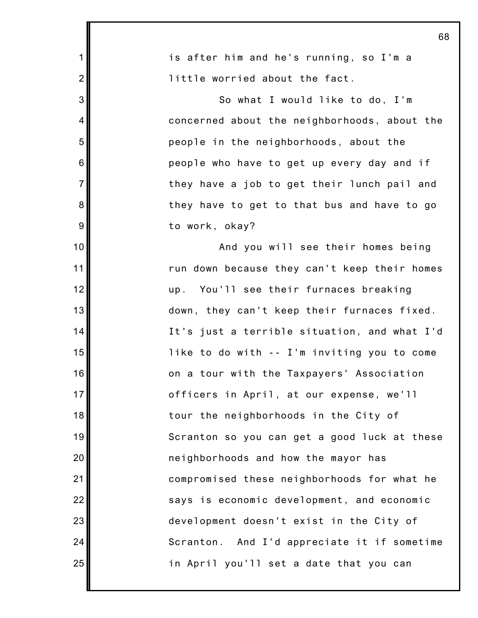| 68                                           |
|----------------------------------------------|
| is after him and he's running, so I'm a      |
| little worried about the fact.               |
| So what I would like to do, I'm              |
| concerned about the neighborhoods, about the |
| people in the neighborhoods, about the       |
| people who have to get up every day and if   |
| they have a job to get their lunch pail and  |
| they have to get to that bus and have to go  |
| to work, okay?                               |
| And you will see their homes being           |
| run down because they can't keep their homes |
| up. You'll see their furnaces breaking       |
| down, they can't keep their furnaces fixed.  |
| It's just a terrible situation, and what I'd |
| like to do with -- I'm inviting you to come  |
| on a tour with the Taxpayers' Association    |
| officers in April, at our expense, we'll     |
| tour the neighborhoods in the City of        |
| Scranton so you can get a good luck at these |
| neighborhoods and how the mayor has          |
| compromised these neighborhoods for what he  |
| says is economic development, and economic   |
| development doesn't exist in the City of     |
| Scranton. And I'd appreciate it if sometime  |
| in April you'll set a date that you can      |
|                                              |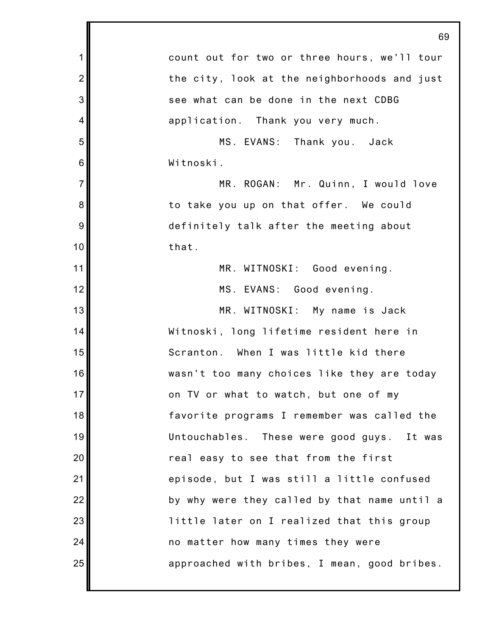|                | 69                                           |
|----------------|----------------------------------------------|
| $\mathbf 1$    | count out for two or three hours, we'll tour |
| $\overline{2}$ | the city, look at the neighborhoods and just |
| 3              | see what can be done in the next CDBG        |
| $\overline{4}$ | application. Thank you very much.            |
| 5              | MS. EVANS: Thank you. Jack                   |
| 6              | Witnoski.                                    |
| $\overline{7}$ | MR. ROGAN: Mr. Quinn, I would love           |
| 8              | to take you up on that offer. We could       |
| 9              | definitely talk after the meeting about      |
| 10             | that.                                        |
| 11             | MR. WITNOSKI: Good evening.                  |
| 12             | MS. EVANS: Good evening.                     |
| 13             | MR. WITNOSKI: My name is Jack                |
| 14             | Witnoski, long lifetime resident here in     |
| 15             | Scranton. When I was little kid there        |
| 16             | wasn't too many choices like they are today  |
| 17             | on TV or what to watch, but one of my        |
| 18             | favorite programs I remember was called the  |
| 19             | Untouchables. These were good guys. It was   |
| 20             | real easy to see that from the first         |
| 21             | episode, but I was still a little confused   |
| 22             | by why were they called by that name until a |
| 23             | little later on I realized that this group   |
| 24             | no matter how many times they were           |
| 25             | approached with bribes, I mean, good bribes. |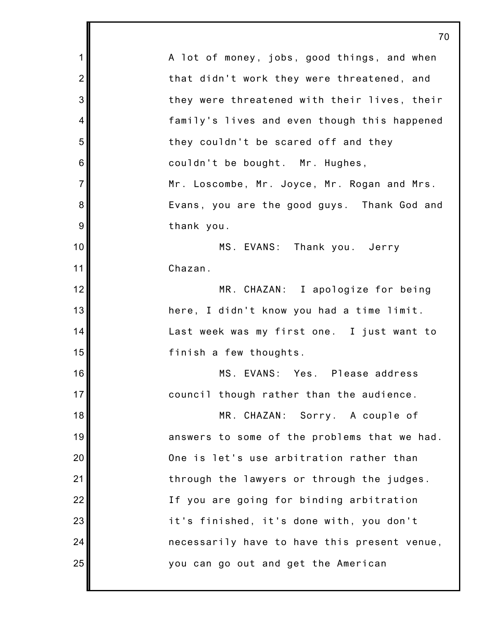| 70                                           |
|----------------------------------------------|
| A lot of money, jobs, good things, and when  |
| that didn't work they were threatened, and   |
| they were threatened with their lives, their |
| family's lives and even though this happened |
| they couldn't be scared off and they         |
| couldn't be bought. Mr. Hughes,              |
| Mr. Loscombe, Mr. Joyce, Mr. Rogan and Mrs.  |
| Evans, you are the good guys. Thank God and  |
| thank you.                                   |
| MS. EVANS: Thank you. Jerry                  |
| Chazan.                                      |
| MR. CHAZAN: I apologize for being            |
| here, I didn't know you had a time limit.    |
| Last week was my first one. I just want to   |
| finish a few thoughts.                       |
| MS. EVANS: Yes. Please address               |
| council though rather than the audience.     |
| MR. CHAZAN: Sorry. A couple of               |
| answers to some of the problems that we had. |
| One is let's use arbitration rather than     |
| through the lawyers or through the judges.   |
| If you are going for binding arbitration     |
| it's finished, it's done with, you don't     |
| necessarily have to have this present venue, |
| you can go out and get the American          |
|                                              |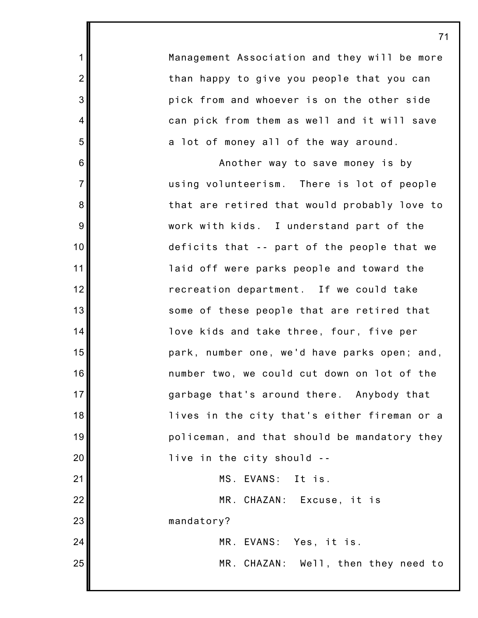Management Association and they will be more than happy to give you people that you can pick from and whoever is on the other side can pick from them as well and it will save a lot of money all of the way around.

1

2

3

4

5

6

7

8

9

10

11

12

13

14

15

16

17

18

19

20

21

22

23

24

25

Another way to save money is by using volunteerism. There is lot of people that are retired that would probably love to work with kids. I understand part of the deficits that -- part of the people that we laid off were parks people and toward the recreation department. If we could take some of these people that are retired that love kids and take three, four, five per park, number one, we'd have parks open; and, number two, we could cut down on lot of the garbage that's around there. Anybody that lives in the city that's either fireman or a policeman, and that should be mandatory they live in the city should -- MS. EVANS: It is. MR. CHAZAN: Excuse, it is mandatory?

> MR. EVANS: Yes, it is. MR. CHAZAN: Well, then they need to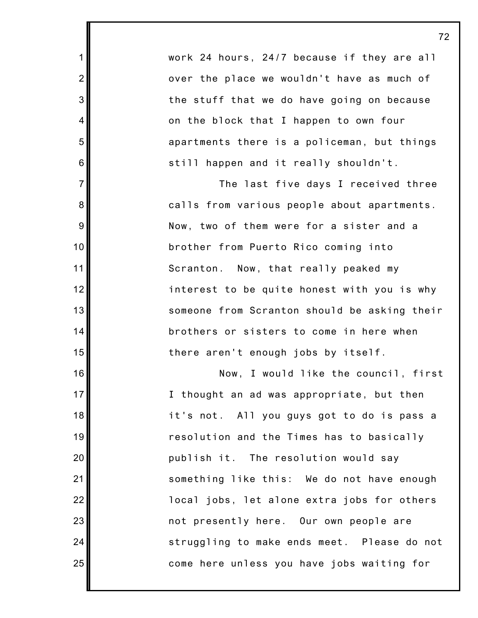work 24 hours, 24/7 because if they are all over the place we wouldn't have as much of the stuff that we do have going on because on the block that I happen to own four apartments there is a policeman, but things still happen and it really shouldn't.

1

2

3

4

5

6

7

8

9

10

11

12

13

14

15

16

17

18

19

20

21

22

23

24

25

The last five days I received three calls from various people about apartments. Now, two of them were for a sister and a brother from Puerto Rico coming into Scranton. Now, that really peaked my interest to be quite honest with you is why someone from Scranton should be asking their brothers or sisters to come in here when there aren't enough jobs by itself.

Now, I would like the council, first I thought an ad was appropriate, but then it's not. All you guys got to do is pass a resolution and the Times has to basically publish it. The resolution would say something like this: We do not have enough local jobs, let alone extra jobs for others not presently here. Our own people are struggling to make ends meet. Please do not come here unless you have jobs waiting for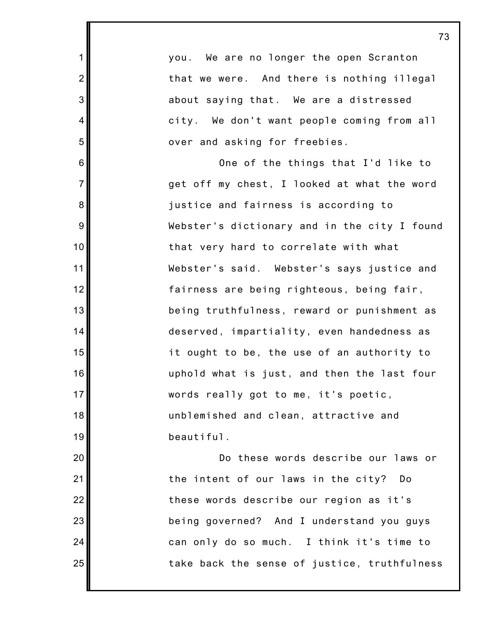| 1               |                               | you. We are no longer the open Scranton      |
|-----------------|-------------------------------|----------------------------------------------|
| $\overline{2}$  |                               | that we were. And there is nothing illegal   |
| 3               |                               | about saying that. We are a distressed       |
| 4               |                               | city. We don't want people coming from all   |
| 5               | over and asking for freebies. |                                              |
| $6\phantom{1}6$ |                               | One of the things that I'd like to           |
| $\overline{7}$  |                               | get off my chest, I looked at what the word  |
| 8               |                               | justice and fairness is according to         |
| $\overline{9}$  |                               | Webster's dictionary and in the city I found |
| 10              |                               | that very hard to correlate with what        |
| 11              |                               | Webster's said. Webster's says justice and   |
| 12              |                               | fairness are being righteous, being fair,    |
| 13              |                               | being truthfulness, reward or punishment as  |
| 14              |                               | deserved, impartiality, even handedness as   |
| 15              |                               | it ought to be, the use of an authority to   |
| 16              |                               | uphold what is just, and then the last four  |
| 17 <sub>l</sub> |                               | words really got to me, it's poetic,         |
| 18              |                               | unblemished and clean, attractive and        |
| 19              | beautiful.                    |                                              |
| 20              |                               | Do these words describe our laws or          |
| 21              |                               | the intent of our laws in the city?<br>Do    |
| 22              |                               | these words describe our region as it's      |
| 23              |                               | being governed? And I understand you guys    |
| 24              |                               | can only do so much. I think it's time to    |
| 25              |                               | take back the sense of justice, truthfulness |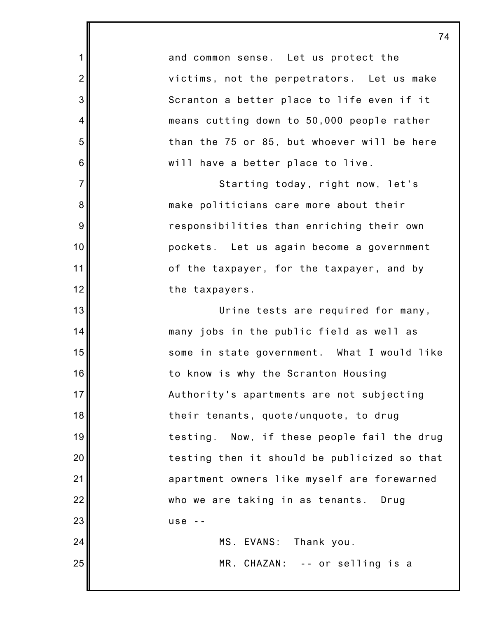and common sense. Let us protect the victims, not the perpetrators. Let us make Scranton a better place to life even if it means cutting down to 50,000 people rather than the 75 or 85, but whoever will be here will have a better place to live.

1

2

3

4

5

6

7

8

9

10

11

12

13

14

15

16

17

18

19

20

21

22

23

24

25

Starting today, right now, let's make politicians care more about their responsibilities than enriching their own pockets. Let us again become a government of the taxpayer, for the taxpayer, and by the taxpayers.

Urine tests are required for many, many jobs in the public field as well as some in state government. What I would like to know is why the Scranton Housing Authority's apartments are not subjecting their tenants, quote/unquote, to drug testing. Now, if these people fail the drug testing then it should be publicized so that apartment owners like myself are forewarned who we are taking in as tenants. Drug  $use - -$ 

MS. EVANS: Thank you. MR. CHAZAN: -- or selling is a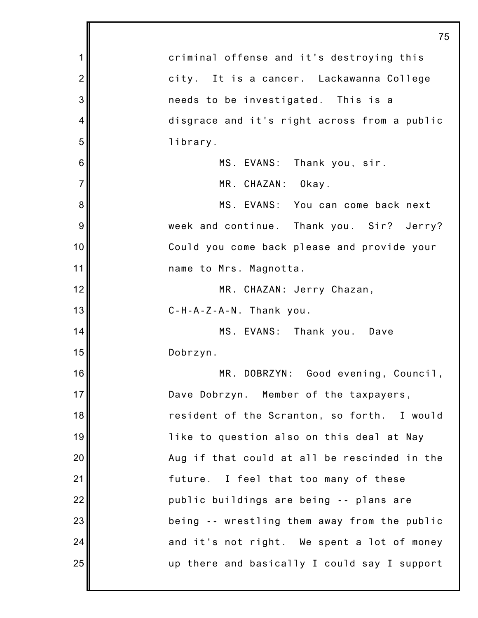|                | 75                                           |
|----------------|----------------------------------------------|
| 1              | criminal offense and it's destroying this    |
| $\overline{2}$ | city. It is a cancer. Lackawanna College     |
| 3              | needs to be investigated. This is a          |
| 4              | disgrace and it's right across from a public |
| 5              | library.                                     |
| 6              | MS. EVANS: Thank you, sir.                   |
| $\overline{7}$ | MR. CHAZAN: Okay.                            |
| 8              | MS. EVANS: You can come back next            |
| 9              | week and continue. Thank you. Sir? Jerry?    |
| 10             | Could you come back please and provide your  |
| 11             | name to Mrs. Magnotta.                       |
| 12             | MR. CHAZAN: Jerry Chazan,                    |
| 13             | $C-H-A-Z-A-N$ . Thank you.                   |
| 14             | MS. EVANS: Thank you. Dave                   |
| 15             | Dobrzyn.                                     |
| 16             | MR. DOBRZYN: Good evening, Council,          |
| 17             | Dave Dobrzyn. Member of the taxpayers,       |
| 18             | resident of the Scranton, so forth. I would  |
| 19             | like to question also on this deal at Nay    |
| 20             | Aug if that could at all be rescinded in the |
| 21             | future. I feel that too many of these        |
| 22             | public buildings are being -- plans are      |
| 23             | being -- wrestling them away from the public |
| 24             | and it's not right. We spent a lot of money  |
| 25             | up there and basically I could say I support |
|                |                                              |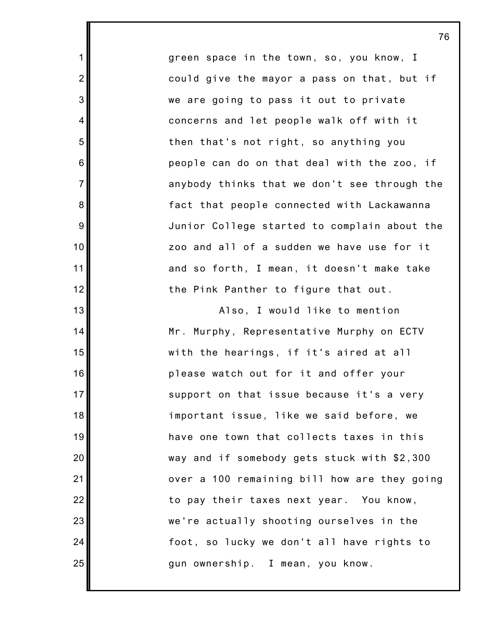green space in the town, so, you know, I could give the mayor a pass on that, but if we are going to pass it out to private concerns and let people walk off with it then that's not right, so anything you people can do on that deal with the zoo, if anybody thinks that we don't see through the fact that people connected with Lackawanna Junior College started to complain about the zoo and all of a sudden we have use for it and so forth, I mean, it doesn't make take the Pink Panther to figure that out.

1

2

3

4

5

6

7

8

9

10

11

12

13

14

15

16

17

18

19

20

21

22

23

24

25

Also, I would like to mention Mr. Murphy, Representative Murphy on ECTV with the hearings, if it's aired at all please watch out for it and offer your support on that issue because it's a very important issue, like we said before, we have one town that collects taxes in this way and if somebody gets stuck with \$2,300 over a 100 remaining bill how are they going to pay their taxes next year. You know, we're actually shooting ourselves in the foot, so lucky we don't all have rights to gun ownership. I mean, you know.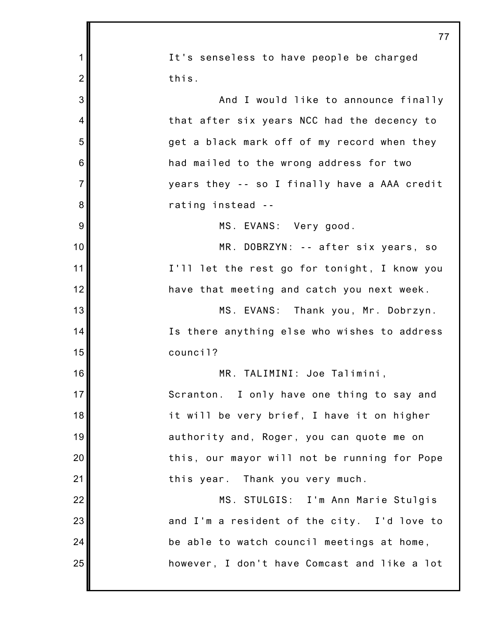|                | 77                                           |
|----------------|----------------------------------------------|
| 1              | It's senseless to have people be charged     |
| $\overline{2}$ | this.                                        |
| 3              | And I would like to announce finally         |
| 4              | that after six years NCC had the decency to  |
| 5              | get a black mark off of my record when they  |
| 6              | had mailed to the wrong address for two      |
| $\overline{7}$ | years they -- so I finally have a AAA credit |
| 8              | rating instead --                            |
| 9              | MS. EVANS: Very good.                        |
| 10             | MR. DOBRZYN: -- after six years, so          |
| 11             | I'll let the rest go for tonight, I know you |
| 12             | have that meeting and catch you next week.   |
| 13             | MS. EVANS: Thank you, Mr. Dobrzyn.           |
| 14             | Is there anything else who wishes to address |
| 15             | council?                                     |
| 16             | MR. TALIMINI: Joe Talimini,                  |
| 17             | Scranton. I only have one thing to say and   |
| 18             | it will be very brief, I have it on higher   |
| 19             | authority and, Roger, you can quote me on    |
| 20             | this, our mayor will not be running for Pope |
| 21             | this year. Thank you very much.              |
| 22             | MS. STULGIS: I'm Ann Marie Stulgis           |
| 23             | and I'm a resident of the city. I'd love to  |
| 24             | be able to watch council meetings at home,   |
| 25             | however, I don't have Comcast and like a lot |
|                |                                              |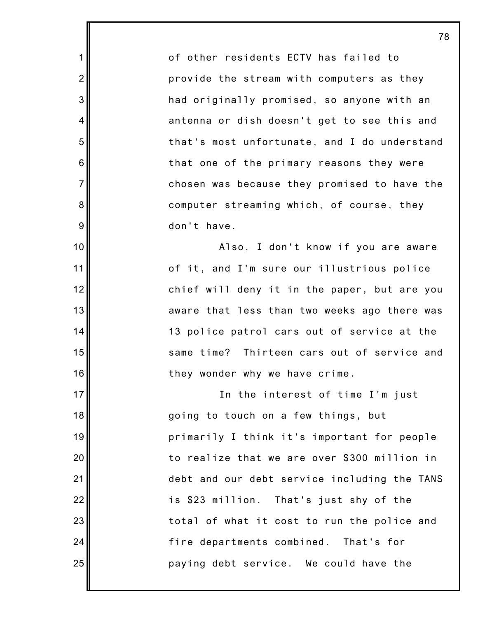of other residents ECTV has failed to provide the stream with computers as they had originally promised, so anyone with an antenna or dish doesn't get to see this and that's most unfortunate, and I do understand that one of the primary reasons they were chosen was because they promised to have the computer streaming which, of course, they don't have.

1

2

3

4

5

6

7

8

9

10

11

12

13

14

15

16

17

18

19

20

21

22

23

24

25

Also, I don't know if you are aware of it, and I'm sure our illustrious police chief will deny it in the paper, but are you aware that less than two weeks ago there was 13 police patrol cars out of service at the same time? Thirteen cars out of service and they wonder why we have crime.

In the interest of time I'm just going to touch on a few things, but primarily I think it's important for people to realize that we are over \$300 million in debt and our debt service including the TANS is \$23 million. That's just shy of the total of what it cost to run the police and fire departments combined. That's for paying debt service. We could have the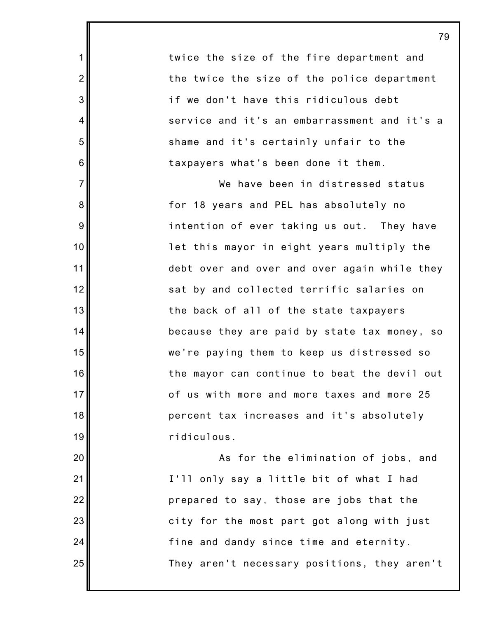twice the size of the fire department and the twice the size of the police department if we don't have this ridiculous debt service and it's an embarrassment and it's a shame and it's certainly unfair to the taxpayers what's been done it them.

1

2

3

4

5

6

7

8

9

10

11

12

13

14

15

16

17

18

19

20

21

22

23

24

25

We have been in distressed status for 18 years and PEL has absolutely no intention of ever taking us out. They have let this mayor in eight years multiply the debt over and over and over again while they sat by and collected terrific salaries on the back of all of the state taxpayers because they are paid by state tax money, so we're paying them to keep us distressed so the mayor can continue to beat the devil out of us with more and more taxes and more 25 percent tax increases and it's absolutely ridiculous.

As for the elimination of jobs, and I'll only say a little bit of what I had prepared to say, those are jobs that the city for the most part got along with just fine and dandy since time and eternity. They aren't necessary positions, they aren't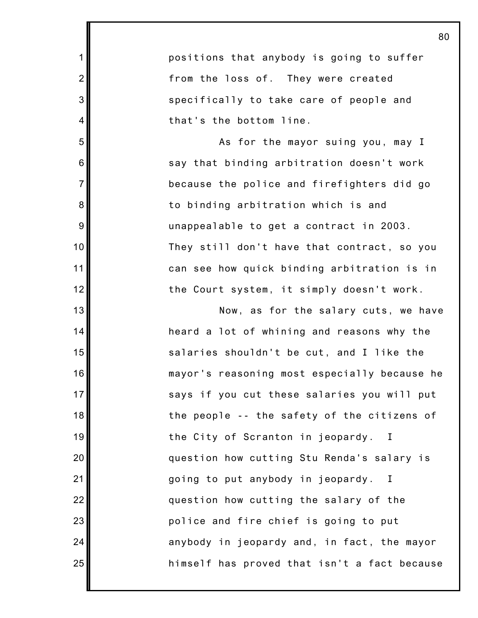1 2 3 4 5 6 7 8 9 10 11 12 13 14 15 16 17 18 19 20 21 22 23 24 25 positions that anybody is going to suffer from the loss of. They were created specifically to take care of people and that's the bottom line. As for the mayor suing you, may I say that binding arbitration doesn't work because the police and firefighters did go to binding arbitration which is and unappealable to get a contract in 2003. They still don't have that contract, so you can see how quick binding arbitration is in the Court system, it simply doesn't work. Now, as for the salary cuts, we have heard a lot of whining and reasons why the salaries shouldn't be cut, and I like the mayor's reasoning most especially because he says if you cut these salaries you will put the people -- the safety of the citizens of the City of Scranton in jeopardy. I question how cutting Stu Renda's salary is going to put anybody in jeopardy. I question how cutting the salary of the police and fire chief is going to put anybody in jeopardy and, in fact, the mayor himself has proved that isn't a fact because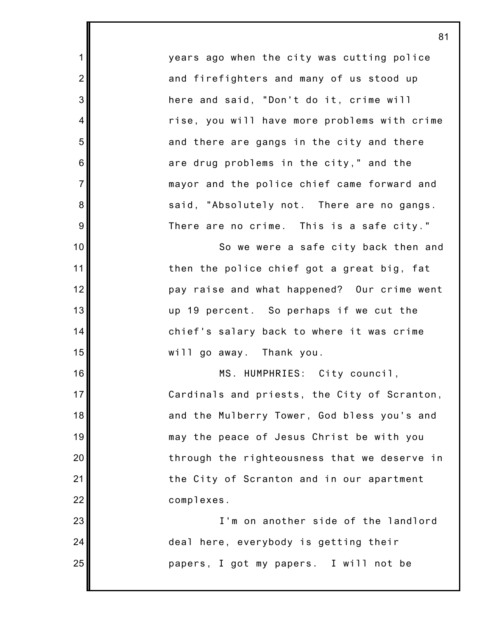years ago when the city was cutting police and firefighters and many of us stood up here and said, "Don't do it, crime will rise, you will have more problems with crime and there are gangs in the city and there are drug problems in the city," and the mayor and the police chief came forward and said, "Absolutely not. There are no gangs. There are no crime. This is a safe city."

1

2

3

4

5

6

7

8

9

10

11

12

13

14

15

16

17

18

19

20

21

22

23

24

25

So we were a safe city back then and then the police chief got a great big, fat pay raise and what happened? Our crime went up 19 percent. So perhaps if we cut the chief's salary back to where it was crime will go away. Thank you.

MS. HUMPHRIES: City council, Cardinals and priests, the City of Scranton, and the Mulberry Tower, God bless you's and may the peace of Jesus Christ be with you through the righteousness that we deserve in the City of Scranton and in our apartment complexes.

> I'm on another side of the landlord deal here, everybody is getting their papers, I got my papers. I will not be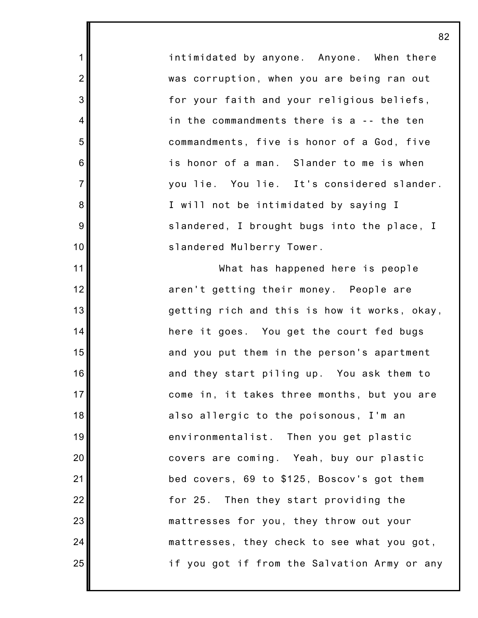intimidated by anyone. Anyone. When there was corruption, when you are being ran out for your faith and your religious beliefs, in the commandments there is a -- the ten commandments, five is honor of a God, five is honor of a man. Slander to me is when you lie. You lie. It's considered slander. I will not be intimidated by saying I slandered, I brought bugs into the place, I slandered Mulberry Tower.

1

2

3

4

5

6

7

8

9

10

11

12

13

14

15

16

17

18

19

20

21

22

23

24

25

What has happened here is people aren't getting their money. People are getting rich and this is how it works, okay, here it goes. You get the court fed bugs and you put them in the person's apartment and they start piling up. You ask them to come in, it takes three months, but you are also allergic to the poisonous, I'm an environmentalist. Then you get plastic covers are coming. Yeah, buy our plastic bed covers, 69 to \$125, Boscov's got them for 25. Then they start providing the mattresses for you, they throw out your mattresses, they check to see what you got, if you got if from the Salvation Army or any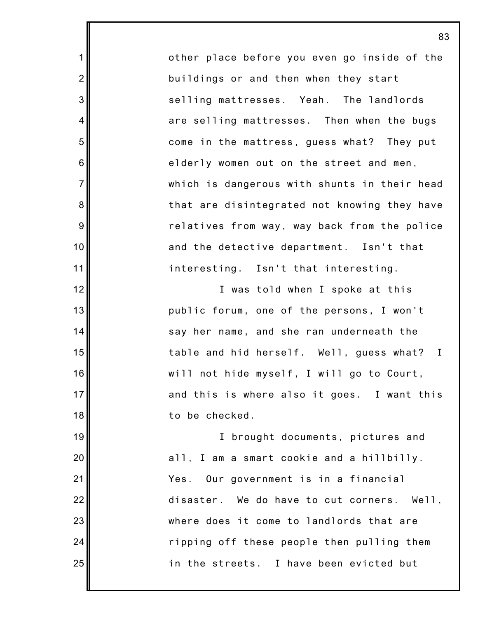other place before you even go inside of the buildings or and then when they start selling mattresses. Yeah. The landlords are selling mattresses. Then when the bugs come in the mattress, guess what? They put elderly women out on the street and men, which is dangerous with shunts in their head that are disintegrated not knowing they have relatives from way, way back from the police and the detective department. Isn't that interesting. Isn't that interesting.

1

2

3

4

5

6

7

8

9

10

11

12

13

14

15

16

17

18

19

20

21

22

23

24

25

I was told when I spoke at this public forum, one of the persons, I won't say her name, and she ran underneath the table and hid herself. Well, guess what? I will not hide myself, I will go to Court, and this is where also it goes. I want this to be checked.

I brought documents, pictures and all, I am a smart cookie and a hillbilly. Yes. Our government is in a financial disaster. We do have to cut corners. Well, where does it come to landlords that are ripping off these people then pulling them in the streets. I have been evicted but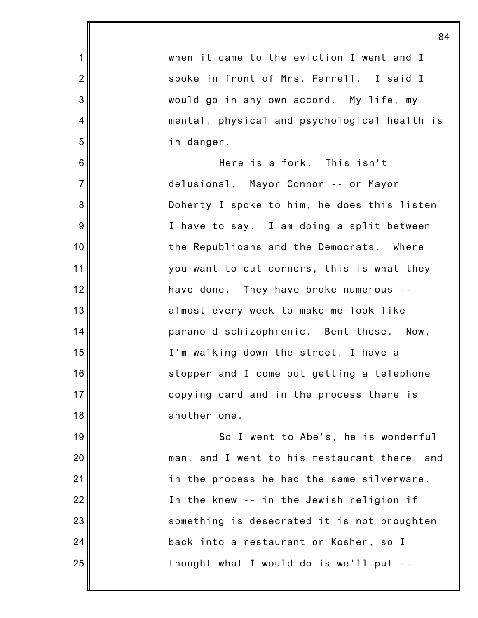when it came to the eviction I went and I spoke in front of Mrs. Farrell. I said I would go in any own accord. My life, my mental, physical and psychological health is in danger.

1

2

3

4

5

6

7

8

9

10

11

12

13

14

15

16

17

18

19

20

21

22

23

24

25

Here is a fork. This isn't delusional. Mayor Connor -- or Mayor Doherty I spoke to him, he does this listen I have to say. I am doing a split between the Republicans and the Democrats. Where you want to cut corners, this is what they have done. They have broke numerous - almost every week to make me look like paranoid schizophrenic. Bent these. Now, I'm walking down the street, I have a stopper and I come out getting a telephone copying card and in the process there is another one.

So I went to Abe's, he is wonderful man, and I went to his restaurant there, and in the process he had the same silverware. In the knew -- in the Jewish religion if something is desecrated it is not broughten back into a restaurant or Kosher, so I thought what I would do is we'll put --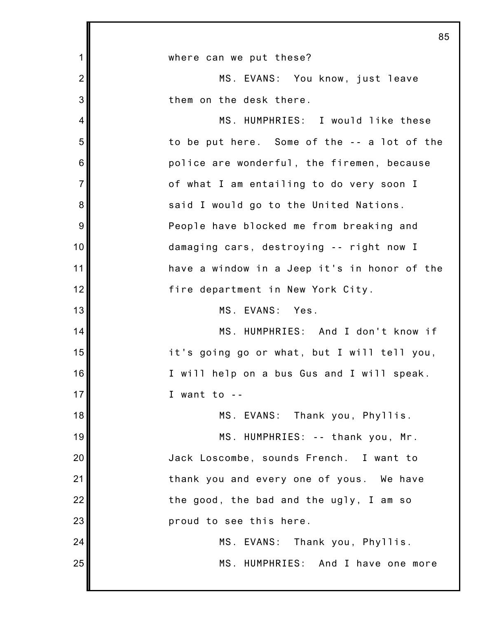|                | 85                                           |
|----------------|----------------------------------------------|
| 1              | where can we put these?                      |
| $\overline{2}$ | MS. EVANS: You know, just leave              |
| 3              | them on the desk there.                      |
| 4              | MS. HUMPHRIES: I would like these            |
| 5              | to be put here. Some of the -- a lot of the  |
| 6              | police are wonderful, the firemen, because   |
| $\overline{7}$ | of what I am entailing to do very soon I     |
| 8              | said I would go to the United Nations.       |
| 9              | People have blocked me from breaking and     |
| 10             | damaging cars, destroying -- right now I     |
| 11             | have a window in a Jeep it's in honor of the |
| 12             | fire department in New York City.            |
| 13             | MS. EVANS: Yes.                              |
| 14             | MS. HUMPHRIES: And I don't know if           |
| 15             | it's going go or what, but I will tell you,  |
| 16             | I will help on a bus Gus and I will speak.   |
| 17             | I want to $-$                                |
| 18             | MS. EVANS: Thank you, Phyllis.               |
| 19             | MS. HUMPHRIES: -- thank you, Mr.             |
| 20             | Jack Loscombe, sounds French. I want to      |
| 21             | thank you and every one of yous. We have     |
| 22             | the good, the bad and the ugly, I am so      |
| 23             | proud to see this here.                      |
| 24             | MS. EVANS: Thank you, Phyllis.               |
| 25             | MS. HUMPHRIES: And I have one more           |
|                |                                              |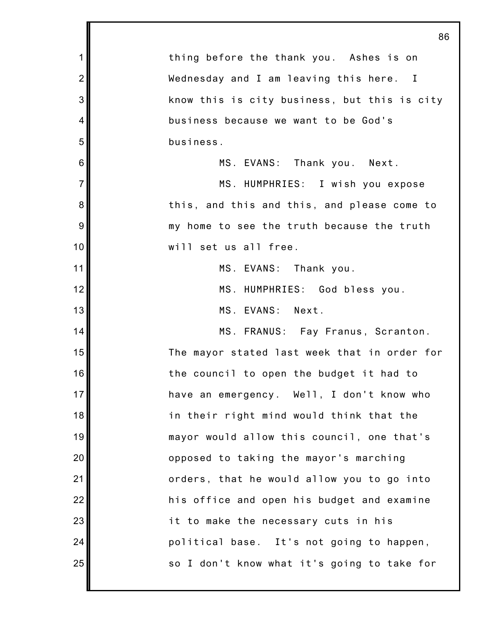|                | 86                                           |
|----------------|----------------------------------------------|
| $\mathbf{1}$   | thing before the thank you. Ashes is on      |
| $\overline{2}$ | Wednesday and I am leaving this here. I      |
| 3              | know this is city business, but this is city |
| 4              | business because we want to be God's         |
| 5              | business.                                    |
| 6              | MS. EVANS: Thank you. Next.                  |
| $\overline{7}$ | MS. HUMPHRIES: I wish you expose             |
| 8              | this, and this and this, and please come to  |
| 9              | my home to see the truth because the truth   |
| 10             | will set us all free.                        |
| 11             | MS. EVANS: Thank you.                        |
| 12             | MS. HUMPHRIES: God bless you.                |
| 13             | MS. EVANS: Next.                             |
| 14             | MS. FRANUS: Fay Franus, Scranton.            |
| 15             | The mayor stated last week that in order for |
| 16             | the council to open the budget it had to     |
| 17             | have an emergency. Well, I don't know who    |
| 18             | in their right mind would think that the     |
| 19             | mayor would allow this council, one that's   |
| 20             | opposed to taking the mayor's marching       |
| 21             | orders, that he would allow you to go into   |
| 22             | his office and open his budget and examine   |
| 23             | it to make the necessary cuts in his         |
| 24             | political base. It's not going to happen,    |
| 25             | so I don't know what it's going to take for  |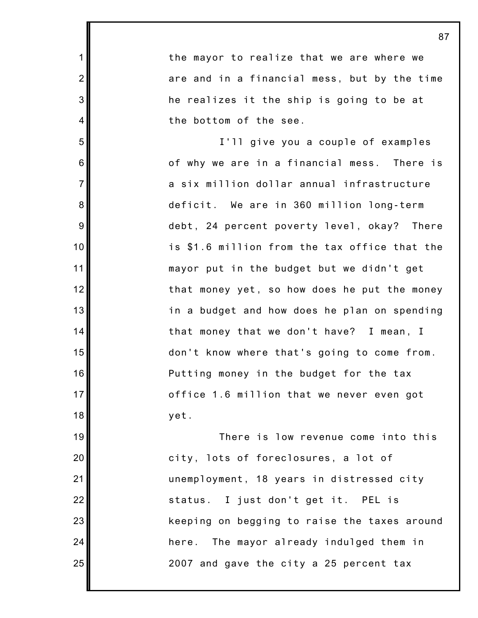1 2 3 4 5 6 7 8 9 10 11 12 13 14 15 16 17 18 19 20 21 22 23 24 25 the mayor to realize that we are where we are and in a financial mess, but by the time he realizes it the ship is going to be at the bottom of the see. I'll give you a couple of examples of why we are in a financial mess. There is a six million dollar annual infrastructure deficit. We are in 360 million long-term debt, 24 percent poverty level, okay? There is \$1.6 million from the tax office that the mayor put in the budget but we didn't get that money yet, so how does he put the money in a budget and how does he plan on spending that money that we don't have? I mean, I don't know where that's going to come from. Putting money in the budget for the tax office 1.6 million that we never even got yet. There is low revenue come into this city, lots of foreclosures, a lot of unemployment, 18 years in distressed city status. I just don't get it. PEL is keeping on begging to raise the taxes around here. The mayor already indulged them in 2007 and gave the city a 25 percent tax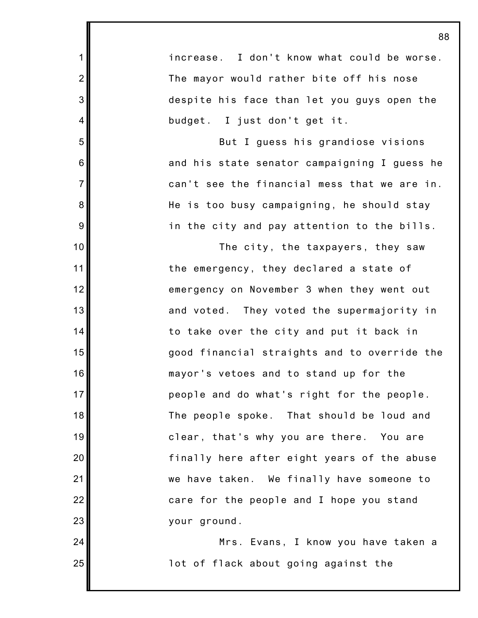increase. I don't know what could be worse. The mayor would rather bite off his nose despite his face than let you guys open the budget. I just don't get it.

1

2

3

4

5

6

7

8

9

10

11

12

13

14

15

16

17

18

19

20

21

22

23

24

25

But I guess his grandiose visions and his state senator campaigning I guess he can't see the financial mess that we are in. He is too busy campaigning, he should stay in the city and pay attention to the bills.

The city, the taxpayers, they saw the emergency, they declared a state of emergency on November 3 when they went out and voted. They voted the supermajority in to take over the city and put it back in good financial straights and to override the mayor's vetoes and to stand up for the people and do what's right for the people. The people spoke. That should be loud and clear, that's why you are there. You are finally here after eight years of the abuse we have taken. We finally have someone to care for the people and I hope you stand your ground.

Mrs. Evans, I know you have taken a lot of flack about going against the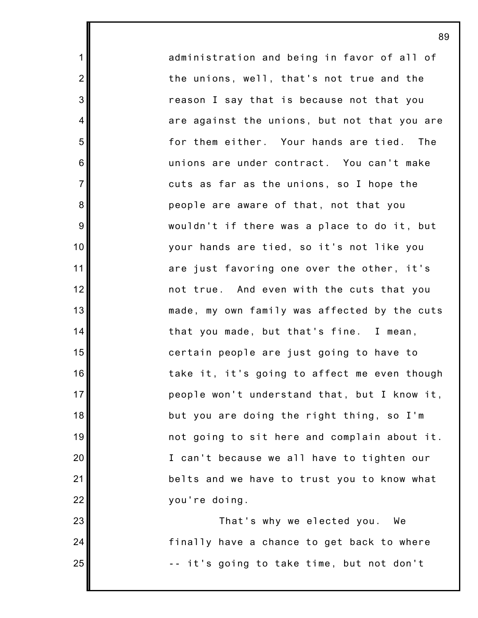administration and being in favor of all of the unions, well, that's not true and the reason I say that is because not that you are against the unions, but not that you are for them either. Your hands are tied. The unions are under contract. You can't make cuts as far as the unions, so I hope the people are aware of that, not that you wouldn't if there was a place to do it, but your hands are tied, so it's not like you are just favoring one over the other, it's not true. And even with the cuts that you made, my own family was affected by the cuts that you made, but that's fine. I mean, certain people are just going to have to take it, it's going to affect me even though people won't understand that, but I know it, but you are doing the right thing, so I'm not going to sit here and complain about it. I can't because we all have to tighten our belts and we have to trust you to know what you're doing.

1

2

3

4

5

6

7

8

9

10

11

12

13

14

15

16

17

18

19

20

21

22

23

24

25

That's why we elected you. We finally have a chance to get back to where -- it's going to take time, but not don't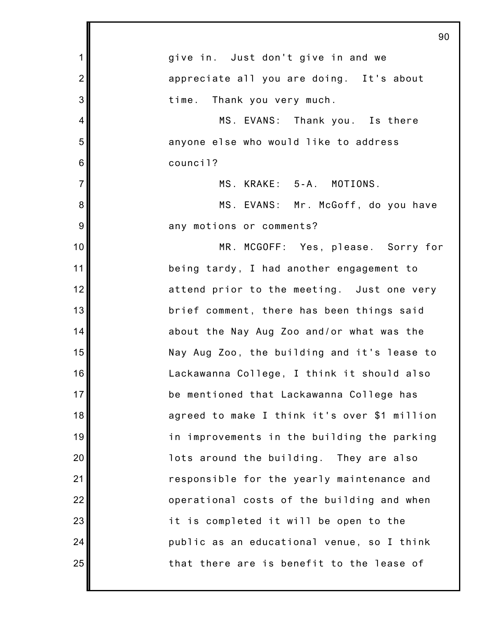|                 | 90                                           |
|-----------------|----------------------------------------------|
| 1               | give in. Just don't give in and we           |
| $\overline{2}$  | appreciate all you are doing. It's about     |
| 3               | time. Thank you very much.                   |
| $\overline{4}$  | MS. EVANS: Thank you. Is there               |
| 5               | anyone else who would like to address        |
| $6\phantom{1}6$ | council?                                     |
| $\overline{7}$  | MS. KRAKE: 5-A. MOTIONS.                     |
| 8               | MS. EVANS: Mr. McGoff, do you have           |
| 9               | any motions or comments?                     |
| 10              | MR. MCGOFF: Yes, please. Sorry for           |
| 11              | being tardy, I had another engagement to     |
| 12              | attend prior to the meeting. Just one very   |
| 13              | brief comment, there has been things said    |
| 14              | about the Nay Aug Zoo and/or what was the    |
| 15              | Nay Aug Zoo, the building and it's lease to  |
| 16              | Lackawanna College, I think it should also   |
| 17              | be mentioned that Lackawanna College has     |
| 18              | agreed to make I think it's over \$1 million |
| 19              | in improvements in the building the parking  |
| 20              | lots around the building. They are also      |
| 21              | responsible for the yearly maintenance and   |
| 22              | operational costs of the building and when   |
| 23              | it is completed it will be open to the       |
| 24              | public as an educational venue, so I think   |
| 25              | that there are is benefit to the lease of    |
|                 |                                              |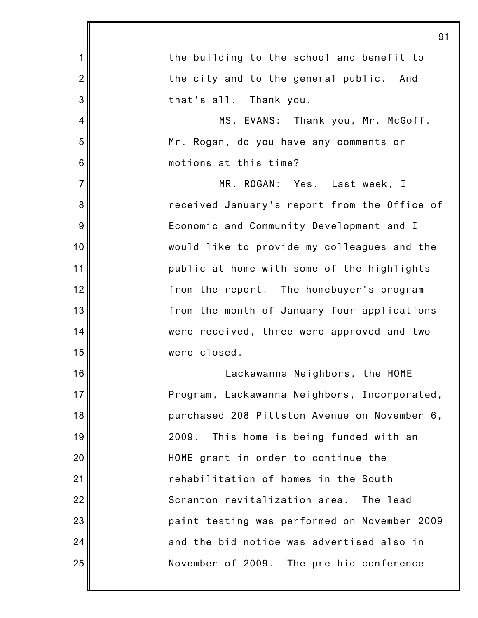|                 | 91                                           |
|-----------------|----------------------------------------------|
| 1               | the building to the school and benefit to    |
| $\overline{2}$  | the city and to the general public. And      |
| 3               | that's all. Thank you.                       |
| $\overline{4}$  | MS. EVANS: Thank you, Mr. McGoff.            |
| 5               | Mr. Rogan, do you have any comments or       |
| $6\phantom{1}6$ | motions at this time?                        |
| $\overline{7}$  | MR. ROGAN: Yes. Last week, I                 |
| 8               | received January's report from the Office of |
| $9\,$           | Economic and Community Development and I     |
| 10              | would like to provide my colleagues and the  |
| 11              | public at home with some of the highlights   |
| 12              | from the report. The homebuyer's program     |
| 13              | from the month of January four applications  |
| 14              | were received, three were approved and two   |
| 15              | were closed.                                 |
| 16              | Lackawanna Neighbors, the HOME               |
| 17              | Program, Lackawanna Neighbors, Incorporated, |
| 18              | purchased 208 Pittston Avenue on November 6, |
| 19              | This home is being funded with an<br>2009.   |
| 20              | HOME grant in order to continue the          |
| 21              | rehabilitation of homes in the South         |
| 22              | Scranton revitalization area. The lead       |
| 23              | paint testing was performed on November 2009 |
| 24              | and the bid notice was advertised also in    |
| 25              | November of 2009. The pre bid conference     |
|                 |                                              |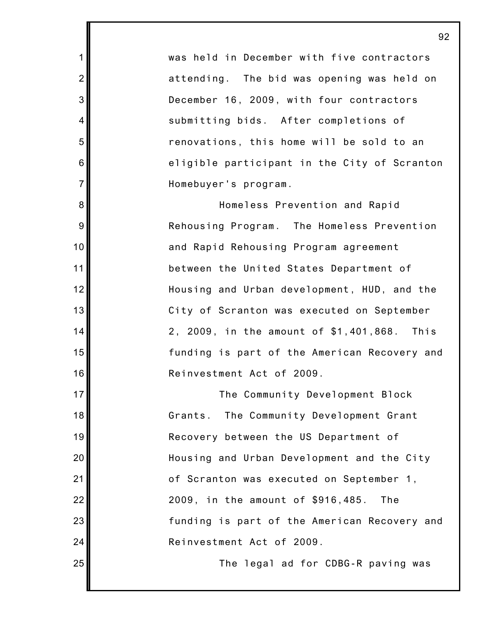was held in December with five contractors attending. The bid was opening was held on December 16, 2009, with four contractors submitting bids. After completions of renovations, this home will be sold to an eligible participant in the City of Scranton Homebuyer's program.

1

2

3

4

5

6

7

8

9

10

11

12

13

14

15

16

17

18

19

20

21

22

23

24

25

Homeless Prevention and Rapid Rehousing Program. The Homeless Prevention and Rapid Rehousing Program agreement between the United States Department of Housing and Urban development, HUD, and the City of Scranton was executed on September 2, 2009, in the amount of \$1,401,868. This funding is part of the American Recovery and Reinvestment Act of 2009.

The Community Development Block Grants. The Community Development Grant Recovery between the US Department of Housing and Urban Development and the City of Scranton was executed on September 1, 2009, in the amount of \$916,485. The funding is part of the American Recovery and Reinvestment Act of 2009.

The legal ad for CDBG-R paving was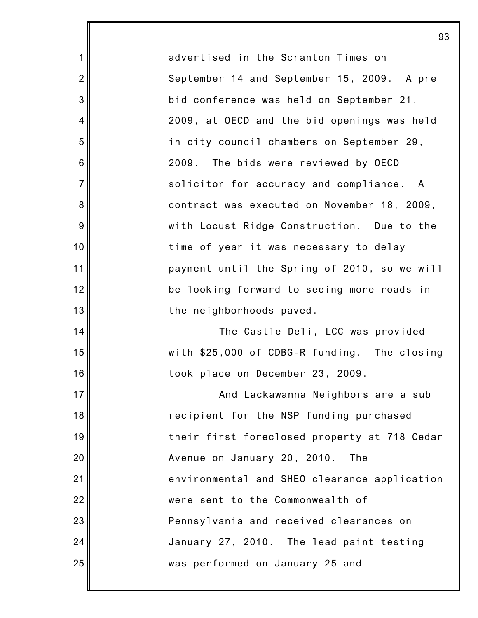advertised in the Scranton Times on September 14 and September 15, 2009. A pre bid conference was held on September 21, 2009, at OECD and the bid openings was held in city council chambers on September 29, 2009. The bids were reviewed by OECD solicitor for accuracy and compliance. A contract was executed on November 18, 2009, with Locust Ridge Construction. Due to the time of year it was necessary to delay payment until the Spring of 2010, so we will be looking forward to seeing more roads in the neighborhoods paved.

1

2

3

4

5

6

7

8

9

10

11

12

13

14

15

16

17

18

19

20

21

22

23

24

25

The Castle Deli, LCC was provided with \$25,000 of CDBG-R funding. The closing took place on December 23, 2009.

And Lackawanna Neighbors are a sub recipient for the NSP funding purchased their first foreclosed property at 718 Cedar Avenue on January 20, 2010. The environmental and SHEO clearance application were sent to the Commonwealth of Pennsylvania and received clearances on January 27, 2010. The lead paint testing was performed on January 25 and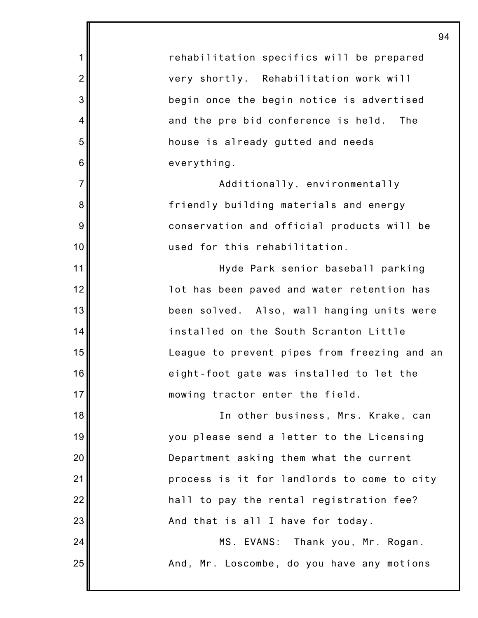rehabilitation specifics will be prepared very shortly. Rehabilitation work will begin once the begin notice is advertised and the pre bid conference is held. The house is already gutted and needs everything.

1

2

3

4

5

6

7

8

9

10

11

12

13

14

15

16

17

18

19

20

21

22

23

24

25

Additionally, environmentally friendly building materials and energy conservation and official products will be used for this rehabilitation.

Hyde Park senior baseball parking lot has been paved and water retention has been solved. Also, wall hanging units were installed on the South Scranton Little League to prevent pipes from freezing and an eight-foot gate was installed to let the mowing tractor enter the field.

In other business, Mrs. Krake, can you please send a letter to the Licensing Department asking them what the current process is it for landlords to come to city hall to pay the rental registration fee? And that is all I have for today.

> MS. EVANS: Thank you, Mr. Rogan. And, Mr. Loscombe, do you have any motions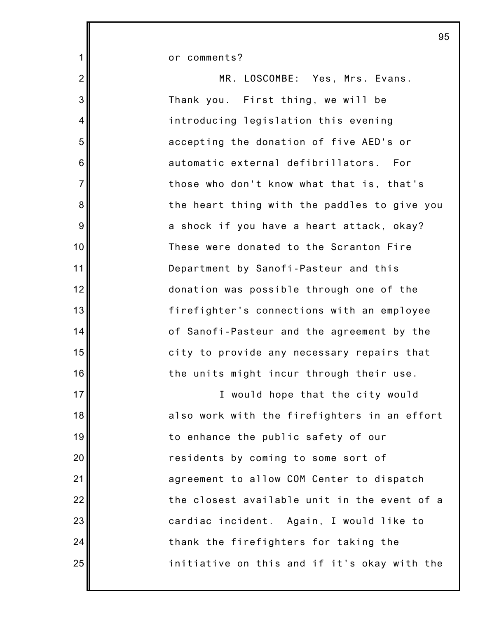or comments?

1

2

3

4

5

6

7

8

9

10

11

12

13

14

15

16

17

18

19

20

21

22

23

24

25

MR. LOSCOMBE: Yes, Mrs. Evans. Thank you. First thing, we will be introducing legislation this evening accepting the donation of five AED's or automatic external defibrillators. For those who don't know what that is, that's the heart thing with the paddles to give you a shock if you have a heart attack, okay? These were donated to the Scranton Fire Department by Sanofi-Pasteur and this donation was possible through one of the firefighter's connections with an employee of Sanofi-Pasteur and the agreement by the city to provide any necessary repairs that the units might incur through their use.

I would hope that the city would also work with the firefighters in an effort to enhance the public safety of our residents by coming to some sort of agreement to allow COM Center to dispatch the closest available unit in the event of a cardiac incident. Again, I would like to thank the firefighters for taking the initiative on this and if it's okay with the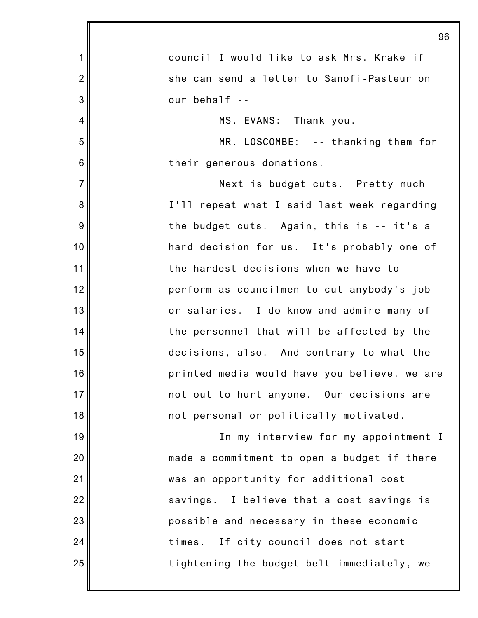|                | 96                                           |
|----------------|----------------------------------------------|
| $\mathbf 1$    | council I would like to ask Mrs. Krake if    |
| $\overline{2}$ | she can send a letter to Sanofi-Pasteur on   |
| 3              | our behalf --                                |
| 4              | MS. EVANS: Thank you.                        |
| 5              | MR. LOSCOMBE: -- thanking them for           |
| 6              | their generous donations.                    |
| $\overline{7}$ | Next is budget cuts. Pretty much             |
| 8              | I'll repeat what I said last week regarding  |
| 9              | the budget cuts. Again, this is -- it's a    |
| 10             | hard decision for us. It's probably one of   |
| 11             | the hardest decisions when we have to        |
| 12             | perform as councilmen to cut anybody's job   |
| 13             | or salaries. I do know and admire many of    |
| 14             | the personnel that will be affected by the   |
| 15             | decisions, also. And contrary to what the    |
| 16             | printed media would have you believe, we are |
| 17             | not out to hurt anyone. Our decisions are    |
| 18             | not personal or politically motivated.       |
| 19             | In my interview for my appointment I         |
| 20             | made a commitment to open a budget if there  |
| 21             | was an opportunity for additional cost       |
| 22             | savings. I believe that a cost savings is    |
| 23             | possible and necessary in these economic     |
| 24             | times. If city council does not start        |
| 25             | tightening the budget belt immediately, we   |
|                |                                              |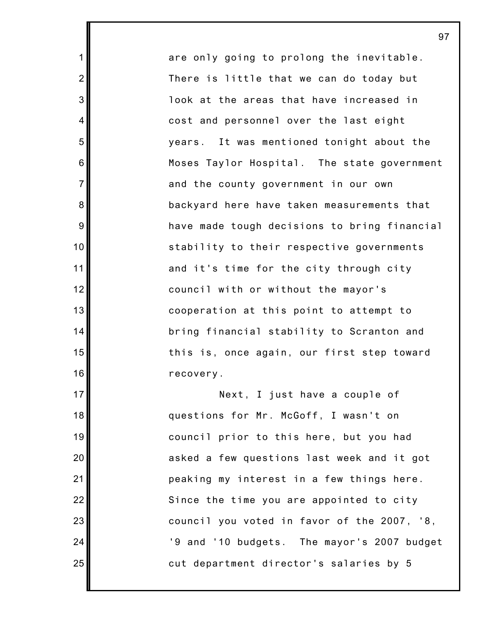are only going to prolong the inevitable. There is little that we can do today but look at the areas that have increased in cost and personnel over the last eight years. It was mentioned tonight about the Moses Taylor Hospital. The state government and the county government in our own backyard here have taken measurements that have made tough decisions to bring financial stability to their respective governments and it's time for the city through city council with or without the mayor's cooperation at this point to attempt to bring financial stability to Scranton and this is, once again, our first step toward recovery.

1

2

3

4

5

6

7

8

9

10

11

12

13

14

15

16

17

18

19

20

21

22

23

24

25

Next, I just have a couple of questions for Mr. McGoff, I wasn't on council prior to this here, but you had asked a few questions last week and it got peaking my interest in a few things here. Since the time you are appointed to city council you voted in favor of the 2007, '8, '9 and '10 budgets. The mayor's 2007 budget cut department director's salaries by 5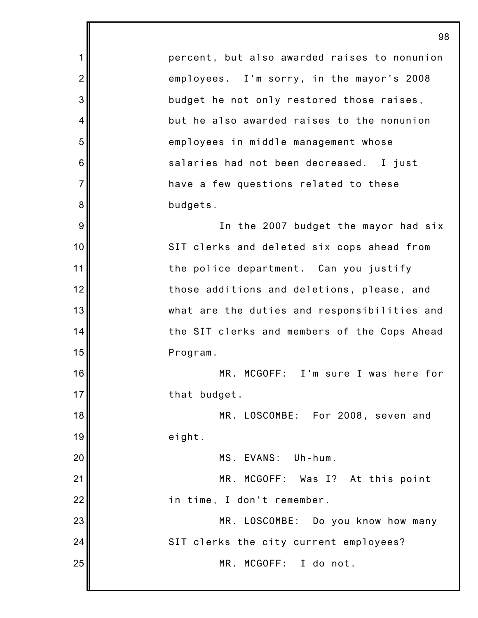percent, but also awarded raises to nonunion employees. I'm sorry, in the mayor's 2008 budget he not only restored those raises, but he also awarded raises to the nonunion employees in middle management whose salaries had not been decreased. I just have a few questions related to these budgets.

1

2

3

4

5

6

7

8

9

10

11

12

13

14

15

16

17

18

19

20

21

22

In the 2007 budget the mayor had six SIT clerks and deleted six cops ahead from the police department. Can you justify those additions and deletions, please, and what are the duties and responsibilities and the SIT clerks and members of the Cops Ahead Program.

MR. MCGOFF: I'm sure I was here for that budget.

MR. LOSCOMBE: For 2008, seven and eight.

MS. EVANS: Uh-hum.

MR. MCGOFF: Was I? At this point in time, I don't remember.

23 24 25 MR. LOSCOMBE: Do you know how many SIT clerks the city current employees? MR. MCGOFF: I do not.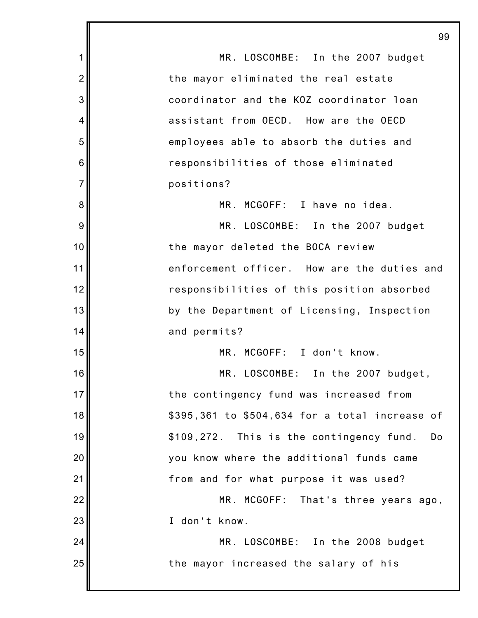1 2 3 4 5 6 7 8 9 10 11 12 13 14 15 16 17 18 19 20 21 22 23 24 25 99 MR. LOSCOMBE: In the 2007 budget the mayor eliminated the real estate coordinator and the KOZ coordinator loan assistant from OECD. How are the OECD employees able to absorb the duties and responsibilities of those eliminated positions? MR. MCGOFF: I have no idea. MR. LOSCOMBE: In the 2007 budget the mayor deleted the BOCA review enforcement officer. How are the duties and responsibilities of this position absorbed by the Department of Licensing, Inspection and permits? MR. MCGOFF: I don't know. MR. LOSCOMBE: In the 2007 budget, the contingency fund was increased from \$395,361 to \$504,634 for a total increase of \$109,272. This is the contingency fund. Do you know where the additional funds came from and for what purpose it was used? MR. MCGOFF: That's three years ago, I don't know. MR. LOSCOMBE: In the 2008 budget the mayor increased the salary of his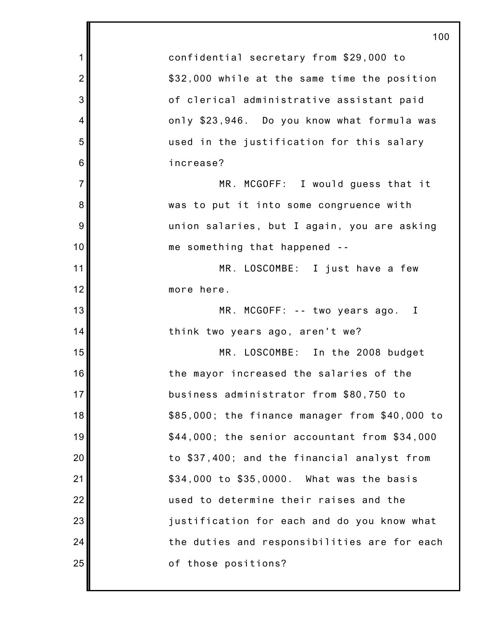|                | 100                                            |
|----------------|------------------------------------------------|
| $\mathbf 1$    | confidential secretary from \$29,000 to        |
| $\overline{2}$ | \$32,000 while at the same time the position   |
| 3              | of clerical administrative assistant paid      |
| 4              | only \$23,946. Do you know what formula was    |
| 5              | used in the justification for this salary      |
| 6              | increase?                                      |
| $\overline{7}$ | MR. MCGOFF: I would guess that it              |
| 8              | was to put it into some congruence with        |
| $9\,$          | union salaries, but I again, you are asking    |
| 10             | me something that happened --                  |
| 11             | MR. LOSCOMBE: I just have a few                |
| 12             | more here.                                     |
| 13             | MR. MCGOFF: -- two years ago. I                |
| 14             | think two years ago, aren't we?                |
| 15             | MR. LOSCOMBE: In the 2008 budget               |
| 16             | the mayor increased the salaries of the        |
| 17             | business administrator from \$80,750 to        |
| 18             | \$85,000; the finance manager from \$40,000 to |
| 19             | \$44,000; the senior accountant from \$34,000  |
| 20             | to \$37,400; and the financial analyst from    |
| 21             | \$34,000 to \$35,0000. What was the basis      |
| 22             | used to determine their raises and the         |
| 23             | justification for each and do you know what    |
| 24             | the duties and responsibilities are for each   |
| 25             | of those positions?                            |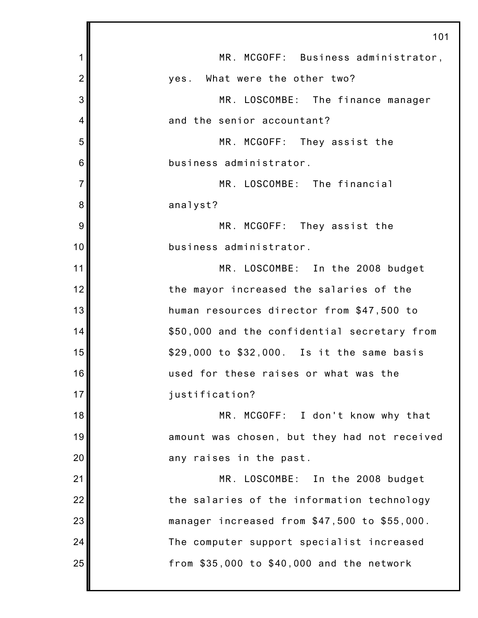|                | 101                                          |
|----------------|----------------------------------------------|
| 1              | MR. MCGOFF: Business administrator,          |
| $\overline{2}$ | yes. What were the other two?                |
| 3              | MR. LOSCOMBE: The finance manager            |
| 4              | and the senior accountant?                   |
| 5              | MR. MCGOFF: They assist the                  |
| 6              | business administrator.                      |
| $\overline{7}$ | MR. LOSCOMBE: The financial                  |
| 8              | analyst?                                     |
| 9              | MR. MCGOFF: They assist the                  |
| 10             | business administrator.                      |
| 11             | MR. LOSCOMBE: In the 2008 budget             |
| 12             | the mayor increased the salaries of the      |
| 13             | human resources director from \$47,500 to    |
| 14             | \$50,000 and the confidential secretary from |
| 15             | \$29,000 to \$32,000. Is it the same basis   |
| 16             | used for these raises or what was the        |
| 17             | justification?                               |
| 18             | MR. MCGOFF: I don't know why that            |
| 19             | amount was chosen, but they had not received |
| 20             | any raises in the past.                      |
| 21             | MR. LOSCOMBE: In the 2008 budget             |
| 22             | the salaries of the information technology   |
| 23             | manager increased from \$47,500 to \$55,000. |
| 24             | The computer support specialist increased    |
| 25             | from \$35,000 to \$40,000 and the network    |
|                |                                              |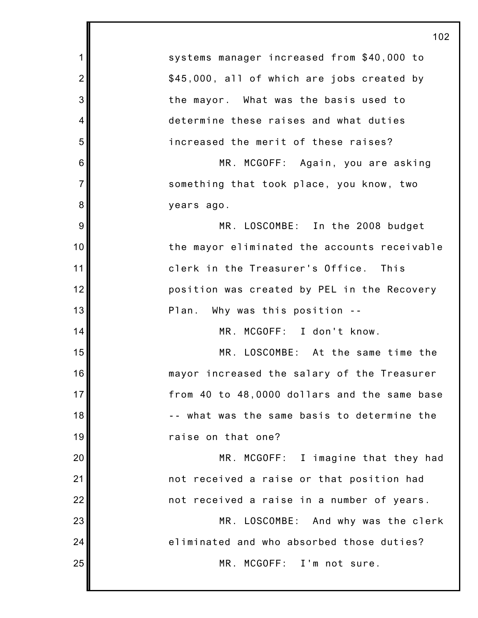|                | 102                                          |
|----------------|----------------------------------------------|
| 1              | systems manager increased from \$40,000 to   |
| $\overline{2}$ | \$45,000, all of which are jobs created by   |
| 3              | the mayor. What was the basis used to        |
| $\overline{4}$ | determine these raises and what duties       |
| 5              | increased the merit of these raises?         |
| 6              | MR. MCGOFF: Again, you are asking            |
| $\overline{7}$ | something that took place, you know, two     |
| 8              | years ago.                                   |
| 9              | MR. LOSCOMBE: In the 2008 budget             |
| 10             | the mayor eliminated the accounts receivable |
| 11             | clerk in the Treasurer's Office. This        |
| 12             | position was created by PEL in the Recovery  |
| 13             | Plan. Why was this position --               |
| 14             | MR. MCGOFF: I don't know.                    |
| 15             | MR. LOSCOMBE: At the same time the           |
| 16             | mayor increased the salary of the Treasurer  |
| 17             | from 40 to 48,0000 dollars and the same base |
| 18             | -- what was the same basis to determine the  |
| 19             | raise on that one?                           |
| 20             | MR. MCGOFF: I imagine that they had          |
| 21             | not received a raise or that position had    |
| 22             | not received a raise in a number of years.   |
| 23             | MR. LOSCOMBE: And why was the clerk          |
| 24             | eliminated and who absorbed those duties?    |
| 25             | MR. MCGOFF: I'm not sure.                    |
|                |                                              |

Ш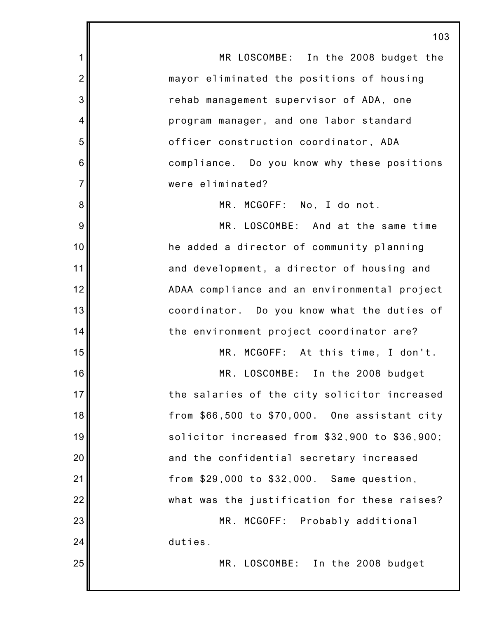1 2 3 4 5 6 7 8 9 10 11 12 13 14 15 16 17 18 19 20 21 22 23 24 25 103 MR LOSCOMBE: In the 2008 budget the mayor eliminated the positions of housing rehab management supervisor of ADA, one program manager, and one labor standard officer construction coordinator, ADA compliance. Do you know why these positions were eliminated? MR. MCGOFF: No, I do not. MR. LOSCOMBE: And at the same time he added a director of community planning and development, a director of housing and ADAA compliance and an environmental project coordinator. Do you know what the duties of the environment project coordinator are? MR. MCGOFF: At this time, I don't. MR. LOSCOMBE: In the 2008 budget the salaries of the city solicitor increased from \$66,500 to \$70,000. One assistant city solicitor increased from \$32,900 to \$36,900; and the confidential secretary increased from \$29,000 to \$32,000. Same question, what was the justification for these raises? MR. MCGOFF: Probably additional duties. MR. LOSCOMBE: In the 2008 budget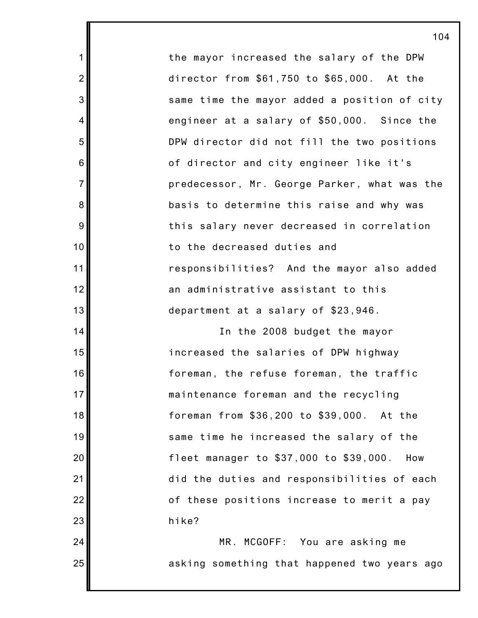the mayor increased the salary of the DPW director from \$61,750 to \$65,000. At the same time the mayor added a position of city engineer at a salary of \$50,000. Since the DPW director did not fill the two positions of director and city engineer like it's predecessor, Mr. George Parker, what was the basis to determine this raise and why was this salary never decreased in correlation to the decreased duties and responsibilities? And the mayor also added an administrative assistant to this department at a salary of \$23,946.

1

2

3

4

5

6

7

8

9

10

11

12

13

14

15

16

17

18

19

20

21

22

23

24

25

In the 2008 budget the mayor increased the salaries of DPW highway foreman, the refuse foreman, the traffic maintenance foreman and the recycling foreman from \$36,200 to \$39,000. At the same time he increased the salary of the fleet manager to \$37,000 to \$39,000. How did the duties and responsibilities of each of these positions increase to merit a pay hike?

MR. MCGOFF: You are asking me asking something that happened two years ago

104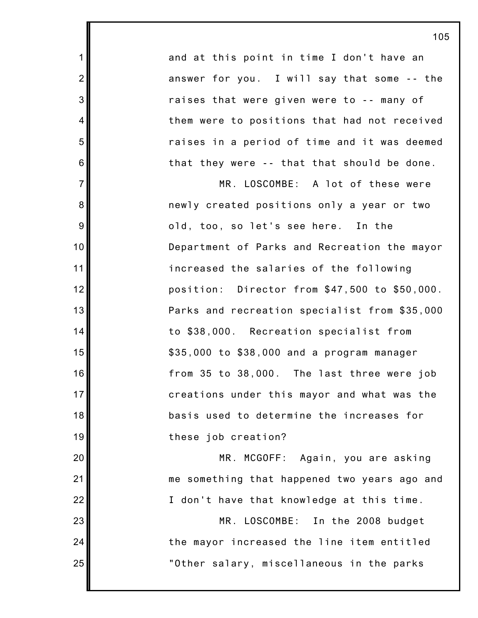and at this point in time I don't have an answer for you. I will say that some -- the raises that were given were to -- many of them were to positions that had not received raises in a period of time and it was deemed that they were -- that that should be done.

1

2

3

4

5

6

7

8

9

10

11

12

13

14

15

16

17

18

19

20

21

22

23

24

25

MR. LOSCOMBE: A lot of these were newly created positions only a year or two old, too, so let's see here. In the Department of Parks and Recreation the mayor increased the salaries of the following position: Director from \$47,500 to \$50,000. Parks and recreation specialist from \$35,000 to \$38,000. Recreation specialist from \$35,000 to \$38,000 and a program manager from 35 to 38,000. The last three were job creations under this mayor and what was the basis used to determine the increases for these job creation?

MR. MCGOFF: Again, you are asking me something that happened two years ago and I don't have that knowledge at this time.

MR. LOSCOMBE: In the 2008 budget the mayor increased the line item entitled "Other salary, miscellaneous in the parks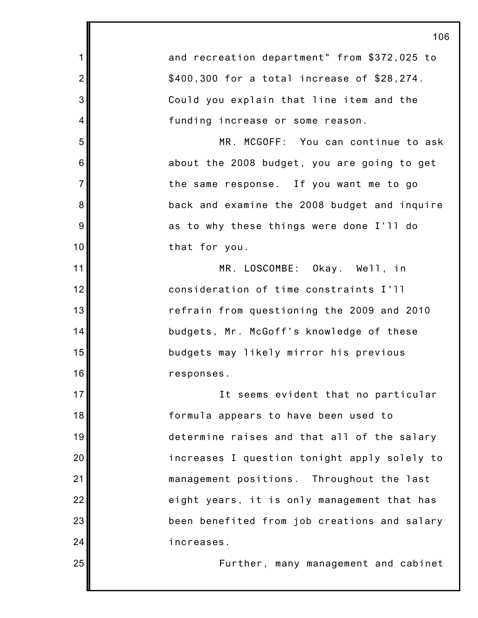|                | 106                                          |
|----------------|----------------------------------------------|
| 1              | and recreation department" from \$372,025 to |
| $\overline{2}$ | \$400,300 for a total increase of \$28,274.  |
| 3              | Could you explain that line item and the     |
| 4              | funding increase or some reason.             |
| 5              | MR. MCGOFF: You can continue to ask          |
| 6              | about the 2008 budget, you are going to get  |
| $\overline{7}$ | the same response. If you want me to go      |
| 8              | back and examine the 2008 budget and inquire |
| 9              | as to why these things were done I'll do     |
| 10             | that for you.                                |
| 11             | MR. LOSCOMBE: Okay. Well, in                 |
| 12             | consideration of time constraints I'll       |
| 13             | refrain from questioning the 2009 and 2010   |
| 14             | budgets, Mr. McGoff's knowledge of these     |
| 15             | budgets may likely mirror his previous       |
| 16             | responses.                                   |
| 17             | It seems evident that no particular          |
| 18             | formula appears to have been used to         |
| 19             | determine raises and that all of the salary  |
| 20             | increases I question tonight apply solely to |
| 21             | management positions. Throughout the last    |
| 22             | eight years, it is only management that has  |
| 23             | been benefited from job creations and salary |
| 24             | increases.                                   |
| 25             | Further, many management and cabinet         |
|                |                                              |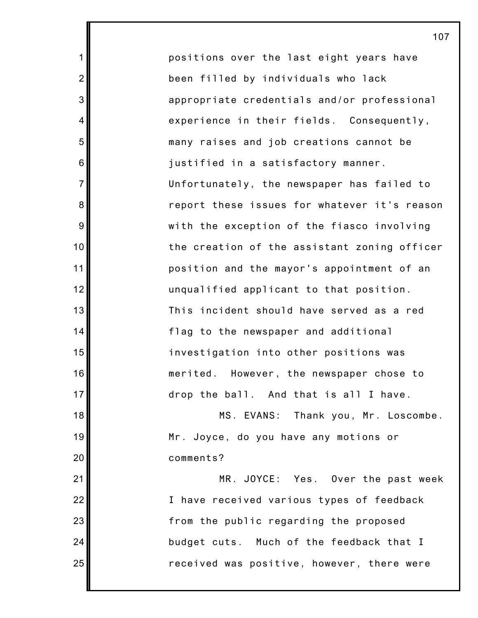positions over the last eight years have been filled by individuals who lack appropriate credentials and/or professional experience in their fields. Consequently, many raises and job creations cannot be justified in a satisfactory manner. Unfortunately, the newspaper has failed to report these issues for whatever it's reason with the exception of the fiasco involving the creation of the assistant zoning officer position and the mayor's appointment of an unqualified applicant to that position. This incident should have served as a red flag to the newspaper and additional investigation into other positions was merited. However, the newspaper chose to drop the ball. And that is all I have. MS. EVANS: Thank you, Mr. Loscombe.

1

2

3

4

5

6

7

8

9

10

11

12

13

14

15

16

17

21

22

23

24

25

18 19 20 Mr. Joyce, do you have any motions or comments?

MR. JOYCE: Yes. Over the past week I have received various types of feedback from the public regarding the proposed budget cuts. Much of the feedback that I received was positive, however, there were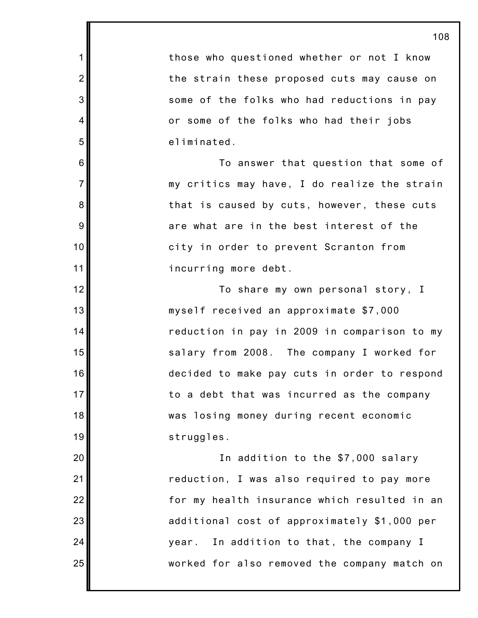those who questioned whether or not I know the strain these proposed cuts may cause on some of the folks who had reductions in pay or some of the folks who had their jobs eliminated.

1

2

3

4

5

6

7

8

9

10

11

12

13

14

15

16

17

18

19

20

21

22

23

24

25

To answer that question that some of my critics may have, I do realize the strain that is caused by cuts, however, these cuts are what are in the best interest of the city in order to prevent Scranton from incurring more debt.

To share my own personal story, I myself received an approximate \$7,000 reduction in pay in 2009 in comparison to my salary from 2008. The company I worked for decided to make pay cuts in order to respond to a debt that was incurred as the company was losing money during recent economic struggles.

In addition to the \$7,000 salary reduction, I was also required to pay more for my health insurance which resulted in an additional cost of approximately \$1,000 per year. In addition to that, the company I worked for also removed the company match on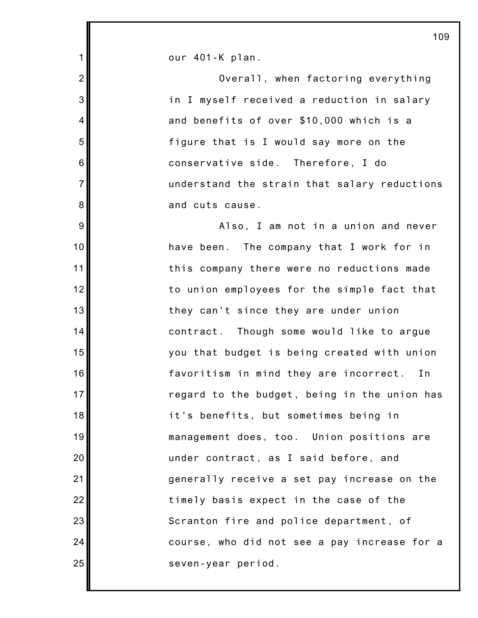our 401-K plan.

1

2

3

4

5

6

7

8

9

10

11

12

13

14

15

16

17

18

19

20

21

22

23

24

25

Overall, when factoring everything in I myself received a reduction in salary and benefits of over \$10,000 which is a figure that is I would say more on the conservative side. Therefore, I do understand the strain that salary reductions and cuts cause. Also, I am not in a union and never have been. The company that I work for in this company there were no reductions made to union employees for the simple fact that they can't since they are under union contract. Though some would like to argue you that budget is being created with union favoritism in mind they are incorrect. In regard to the budget, being in the union has it's benefits, but sometimes being in management does, too. Union positions are under contract, as I said before, and generally receive a set pay increase on the timely basis expect in the case of the Scranton fire and police department, of course, who did not see a pay increase for a seven-year period.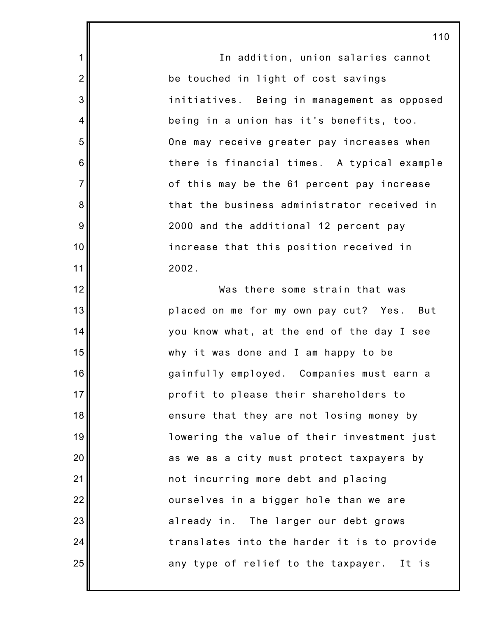In addition, union salaries cannot be touched in light of cost savings initiatives. Being in management as opposed being in a union has it's benefits, too. One may receive greater pay increases when there is financial times. A typical example of this may be the 61 percent pay increase that the business administrator received in 2000 and the additional 12 percent pay increase that this position received in 2002.

1

2

3

4

5

6

7

8

9

10

11

12

13

14

15

16

17

18

19

20

21

22

23

24

25

Was there some strain that was placed on me for my own pay cut? Yes. But you know what, at the end of the day I see why it was done and I am happy to be gainfully employed. Companies must earn a profit to please their shareholders to ensure that they are not losing money by lowering the value of their investment just as we as a city must protect taxpayers by not incurring more debt and placing ourselves in a bigger hole than we are already in. The larger our debt grows translates into the harder it is to provide any type of relief to the taxpayer. It is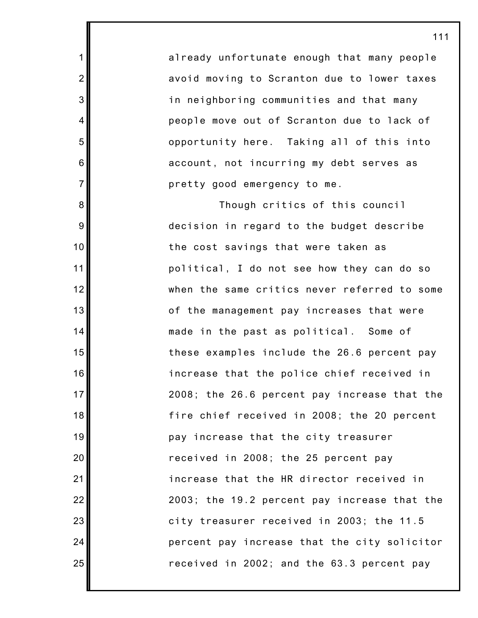already unfortunate enough that many people avoid moving to Scranton due to lower taxes in neighboring communities and that many people move out of Scranton due to lack of opportunity here. Taking all of this into account, not incurring my debt serves as pretty good emergency to me.

1

2

3

4

5

6

7

8

9

10

11

12

13

14

15

16

17

18

19

20

21

22

23

24

25

Though critics of this council decision in regard to the budget describe the cost savings that were taken as political, I do not see how they can do so when the same critics never referred to some of the management pay increases that were made in the past as political. Some of these examples include the 26.6 percent pay increase that the police chief received in 2008; the 26.6 percent pay increase that the fire chief received in 2008; the 20 percent pay increase that the city treasurer received in 2008; the 25 percent pay increase that the HR director received in 2003; the 19.2 percent pay increase that the city treasurer received in 2003; the 11.5 percent pay increase that the city solicitor received in 2002; and the 63.3 percent pay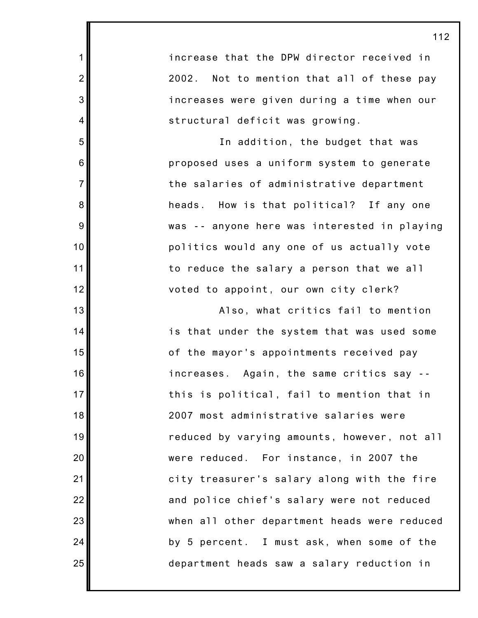increase that the DPW director received in 2002. Not to mention that all of these pay increases were given during a time when our structural deficit was growing.

1

2

3

4

5

6

7

8

9

10

11

12

13

14

15

16

17

18

19

20

21

22

23

24

25

In addition, the budget that was proposed uses a uniform system to generate the salaries of administrative department heads. How is that political? If any one was -- anyone here was interested in playing politics would any one of us actually vote to reduce the salary a person that we all voted to appoint, our own city clerk?

Also, what critics fail to mention is that under the system that was used some of the mayor's appointments received pay increases. Again, the same critics say - this is political, fail to mention that in 2007 most administrative salaries were reduced by varying amounts, however, not all were reduced. For instance, in 2007 the city treasurer's salary along with the fire and police chief's salary were not reduced when all other department heads were reduced by 5 percent. I must ask, when some of the department heads saw a salary reduction in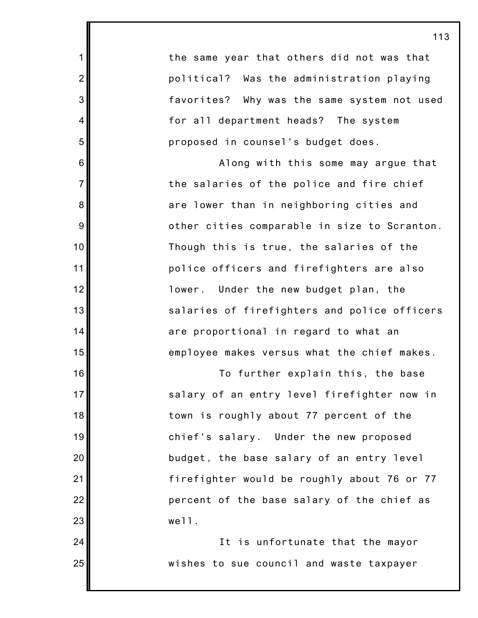the same year that others did not was that political? Was the administration playing favorites? Why was the same system not used for all department heads? The system proposed in counsel's budget does.

1

2

3

4

5

6

7

8

9

10

11

12

13

14

15

16

17

18

19

20

21

22

23

24

25

Along with this some may argue that the salaries of the police and fire chief are lower than in neighboring cities and other cities comparable in size to Scranton. Though this is true, the salaries of the police officers and firefighters are also lower. Under the new budget plan, the salaries of firefighters and police officers are proportional in regard to what an employee makes versus what the chief makes.

To further explain this, the base salary of an entry level firefighter now in town is roughly about 77 percent of the chief's salary. Under the new proposed budget, the base salary of an entry level firefighter would be roughly about 76 or 77 percent of the base salary of the chief as well.

It is unfortunate that the mayor wishes to sue council and waste taxpayer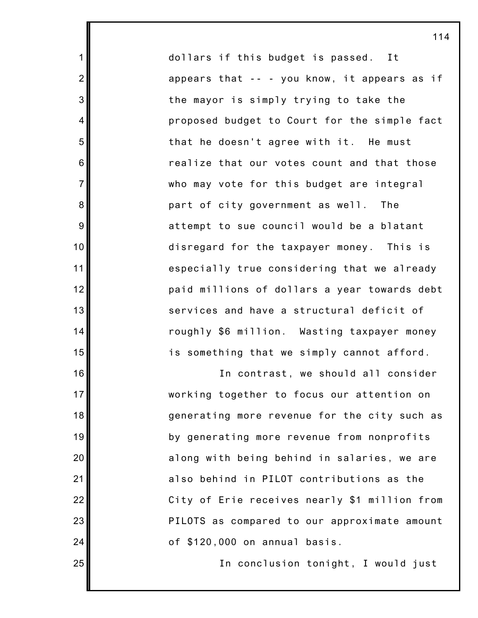dollars if this budget is passed. It appears that -- - you know, it appears as if the mayor is simply trying to take the proposed budget to Court for the simple fact that he doesn't agree with it. He must realize that our votes count and that those who may vote for this budget are integral part of city government as well. The attempt to sue council would be a blatant disregard for the taxpayer money. This is especially true considering that we already paid millions of dollars a year towards debt services and have a structural deficit of roughly \$6 million. Wasting taxpayer money is something that we simply cannot afford.

1

2

3

4

5

6

7

8

9

10

11

12

13

14

15

16

17

18

19

20

21

22

23

24

25

In contrast, we should all consider working together to focus our attention on generating more revenue for the city such as by generating more revenue from nonprofits along with being behind in salaries, we are also behind in PILOT contributions as the City of Erie receives nearly \$1 million from PILOTS as compared to our approximate amount of \$120,000 on annual basis.

In conclusion tonight, I would just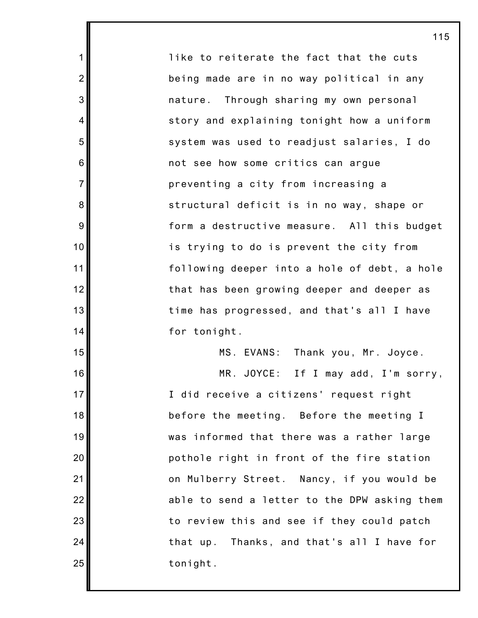like to reiterate the fact that the cuts being made are in no way political in any nature. Through sharing my own personal story and explaining tonight how a uniform system was used to readjust salaries, I do not see how some critics can argue preventing a city from increasing a structural deficit is in no way, shape or form a destructive measure. All this budget is trying to do is prevent the city from following deeper into a hole of debt, a hole that has been growing deeper and deeper as time has progressed, and that's all I have for tonight. MS. EVANS: Thank you, Mr. Joyce.

1

2

3

4

5

6

7

8

9

10

11

12

13

14

15

16

17

18

19

20

21

22

23

24

25

MR. JOYCE: If I may add, I'm sorry, I did receive a citizens' request right before the meeting. Before the meeting I was informed that there was a rather large pothole right in front of the fire station on Mulberry Street. Nancy, if you would be able to send a letter to the DPW asking them to review this and see if they could patch that up. Thanks, and that's all I have for tonight.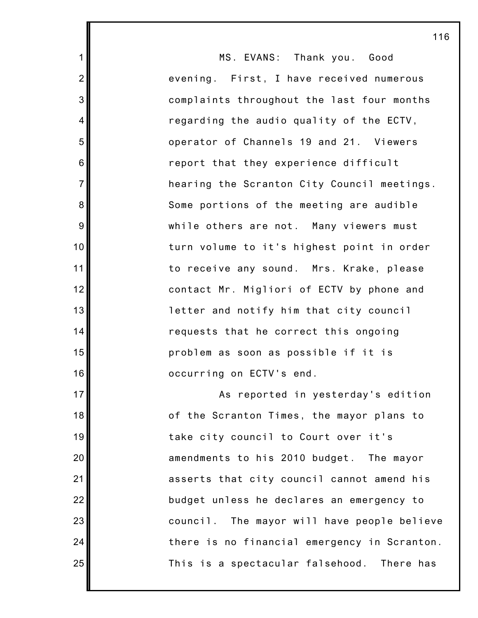MS. EVANS: Thank you. Good evening. First, I have received numerous complaints throughout the last four months regarding the audio quality of the ECTV, operator of Channels 19 and 21. Viewers report that they experience difficult hearing the Scranton City Council meetings. Some portions of the meeting are audible while others are not. Many viewers must turn volume to it's highest point in order to receive any sound. Mrs. Krake, please contact Mr. Migliori of ECTV by phone and letter and notify him that city council requests that he correct this ongoing problem as soon as possible if it is occurring on ECTV's end. As reported in yesterday's edition of the Scranton Times, the mayor plans to take city council to Court over it's amendments to his 2010 budget. The mayor

asserts that city council cannot amend his

budget unless he declares an emergency to

council. The mayor will have people believe

there is no financial emergency in Scranton.

This is a spectacular falsehood. There has

1

2

3

4

5

6

7

8

9

10

11

12

13

14

15

16

17

18

19

20

21

22

23

24

25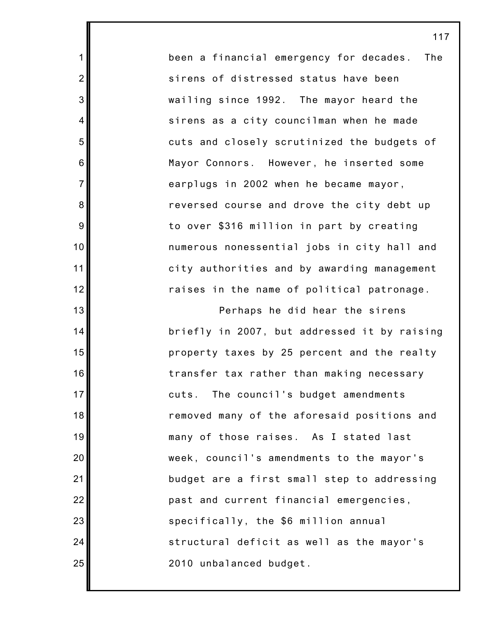been a financial emergency for decades. The sirens of distressed status have been wailing since 1992. The mayor heard the sirens as a city councilman when he made cuts and closely scrutinized the budgets of Mayor Connors. However, he inserted some earplugs in 2002 when he became mayor, reversed course and drove the city debt up to over \$316 million in part by creating numerous nonessential jobs in city hall and city authorities and by awarding management raises in the name of political patronage.

1

2

3

4

5

6

7

8

9

10

11

12

13

14

15

16

17

18

19

20

21

22

23

24

25

Perhaps he did hear the sirens briefly in 2007, but addressed it by raising property taxes by 25 percent and the realty transfer tax rather than making necessary cuts. The council's budget amendments removed many of the aforesaid positions and many of those raises. As I stated last week, council's amendments to the mayor's budget are a first small step to addressing past and current financial emergencies, specifically, the \$6 million annual structural deficit as well as the mayor's 2010 unbalanced budget.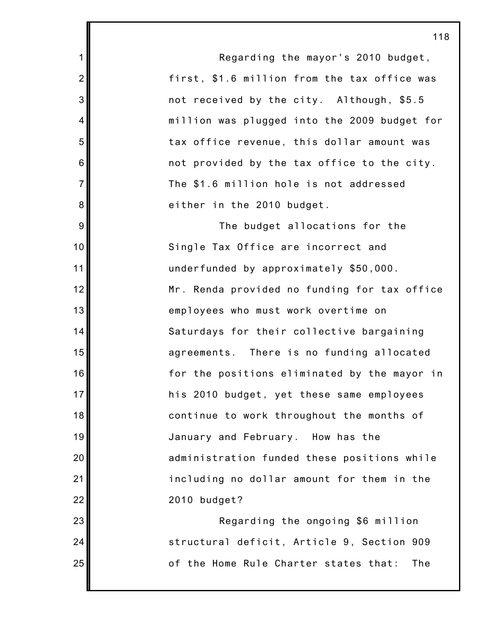1 2 3 4 5 6 7 8 9 10 11 12 13 14 15 16 17 18 19 20 21 22 23 24 Regarding the mayor's 2010 budget, first, \$1.6 million from the tax office was not received by the city. Although, \$5.5 million was plugged into the 2009 budget for tax office revenue, this dollar amount was not provided by the tax office to the city. The \$1.6 million hole is not addressed either in the 2010 budget. The budget allocations for the Single Tax Office are incorrect and underfunded by approximately \$50,000. Mr. Renda provided no funding for tax office employees who must work overtime on Saturdays for their collective bargaining agreements. There is no funding allocated for the positions eliminated by the mayor in his 2010 budget, yet these same employees continue to work throughout the months of January and February. How has the administration funded these positions while including no dollar amount for them in the 2010 budget? Regarding the ongoing \$6 million structural deficit, Article 9, Section 909

of the Home Rule Charter states that: The

25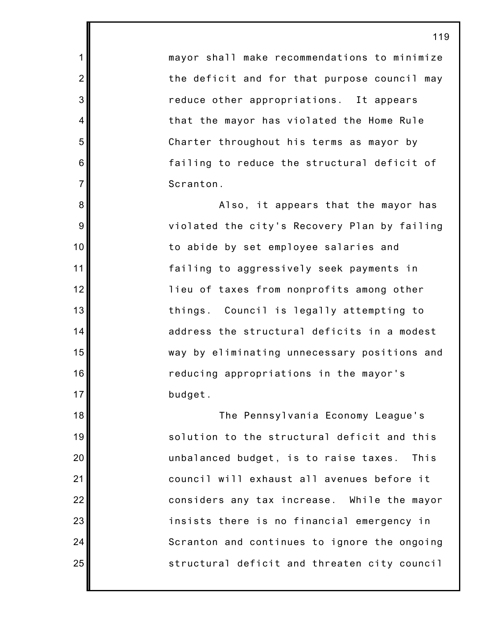mayor shall make recommendations to minimize the deficit and for that purpose council may reduce other appropriations. It appears that the mayor has violated the Home Rule Charter throughout his terms as mayor by failing to reduce the structural deficit of Scranton.

1

2

3

4

5

6

7

8

9

10

11

12

13

14

15

16

17

18

19

20

21

22

23

24

25

Also, it appears that the mayor has violated the city's Recovery Plan by failing to abide by set employee salaries and failing to aggressively seek payments in lieu of taxes from nonprofits among other things. Council is legally attempting to address the structural deficits in a modest way by eliminating unnecessary positions and reducing appropriations in the mayor's budget.

The Pennsylvania Economy League's solution to the structural deficit and this unbalanced budget, is to raise taxes. This council will exhaust all avenues before it considers any tax increase. While the mayor insists there is no financial emergency in Scranton and continues to ignore the ongoing structural deficit and threaten city council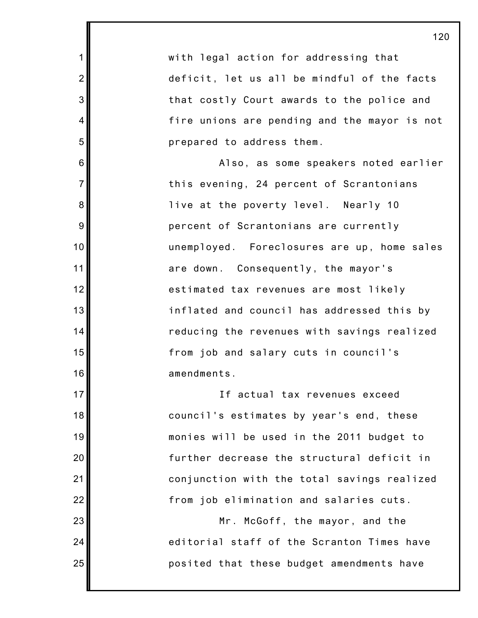with legal action for addressing that deficit, let us all be mindful of the facts that costly Court awards to the police and fire unions are pending and the mayor is not prepared to address them. Also, as some speakers noted earlier this evening, 24 percent of Scrantonians live at the poverty level. Nearly 10 percent of Scrantonians are currently unemployed. Foreclosures are up, home sales are down. Consequently, the mayor's estimated tax revenues are most likely inflated and council has addressed this by reducing the revenues with savings realized from job and salary cuts in council's amendments. If actual tax revenues exceed council's estimates by year's end, these monies will be used in the 2011 budget to further decrease the structural deficit in

1

2

3

4

5

6

7

8

9

10

11

12

13

14

15

16

17

18

19

20

21

22

23

24

25

from job elimination and salaries cuts.

conjunction with the total savings realized

Mr. McGoff, the mayor, and the editorial staff of the Scranton Times have posited that these budget amendments have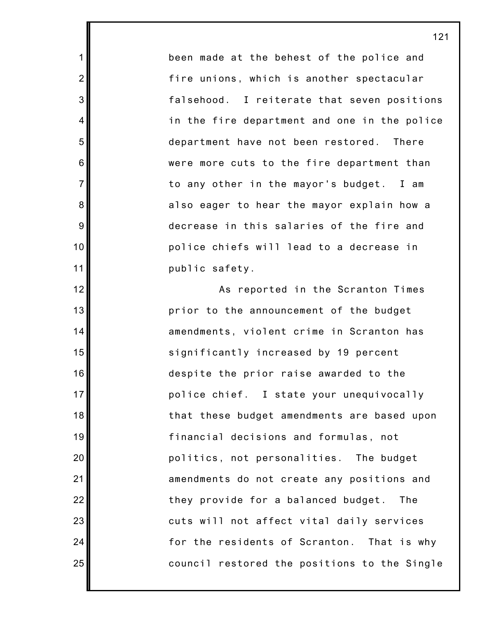been made at the behest of the police and fire unions, which is another spectacular falsehood. I reiterate that seven positions in the fire department and one in the police department have not been restored. There were more cuts to the fire department than to any other in the mayor's budget. I am also eager to hear the mayor explain how a decrease in this salaries of the fire and police chiefs will lead to a decrease in public safety.

1

2

3

4

5

6

7

8

9

10

11

12

13

14

15

16

17

18

19

20

21

22

23

24

25

As reported in the Scranton Times prior to the announcement of the budget amendments, violent crime in Scranton has significantly increased by 19 percent despite the prior raise awarded to the police chief. I state your unequivocally that these budget amendments are based upon financial decisions and formulas, not politics, not personalities. The budget amendments do not create any positions and they provide for a balanced budget. The cuts will not affect vital daily services for the residents of Scranton. That is why council restored the positions to the Single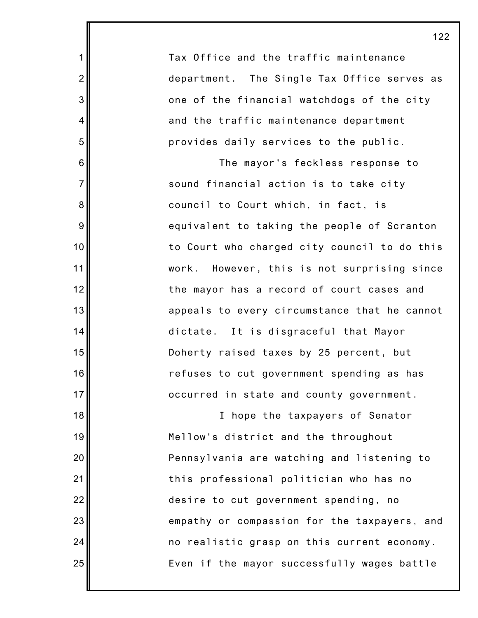Tax Office and the traffic maintenance department. The Single Tax Office serves as one of the financial watchdogs of the city and the traffic maintenance department provides daily services to the public.

1

2

3

4

5

6

7

8

9

10

11

12

13

14

15

16

17

18

19

20

21

22

23

24

25

The mayor's feckless response to sound financial action is to take city council to Court which, in fact, is equivalent to taking the people of Scranton to Court who charged city council to do this work. However, this is not surprising since the mayor has a record of court cases and appeals to every circumstance that he cannot dictate. It is disgraceful that Mayor Doherty raised taxes by 25 percent, but refuses to cut government spending as has occurred in state and county government.

I hope the taxpayers of Senator Mellow's district and the throughout Pennsylvania are watching and listening to this professional politician who has no desire to cut government spending, no empathy or compassion for the taxpayers, and no realistic grasp on this current economy. Even if the mayor successfully wages battle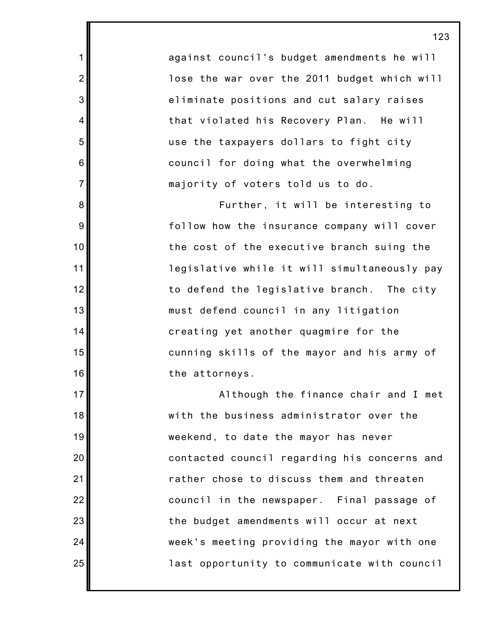against council's budget amendments he will lose the war over the 2011 budget which will eliminate positions and cut salary raises that violated his Recovery Plan. He will use the taxpayers dollars to fight city council for doing what the overwhelming majority of voters told us to do.

1

2

3

4

5

6

7

8

9

10

11

12

13

14

15

16

17

18

19

20

21

22

23

24

25

Further, it will be interesting to follow how the insurance company will cover the cost of the executive branch suing the legislative while it will simultaneously pay to defend the legislative branch. The city must defend council in any litigation creating yet another quagmire for the cunning skills of the mayor and his army of the attorneys.

Although the finance chair and I met with the business administrator over the weekend, to date the mayor has never contacted council regarding his concerns and rather chose to discuss them and threaten council in the newspaper. Final passage of the budget amendments will occur at next week's meeting providing the mayor with one last opportunity to communicate with council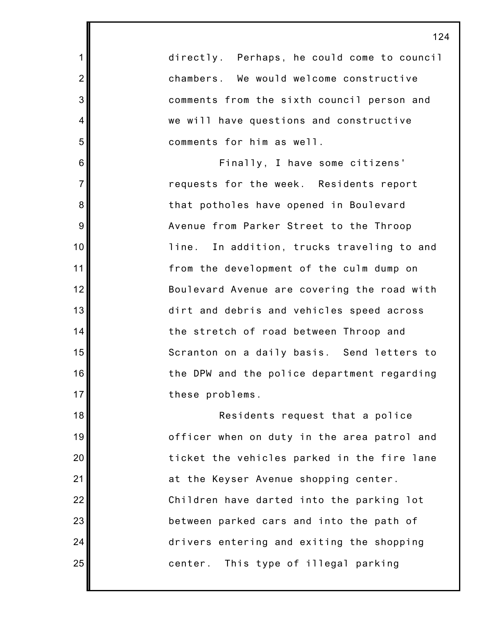directly. Perhaps, he could come to council chambers. We would welcome constructive comments from the sixth council person and we will have questions and constructive comments for him as well. Finally, I have some citizens' requests for the week. Residents report

1

2

3

4

5

6

7

8

9

10

11

12

13

14

15

16

17

18

19

20

21

22

23

24

25

that potholes have opened in Boulevard Avenue from Parker Street to the Throop line. In addition, trucks traveling to and from the development of the culm dump on Boulevard Avenue are covering the road with dirt and debris and vehicles speed across the stretch of road between Throop and Scranton on a daily basis. Send letters to the DPW and the police department regarding these problems.

Residents request that a police officer when on duty in the area patrol and ticket the vehicles parked in the fire lane at the Keyser Avenue shopping center. Children have darted into the parking lot between parked cars and into the path of drivers entering and exiting the shopping center. This type of illegal parking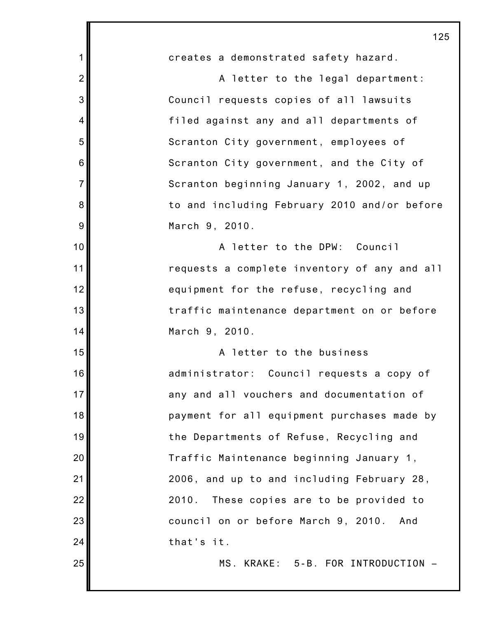|                | 125                                          |
|----------------|----------------------------------------------|
| 1              | creates a demonstrated safety hazard.        |
| $\overline{2}$ | A letter to the legal department:            |
| 3              | Council requests copies of all lawsuits      |
| 4              | filed against any and all departments of     |
| 5              | Scranton City government, employees of       |
| 6              | Scranton City government, and the City of    |
| $\overline{7}$ | Scranton beginning January 1, 2002, and up   |
| 8              | to and including February 2010 and/or before |
| 9              | March 9, 2010.                               |
| 10             | A letter to the DPW: Council                 |
| 11             | requests a complete inventory of any and all |
| 12             | equipment for the refuse, recycling and      |
| 13             | traffic maintenance department on or before  |
| 14             | March 9, 2010.                               |
| 15             | A letter to the business                     |
| 16             | administrator: Council requests a copy of    |
| 17             | any and all vouchers and documentation of    |
| 18             | payment for all equipment purchases made by  |
| 19             | the Departments of Refuse, Recycling and     |
| 20             | Traffic Maintenance beginning January 1,     |
| 21             | 2006, and up to and including February 28,   |
| 22             | 2010.<br>These copies are to be provided to  |
| 23             | council on or before March 9, 2010.<br>And   |
| 24             | that's it.                                   |
| 25             | MS. KRAKE: 5-B. FOR INTRODUCTION             |
|                |                                              |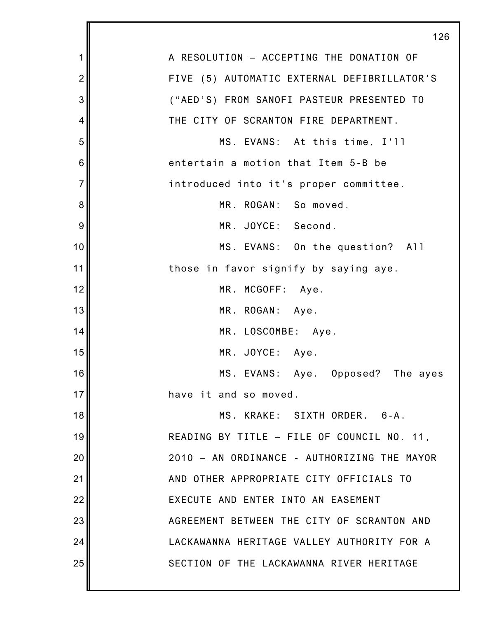|                | 126                                         |
|----------------|---------------------------------------------|
| 1              | A RESOLUTION - ACCEPTING THE DONATION OF    |
| $\overline{2}$ | FIVE (5) AUTOMATIC EXTERNAL DEFIBRILLATOR'S |
| 3              | ("AED'S) FROM SANOFI PASTEUR PRESENTED TO   |
| 4              | THE CITY OF SCRANTON FIRE DEPARTMENT.       |
| 5              | MS. EVANS: At this time, I'll               |
| 6              | entertain a motion that Item 5-B be         |
| $\overline{7}$ | introduced into it's proper committee.      |
| 8              | MR. ROGAN: So moved.                        |
| 9              | MR. JOYCE: Second.                          |
| 10             | MS. EVANS: On the question? All             |
| 11             | those in favor signify by saying aye.       |
| 12             | MR. MCGOFF: Aye.                            |
| 13             | MR. ROGAN: Aye.                             |
| 14             | MR. LOSCOMBE: Aye.                          |
| 15             | MR. JOYCE: Aye.                             |
| 16             | MS. EVANS: Aye. Opposed?<br>The ayes        |
| 17             | have it and so moved.                       |
| 18             | MS. KRAKE: SIXTH ORDER. 6-A.                |
| 19             | READING BY TITLE - FILE OF COUNCIL NO. 11,  |
| 20             | 2010 - AN ORDINANCE - AUTHORIZING THE MAYOR |
| 21             | AND OTHER APPROPRIATE CITY OFFICIALS TO     |
| 22             | EXECUTE AND ENTER INTO AN EASEMENT          |
| 23             | AGREEMENT BETWEEN THE CITY OF SCRANTON AND  |
| 24             | LACKAWANNA HERITAGE VALLEY AUTHORITY FOR A  |
| 25             | SECTION OF THE LACKAWANNA RIVER HERITAGE    |
|                |                                             |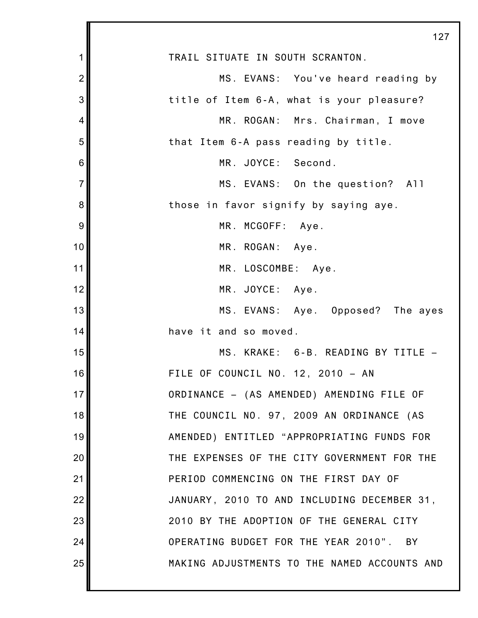|                | 127                                          |
|----------------|----------------------------------------------|
| 1              | TRAIL SITUATE IN SOUTH SCRANTON.             |
| $\overline{2}$ | MS. EVANS: You've heard reading by           |
| 3              | title of Item 6-A, what is your pleasure?    |
| 4              | MR. ROGAN:<br>Mrs. Chairman, I move          |
| 5              | that Item 6-A pass reading by title.         |
| 6              | MR. JOYCE: Second.                           |
| $\overline{7}$ | MS. EVANS: On the question? All              |
| 8              | those in favor signify by saying aye.        |
| $\overline{9}$ | MR. MCGOFF: Aye.                             |
| 10             | MR. ROGAN: Aye.                              |
| 11             | MR. LOSCOMBE: Aye.                           |
| 12             | MR. JOYCE: Aye.                              |
| 13             | MS. EVANS: Aye. Opposed? The ayes            |
| 14             | have it and so moved.                        |
| 15             | MS. KRAKE: 6-B. READING BY TITLE -           |
| 16             | FILE OF COUNCIL NO. 12, 2010 - AN            |
| 17             | ORDINANCE - (AS AMENDED) AMENDING FILE OF    |
| 18             | THE COUNCIL NO. 97, 2009 AN ORDINANCE (AS    |
| 19             | AMENDED) ENTITLED "APPROPRIATING FUNDS FOR   |
| 20             | THE EXPENSES OF THE CITY GOVERNMENT FOR THE  |
| 21             | PERIOD COMMENCING ON THE FIRST DAY OF        |
| 22             | JANUARY, 2010 TO AND INCLUDING DECEMBER 31,  |
| 23             | 2010 BY THE ADOPTION OF THE GENERAL CITY     |
| 24             | OPERATING BUDGET FOR THE YEAR 2010". BY      |
| 25             | MAKING ADJUSTMENTS TO THE NAMED ACCOUNTS AND |
|                |                                              |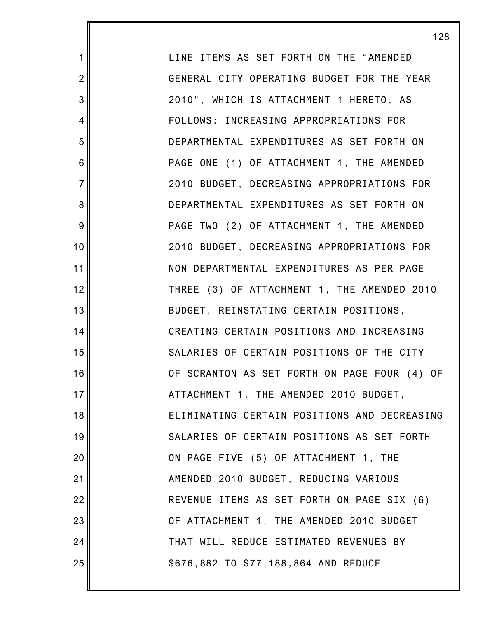LINE ITEMS AS SET FORTH ON THE "AMENDED GENERAL CITY OPERATING BUDGET FOR THE YEAR 2010", WHICH IS ATTACHMENT 1 HERETO, AS FOLLOWS: INCREASING APPROPRIATIONS FOR DEPARTMENTAL EXPENDITURES AS SET FORTH ON PAGE ONE (1) OF ATTACHMENT 1, THE AMENDED 2010 BUDGET, DECREASING APPROPRIATIONS FOR DEPARTMENTAL EXPENDITURES AS SET FORTH ON PAGE TWO (2) OF ATTACHMENT 1, THE AMENDED 2010 BUDGET, DECREASING APPROPRIATIONS FOR NON DEPARTMENTAL EXPENDITURES AS PER PAGE THREE (3) OF ATTACHMENT 1, THE AMENDED 2010 BUDGET, REINSTATING CERTAIN POSITIONS, CREATING CERTAIN POSITIONS AND INCREASING SALARIES OF CERTAIN POSITIONS OF THE CITY OF SCRANTON AS SET FORTH ON PAGE FOUR (4) OF ATTACHMENT 1, THE AMENDED 2010 BUDGET, ELIMINATING CERTAIN POSITIONS AND DECREASING SALARIES OF CERTAIN POSITIONS AS SET FORTH ON PAGE FIVE (5) OF ATTACHMENT 1, THE AMENDED 2010 BUDGET, REDUCING VARIOUS REVENUE ITEMS AS SET FORTH ON PAGE SIX (6) OF ATTACHMENT 1, THE AMENDED 2010 BUDGET THAT WILL REDUCE ESTIMATED REVENUES BY \$676,882 TO \$77,188,864 AND REDUCE

1

2

3

4

5

6

7

8

9

10

11

12

13

14

15

16

17

18

19

20

21

22

23

24

25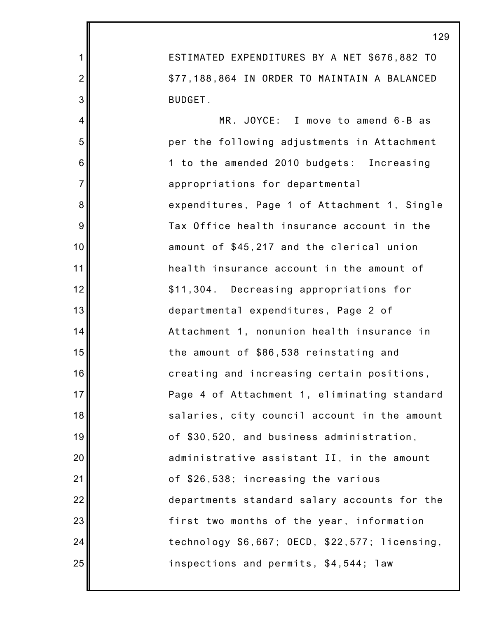ESTIMATED EXPENDITURES BY A NET \$676,882 TO \$77,188,864 IN ORDER TO MAINTAIN A BALANCED BUDGET.

1

2

3

4

5

6

7

8

9

10

11

12

13

14

15

16

17

18

19

20

21

22

23

24

25

MR. JOYCE: I move to amend 6-B as per the following adjustments in Attachment 1 to the amended 2010 budgets: Increasing appropriations for departmental expenditures, Page 1 of Attachment 1, Single Tax Office health insurance account in the amount of \$45,217 and the clerical union health insurance account in the amount of \$11,304. Decreasing appropriations for departmental expenditures, Page 2 of Attachment 1, nonunion health insurance in the amount of \$86,538 reinstating and creating and increasing certain positions, Page 4 of Attachment 1, eliminating standard salaries, city council account in the amount of \$30,520, and business administration, administrative assistant II, in the amount of \$26,538; increasing the various departments standard salary accounts for the first two months of the year, information technology \$6,667; OECD, \$22,577; licensing, inspections and permits, \$4,544; law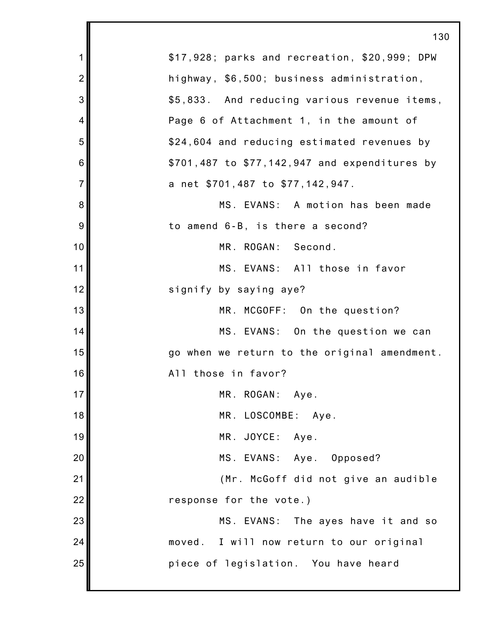|                | 130                                           |
|----------------|-----------------------------------------------|
| 1              | \$17,928; parks and recreation, \$20,999; DPW |
| $\overline{2}$ | highway, \$6,500; business administration,    |
| 3              | \$5,833. And reducing various revenue items,  |
| 4              | Page 6 of Attachment 1, in the amount of      |
| 5              | \$24,604 and reducing estimated revenues by   |
| 6              | \$701,487 to \$77,142,947 and expenditures by |
| $\overline{7}$ | a net \$701,487 to \$77,142,947.              |
| 8              | MS. EVANS: A motion has been made             |
| 9              | to amend 6-B, is there a second?              |
| 10             | MR. ROGAN: Second.                            |
| 11             | MS. EVANS: All those in favor                 |
| 12             | signify by saying aye?                        |
| 13             | MR. MCGOFF: On the question?                  |
| 14             | MS. EVANS: On the question we can             |
| 15             | go when we return to the original amendment.  |
| 16             | All those in favor?                           |
| 17             | MR. ROGAN: Aye.                               |
| 18             | MR. LOSCOMBE: Aye.                            |
| 19             | MR. JOYCE: Aye.                               |
| 20             | MS. EVANS: Aye. Opposed?                      |
| 21             | (Mr. McGoff did not give an audible           |
| 22             | response for the vote.)                       |
| 23             | MS. EVANS: The ayes have it and so            |
| 24             | moved. I will now return to our original      |
| 25             | piece of legislation. You have heard          |
|                |                                               |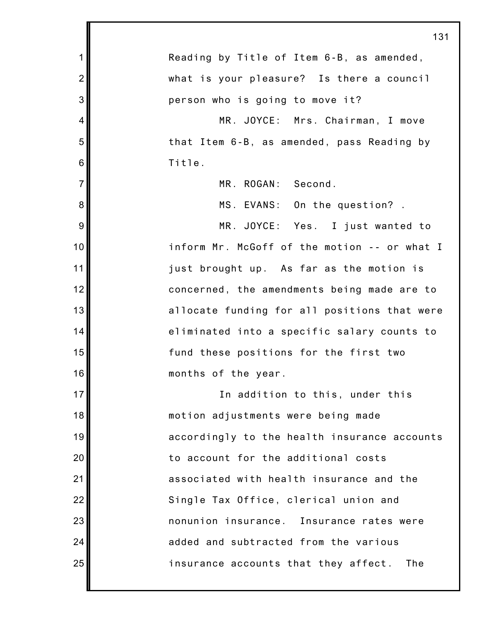|                | 131                                          |
|----------------|----------------------------------------------|
| $\mathbf 1$    | Reading by Title of Item 6-B, as amended,    |
| $\overline{2}$ | what is your pleasure? Is there a council    |
| 3              | person who is going to move it?              |
| 4              | MR. JOYCE: Mrs. Chairman, I move             |
| 5              | that Item 6-B, as amended, pass Reading by   |
| 6              | Title.                                       |
| $\overline{7}$ | MR. ROGAN: Second.                           |
| 8              | MS. EVANS: On the question?.                 |
| $9\,$          | MR. JOYCE: Yes. I just wanted to             |
| 10             | inform Mr. McGoff of the motion -- or what I |
| 11             | just brought up. As far as the motion is     |
| 12             | concerned, the amendments being made are to  |
| 13             | allocate funding for all positions that were |
| 14             | eliminated into a specific salary counts to  |
| 15             | fund these positions for the first two       |
| 16             | months of the year.                          |
| 17             | In addition to this, under this              |
| 18             | motion adjustments were being made           |
| 19             | accordingly to the health insurance accounts |
| 20             | to account for the additional costs          |
| 21             | associated with health insurance and the     |
| 22             | Single Tax Office, clerical union and        |
| 23             | nonunion insurance. Insurance rates were     |
| 24             | added and subtracted from the various        |
| 25             | insurance accounts that they affect.<br>The  |
|                |                                              |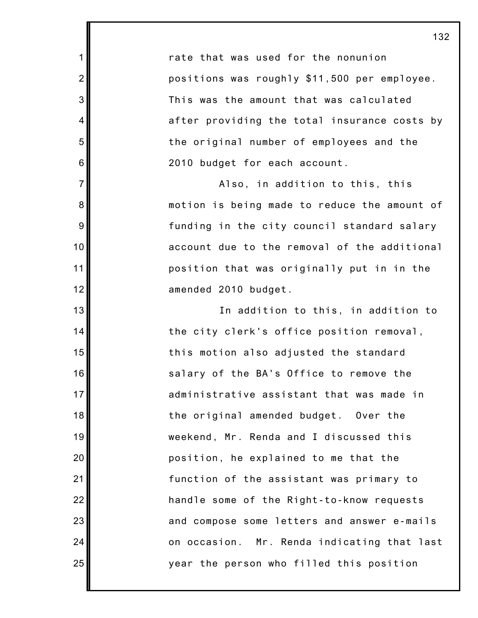rate that was used for the nonunion positions was roughly \$11,500 per employee. This was the amount that was calculated after providing the total insurance costs by the original number of employees and the 2010 budget for each account.

1

2

3

4

5

6

7

8

9

10

11

12

13

14

15

16

17

18

19

20

21

22

23

24

25

Also, in addition to this, this motion is being made to reduce the amount of funding in the city council standard salary account due to the removal of the additional position that was originally put in in the amended 2010 budget.

In addition to this, in addition to the city clerk's office position removal, this motion also adjusted the standard salary of the BA's Office to remove the administrative assistant that was made in the original amended budget. Over the weekend, Mr. Renda and I discussed this position, he explained to me that the function of the assistant was primary to handle some of the Right-to-know requests and compose some letters and answer e-mails on occasion. Mr. Renda indicating that last year the person who filled this position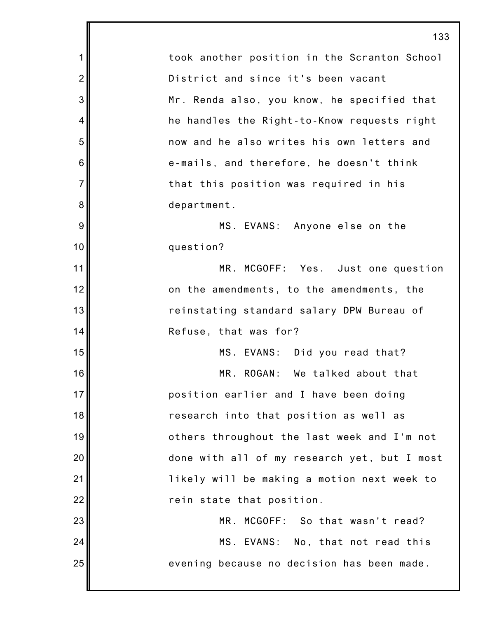1 2 3 4 5 6 7 8 9 10 11 12 13 14 15 16 17 18 19 20 21 22 23 24 25 133 took another position in the Scranton School District and since it's been vacant Mr. Renda also, you know, he specified that he handles the Right-to-Know requests right now and he also writes his own letters and e-mails, and therefore, he doesn't think that this position was required in his department. MS. EVANS: Anyone else on the question? MR. MCGOFF: Yes. Just one question on the amendments, to the amendments, the reinstating standard salary DPW Bureau of Refuse, that was for? MS. EVANS: Did you read that? MR. ROGAN: We talked about that position earlier and I have been doing research into that position as well as others throughout the last week and I'm not done with all of my research yet, but I most likely will be making a motion next week to rein state that position. MR. MCGOFF: So that wasn't read? MS. EVANS: No, that not read this evening because no decision has been made.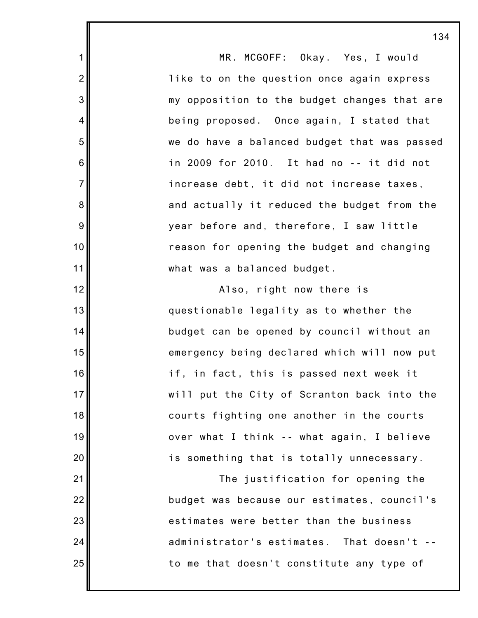MR. MCGOFF: Okay. Yes, I would like to on the question once again express my opposition to the budget changes that are being proposed. Once again, I stated that we do have a balanced budget that was passed in 2009 for 2010. It had no -- it did not increase debt, it did not increase taxes, and actually it reduced the budget from the year before and, therefore, I saw little reason for opening the budget and changing what was a balanced budget. Also, right now there is questionable legality as to whether the budget can be opened by council without an emergency being declared which will now put if, in fact, this is passed next week it will put the City of Scranton back into the courts fighting one another in the courts over what I think -- what again, I believe is something that is totally unnecessary. The justification for opening the budget was because our estimates, council's estimates were better than the business administrator's estimates. That doesn't - to me that doesn't constitute any type of

1

2

3

4

5

6

7

8

9

10

11

12

13

14

15

16

17

18

19

20

21

22

23

24

25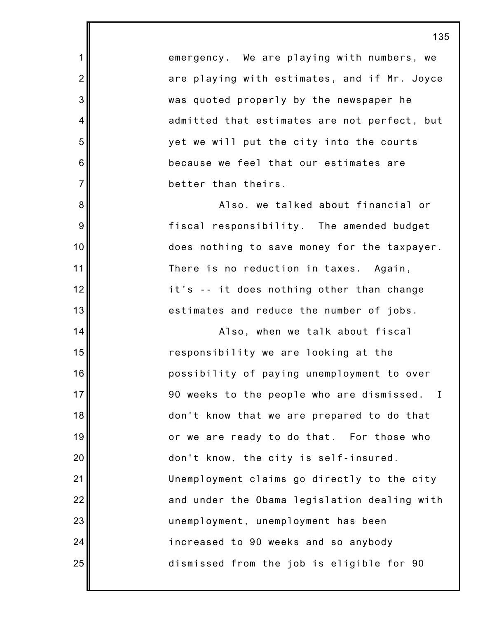emergency. We are playing with numbers, we are playing with estimates, and if Mr. Joyce was quoted properly by the newspaper he admitted that estimates are not perfect, but yet we will put the city into the courts because we feel that our estimates are better than theirs.

1

2

3

4

5

6

7

8

9

10

11

12

13

14

15

16

17

18

19

20

21

22

23

24

25

Also, we talked about financial or fiscal responsibility. The amended budget does nothing to save money for the taxpayer. There is no reduction in taxes. Again, it's -- it does nothing other than change estimates and reduce the number of jobs.

Also, when we talk about fiscal responsibility we are looking at the possibility of paying unemployment to over 90 weeks to the people who are dismissed. I don't know that we are prepared to do that or we are ready to do that. For those who don't know, the city is self-insured. Unemployment claims go directly to the city and under the Obama legislation dealing with unemployment, unemployment has been increased to 90 weeks and so anybody dismissed from the job is eligible for 90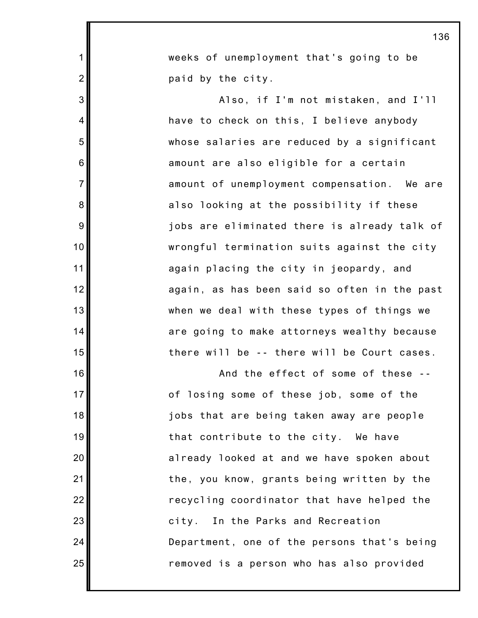| 1                | weeks of unemployment that's going to be     |  |
|------------------|----------------------------------------------|--|
| $\overline{2}$   | paid by the city.                            |  |
| 3                | Also, if I'm not mistaken, and I'll          |  |
| $\overline{4}$   | have to check on this, I believe anybody     |  |
| 5                | whose salaries are reduced by a significant  |  |
| 6                | amount are also eligible for a certain       |  |
| $\overline{7}$   | amount of unemployment compensation. We are  |  |
| 8                | also looking at the possibility if these     |  |
| $\boldsymbol{9}$ | jobs are eliminated there is already talk of |  |
| 10               | wrongful termination suits against the city  |  |
| 11               | again placing the city in jeopardy, and      |  |
| 12               | again, as has been said so often in the past |  |
| 13               | when we deal with these types of things we   |  |
| 14               | are going to make attorneys wealthy because  |  |
| 15               | there will be -- there will be Court cases.  |  |
| 16               | And the effect of some of these              |  |
| 17 <sup>1</sup>  | of losing some of these job, some of the     |  |
| 18               | jobs that are being taken away are people    |  |
| 19               | that contribute to the city. We have         |  |
| 20               | already looked at and we have spoken about   |  |
| 21               | the, you know, grants being written by the   |  |
| 22               | recycling coordinator that have helped the   |  |
| 23               | city. In the Parks and Recreation            |  |
| 24               | Department, one of the persons that's being  |  |
| 25               | removed is a person who has also provided    |  |

I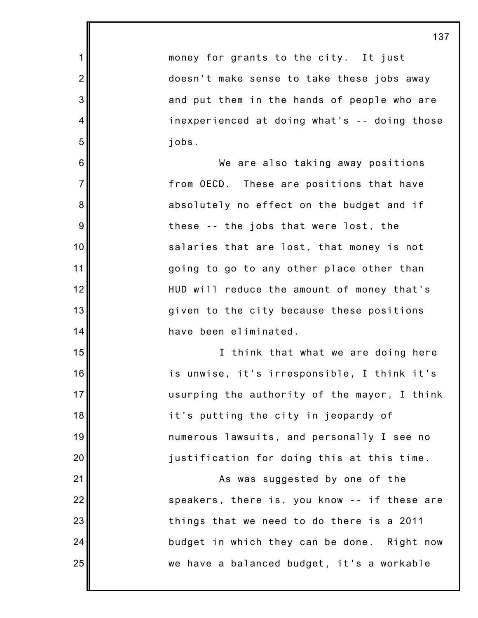|                |                                              | 137 |
|----------------|----------------------------------------------|-----|
| 1              | money for grants to the city. It just        |     |
| $\overline{2}$ | doesn't make sense to take these jobs away   |     |
| 3              | and put them in the hands of people who are  |     |
| 4              | inexperienced at doing what's -- doing those |     |
| 5              | jobs.                                        |     |
| $\,6$          | We are also taking away positions            |     |
| $\overline{7}$ | from OECD. These are positions that have     |     |
| 8              | absolutely no effect on the budget and if    |     |
| 9              | these -- the jobs that were lost, the        |     |
| 10             | salaries that are lost, that money is not    |     |
| 11             | going to go to any other place other than    |     |
| 12             | HUD will reduce the amount of money that's   |     |
| 13             | given to the city because these positions    |     |
| 14             | have been eliminated.                        |     |
| 15             | I think that what we are doing here          |     |
| 16             | is unwise, it's irresponsible, I think it's  |     |
| 17             | usurping the authority of the mayor, I think |     |
| 18             | it's putting the city in jeopardy of         |     |
| 19             | numerous lawsuits, and personally I see no   |     |
| 20             | justification for doing this at this time.   |     |
| 21             | As was suggested by one of the               |     |
| 22             | speakers, there is, you know -- if these are |     |
| 23             | things that we need to do there is a 2011    |     |
| 24             | budget in which they can be done. Right now  |     |
| 25             | we have a balanced budget, it's a workable   |     |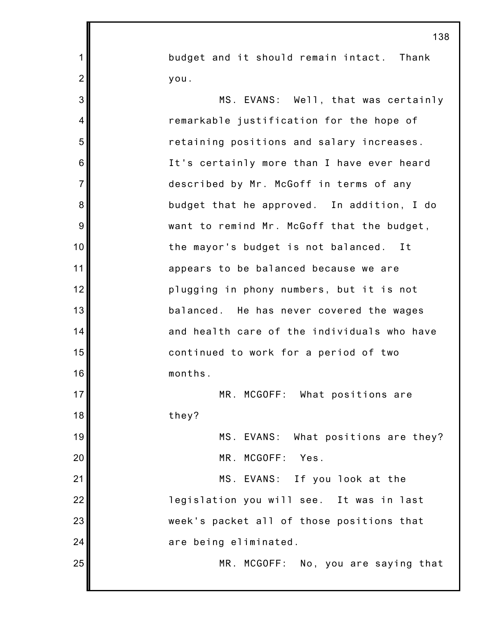budget and it should remain intact. Thank you.

1

2

3

4

5

6

7

8

9

10

11

12

13

14

15

16

17

18

19

20

21

22

23

24

25

MS. EVANS: Well, that was certainly remarkable justification for the hope of retaining positions and salary increases. It's certainly more than I have ever heard described by Mr. McGoff in terms of any budget that he approved. In addition, I do want to remind Mr. McGoff that the budget, the mayor's budget is not balanced. It appears to be balanced because we are plugging in phony numbers, but it is not balanced. He has never covered the wages and health care of the individuals who have continued to work for a period of two months. MR. MCGOFF: What positions are they?

MS. EVANS: What positions are they? MR. MCGOFF: Yes.

MS. EVANS: If you look at the legislation you will see. It was in last week's packet all of those positions that are being eliminated.

MR. MCGOFF: No, you are saying that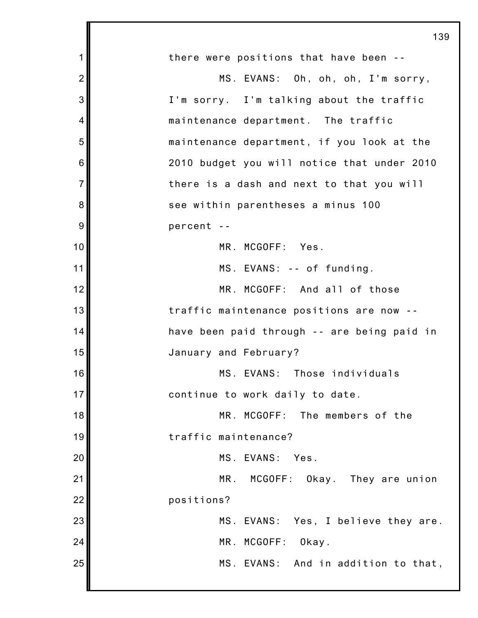|                | 139                                         |
|----------------|---------------------------------------------|
| 1              | there were positions that have been --      |
| $\overline{2}$ | MS. EVANS: Oh, oh, oh, I'm sorry,           |
| 3              | I'm sorry. I'm talking about the traffic    |
| 4              | maintenance department. The traffic         |
| 5              | maintenance department, if you look at the  |
| 6              | 2010 budget you will notice that under 2010 |
| $\overline{7}$ | there is a dash and next to that you will   |
| 8              | see within parentheses a minus 100          |
| 9              | percent --                                  |
| 10             | MR. MCGOFF: Yes.                            |
| 11             | MS. EVANS: -- of funding.                   |
| 12             | MR. MCGOFF: And all of those                |
| 13             | traffic maintenance positions are now --    |
| 14             | have been paid through -- are being paid in |
| 15             | January and February?                       |
| 16             | MS. EVANS: Those individuals                |
| 17             | continue to work daily to date.             |
| 18             | MR. MCGOFF: The members of the              |
| 19             | traffic maintenance?                        |
| 20             | MS. EVANS:<br>Yes.                          |
| 21             | MR. MCGOFF: Okay. They are union            |
| 22             | positions?                                  |
| 23             | MS. EVANS: Yes, I believe they are.         |
| 24             | MR. MCGOFF:<br>Okay.                        |
| 25             | MS. EVANS: And in addition to that,         |
|                |                                             |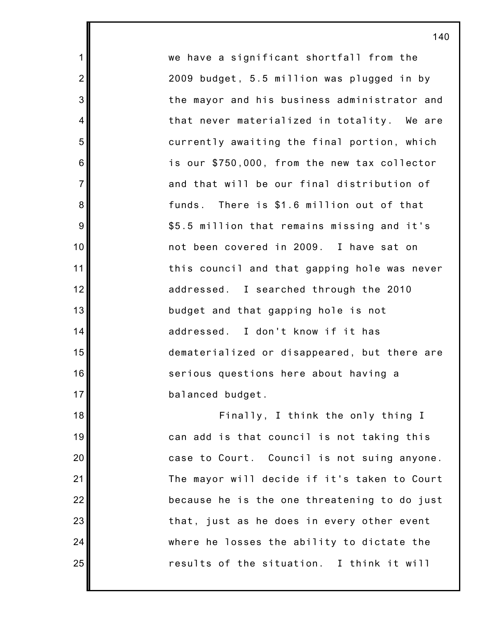we have a significant shortfall from the 2009 budget, 5.5 million was plugged in by the mayor and his business administrator and that never materialized in totality. We are currently awaiting the final portion, which is our \$750,000, from the new tax collector and that will be our final distribution of funds. There is \$1.6 million out of that \$5.5 million that remains missing and it's not been covered in 2009. I have sat on this council and that gapping hole was never addressed. I searched through the 2010 budget and that gapping hole is not addressed. I don't know if it has dematerialized or disappeared, but there are serious questions here about having a balanced budget.

1

2

3

4

5

6

7

8

9

10

11

12

13

14

15

16

17

18

19

20

21

22

23

24

25

Finally, I think the only thing I can add is that council is not taking this case to Court. Council is not suing anyone. The mayor will decide if it's taken to Court because he is the one threatening to do just that, just as he does in every other event where he losses the ability to dictate the results of the situation. I think it will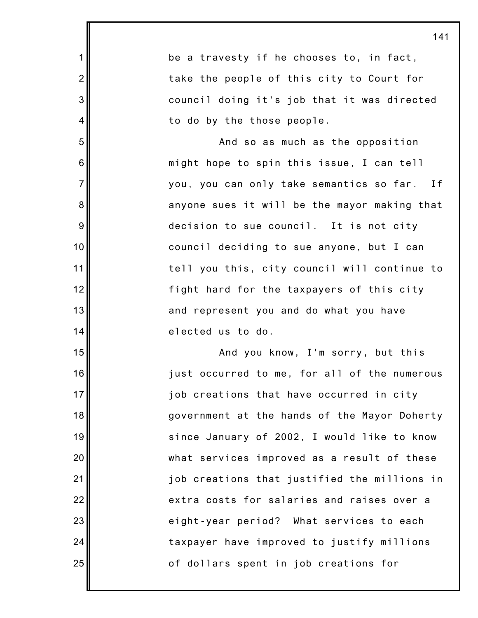1 2 3 4 5 6 7 8 9 10 11 12 13 14 15 16 17 18 19 20 21 22 23 24 25 be a travesty if he chooses to, in fact, take the people of this city to Court for council doing it's job that it was directed to do by the those people. And so as much as the opposition might hope to spin this issue, I can tell you, you can only take semantics so far. If anyone sues it will be the mayor making that decision to sue council. It is not city council deciding to sue anyone, but I can tell you this, city council will continue to fight hard for the taxpayers of this city and represent you and do what you have elected us to do. And you know, I'm sorry, but this just occurred to me, for all of the numerous job creations that have occurred in city government at the hands of the Mayor Doherty since January of 2002, I would like to know what services improved as a result of these job creations that justified the millions in extra costs for salaries and raises over a eight-year period? What services to each taxpayer have improved to justify millions of dollars spent in job creations for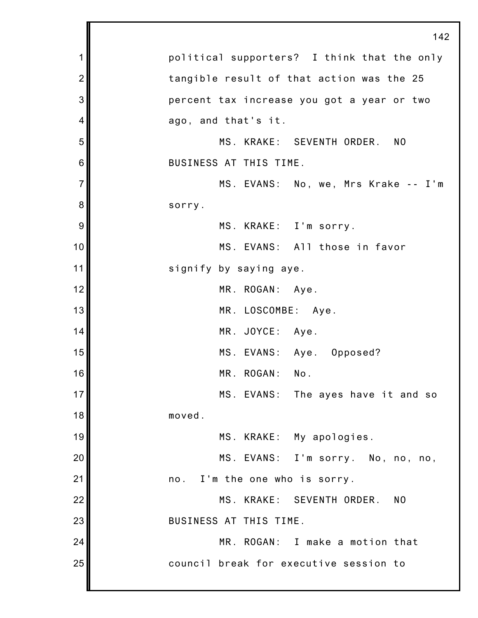|                | 142                                         |
|----------------|---------------------------------------------|
| 1              | political supporters? I think that the only |
| $\overline{2}$ | tangible result of that action was the 25   |
| 3              | percent tax increase you got a year or two  |
| 4              | ago, and that's it.                         |
| 5              | MS. KRAKE: SEVENTH ORDER. NO                |
| 6              | BUSINESS AT THIS TIME.                      |
| $\overline{7}$ | MS. EVANS: No, we, Mrs Krake -- I'm         |
| 8              | sorry.                                      |
| 9              | MS. KRAKE: I'm sorry.                       |
| 10             | MS. EVANS: All those in favor               |
| 11             | signify by saying aye.                      |
| 12             | MR. ROGAN: Aye.                             |
| 13             | MR. LOSCOMBE: Aye.                          |
| 14             | MR. JOYCE: Aye.                             |
| 15             | MS. EVANS: Aye. Opposed?                    |
| 16             | MR. ROGAN:<br>No.                           |
| 17             | MS. EVANS: The ayes have it and so          |
| 18             | moved.                                      |
| 19             | MS. KRAKE: My apologies.                    |
| 20             | MS. EVANS: I'm sorry. No, no, no,           |
| 21             | no. I'm the one who is sorry.               |
| 22             | MS. KRAKE: SEVENTH ORDER.<br>N <sub>0</sub> |
| 23             | BUSINESS AT THIS TIME.                      |
| 24             | MR. ROGAN: I make a motion that             |
| 25             | council break for executive session to      |
|                |                                             |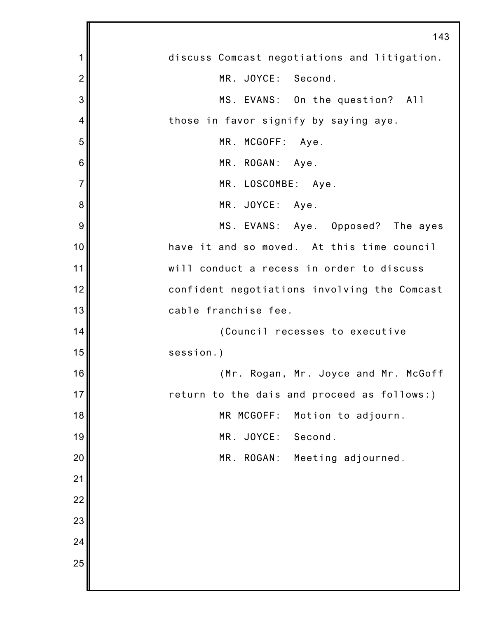|                | 143                                          |
|----------------|----------------------------------------------|
| 1              | discuss Comcast negotiations and litigation. |
| $\overline{2}$ | MR. JOYCE: Second.                           |
| 3              | MS. EVANS: On the question? All              |
| 4              | those in favor signify by saying aye.        |
| 5              | MR. MCGOFF: Aye.                             |
| 6              | MR. ROGAN: Aye.                              |
| $\overline{7}$ | MR. LOSCOMBE: Aye.                           |
| 8              | MR. JOYCE: Aye.                              |
| 9              | MS. EVANS: Aye. Opposed? The ayes            |
| 10             | have it and so moved. At this time council   |
| 11             | will conduct a recess in order to discuss    |
| 12             | confident negotiations involving the Comcast |
| 13             | cable franchise fee.                         |
| 14             | (Council recesses to executive               |
| 15             | session.)                                    |
| 16             | (Mr. Rogan, Mr. Joyce and Mr. McGoff         |
| 17             | return to the dais and proceed as follows:)  |
| 18             | MR MCGOFF:<br>Motion to adjourn.             |
| 19             | JOYCE:<br>Second.<br>MR.                     |
| 20             | ROGAN:<br>MR.<br>Meeting adjourned.          |
| 21             |                                              |
| 22             |                                              |
| 23             |                                              |
| 24             |                                              |
| 25             |                                              |
|                |                                              |